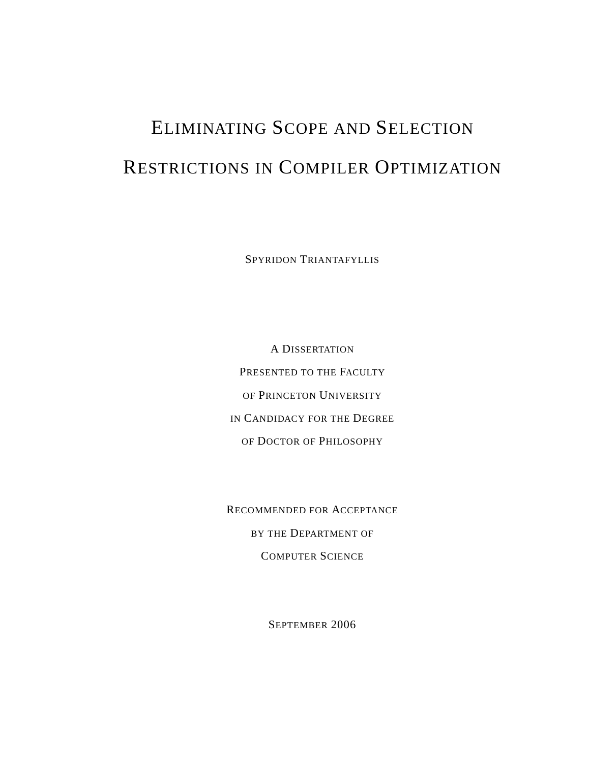## ELIMINATING SCOPE AND SELECTION RESTRICTIONS IN COMPILER OPTIMIZATION

SPYRIDON TRIANTAFYLLIS

A DISSERTATION PRESENTED TO THE FACULTY OF PRINCETON UNIVERSITY IN CANDIDACY FOR THE DEGREE OF DOCTOR OF PHILOSOPHY

RECOMMENDED FOR ACCEPTANCE BY THE DEPARTMENT OF COMPUTER SCIENCE

SEPTEMBER 2006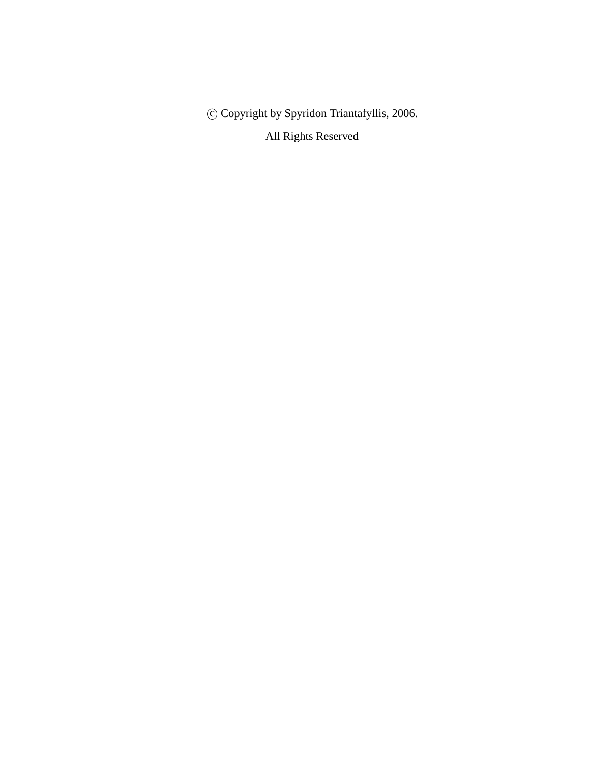c Copyright by Spyridon Triantafyllis, 2006.

All Rights Reserved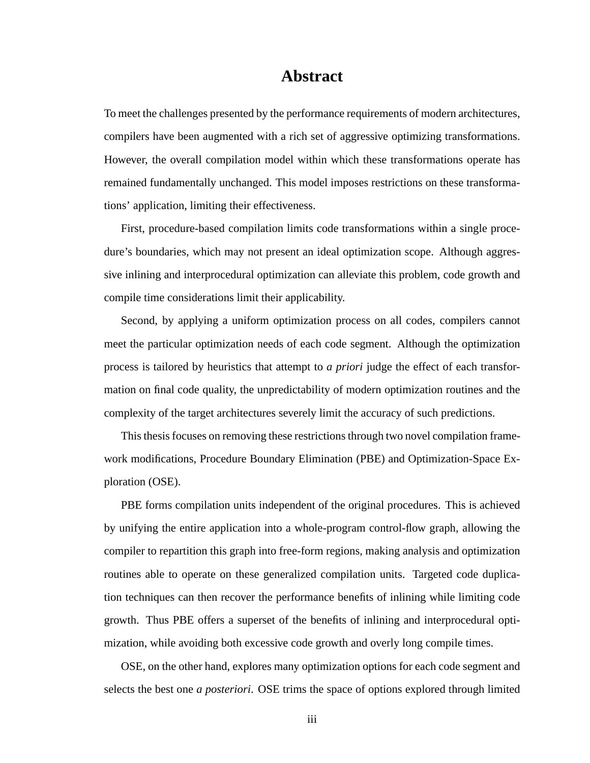#### **Abstract**

To meet the challenges presented by the performance requirements of modern architectures, compilers have been augmented with a rich set of aggressive optimizing transformations. However, the overall compilation model within which these transformations operate has remained fundamentally unchanged. This model imposes restrictions on these transformations' application, limiting their effectiveness.

First, procedure-based compilation limits code transformations within a single procedure's boundaries, which may not present an ideal optimization scope. Although aggressive inlining and interprocedural optimization can alleviate this problem, code growth and compile time considerations limit their applicability.

Second, by applying a uniform optimization process on all codes, compilers cannot meet the particular optimization needs of each code segment. Although the optimization process is tailored by heuristics that attempt to *a priori* judge the effect of each transformation on final code quality, the unpredictability of modern optimization routines and the complexity of the target architectures severely limit the accuracy of such predictions.

This thesis focuses on removing these restrictions through two novel compilation framework modifications, Procedure Boundary Elimination (PBE) and Optimization-Space Exploration (OSE).

PBE forms compilation units independent of the original procedures. This is achieved by unifying the entire application into a whole-program control-flow graph, allowing the compiler to repartition this graph into free-form regions, making analysis and optimization routines able to operate on these generalized compilation units. Targeted code duplication techniques can then recover the performance benefits of inlining while limiting code growth. Thus PBE offers a superset of the benefits of inlining and interprocedural optimization, while avoiding both excessive code growth and overly long compile times.

OSE, on the other hand, explores many optimization options for each code segment and selects the best one *a posteriori*. OSE trims the space of options explored through limited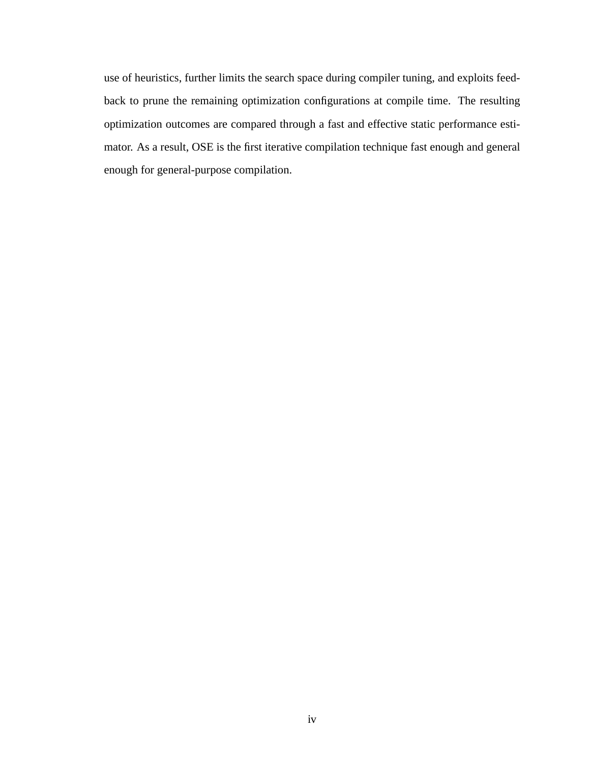use of heuristics, further limits the search space during compiler tuning, and exploits feedback to prune the remaining optimization configurations at compile time. The resulting optimization outcomes are compared through a fast and effective static performance estimator. As a result, OSE is the first iterative compilation technique fast enough and general enough for general-purpose compilation.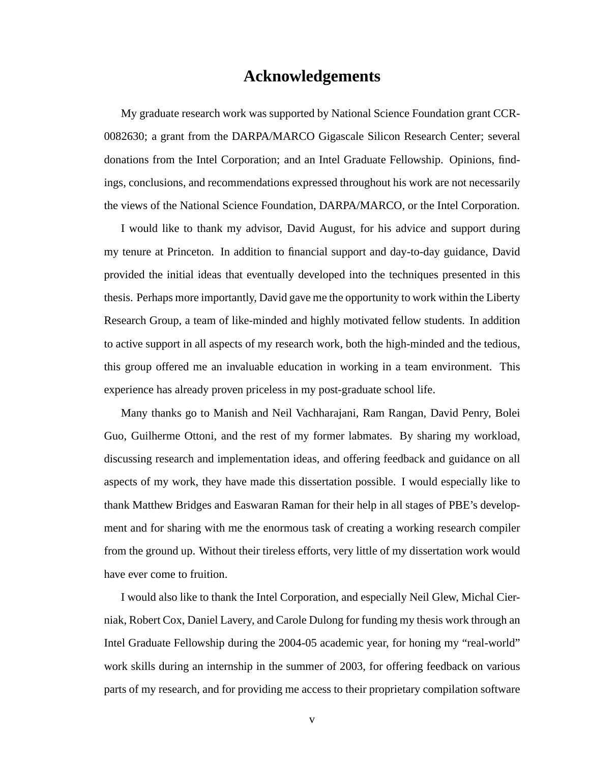#### **Acknowledgements**

My graduate research work was supported by National Science Foundation grant CCR-0082630; a grant from the DARPA/MARCO Gigascale Silicon Research Center; several donations from the Intel Corporation; and an Intel Graduate Fellowship. Opinions, findings, conclusions, and recommendations expressed throughout his work are not necessarily the views of the National Science Foundation, DARPA/MARCO, or the Intel Corporation.

I would like to thank my advisor, David August, for his advice and support during my tenure at Princeton. In addition to financial support and day-to-day guidance, David provided the initial ideas that eventually developed into the techniques presented in this thesis. Perhaps more importantly, David gave me the opportunity to work within the Liberty Research Group, a team of like-minded and highly motivated fellow students. In addition to active support in all aspects of my research work, both the high-minded and the tedious, this group offered me an invaluable education in working in a team environment. This experience has already proven priceless in my post-graduate school life.

Many thanks go to Manish and Neil Vachharajani, Ram Rangan, David Penry, Bolei Guo, Guilherme Ottoni, and the rest of my former labmates. By sharing my workload, discussing research and implementation ideas, and offering feedback and guidance on all aspects of my work, they have made this dissertation possible. I would especially like to thank Matthew Bridges and Easwaran Raman for their help in all stages of PBE's development and for sharing with me the enormous task of creating a working research compiler from the ground up. Without their tireless efforts, very little of my dissertation work would have ever come to fruition.

I would also like to thank the Intel Corporation, and especially Neil Glew, Michal Cierniak, Robert Cox, Daniel Lavery, and Carole Dulong for funding my thesis work through an Intel Graduate Fellowship during the 2004-05 academic year, for honing my "real-world" work skills during an internship in the summer of 2003, for offering feedback on various parts of my research, and for providing me access to their proprietary compilation software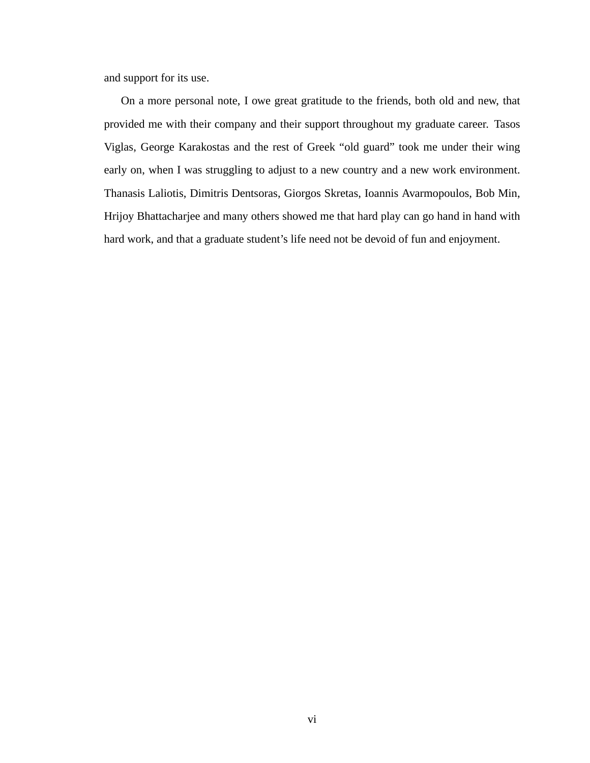and support for its use.

On a more personal note, I owe great gratitude to the friends, both old and new, that provided me with their company and their support throughout my graduate career. Tasos Viglas, George Karakostas and the rest of Greek "old guard" took me under their wing early on, when I was struggling to adjust to a new country and a new work environment. Thanasis Laliotis, Dimitris Dentsoras, Giorgos Skretas, Ioannis Avarmopoulos, Bob Min, Hrijoy Bhattacharjee and many others showed me that hard play can go hand in hand with hard work, and that a graduate student's life need not be devoid of fun and enjoyment.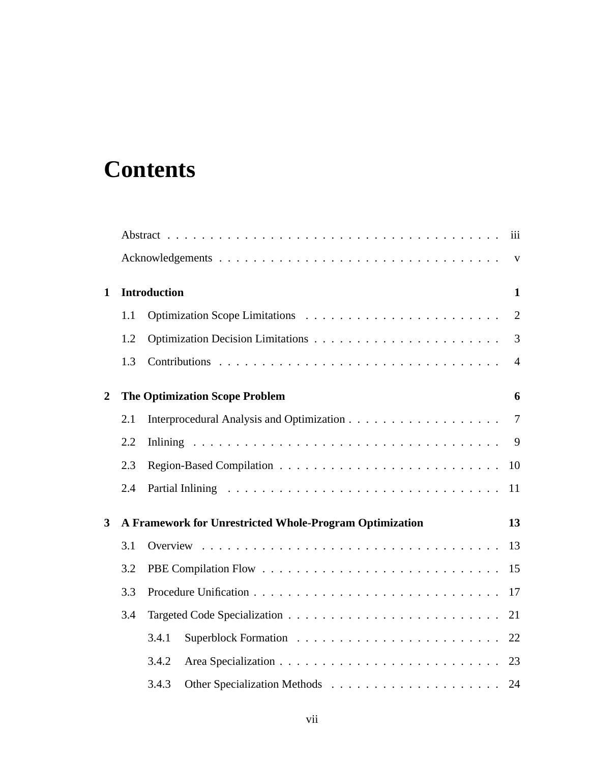## **Contents**

|                |     | iii                                                           |  |
|----------------|-----|---------------------------------------------------------------|--|
|                |     | $\mathbf{V}$                                                  |  |
| $\mathbf{1}$   |     | <b>Introduction</b><br>$\mathbf{1}$                           |  |
|                | 1.1 | $\overline{2}$                                                |  |
|                | 1.2 | $\overline{3}$                                                |  |
|                | 1.3 | $\overline{4}$                                                |  |
| $\overline{2}$ |     | <b>The Optimization Scope Problem</b><br>6                    |  |
|                | 2.1 | $\overline{7}$                                                |  |
|                | 2.2 | 9                                                             |  |
|                | 2.3 | 10                                                            |  |
|                | 2.4 | 11                                                            |  |
| 3              |     | A Framework for Unrestricted Whole-Program Optimization<br>13 |  |
|                | 3.1 |                                                               |  |
|                | 3.2 |                                                               |  |
|                | 3.3 |                                                               |  |
|                | 3.4 | 21                                                            |  |
|                |     | 3.4.1                                                         |  |
|                |     | 3.4.2<br>23                                                   |  |
|                |     | 3.4.3<br>24                                                   |  |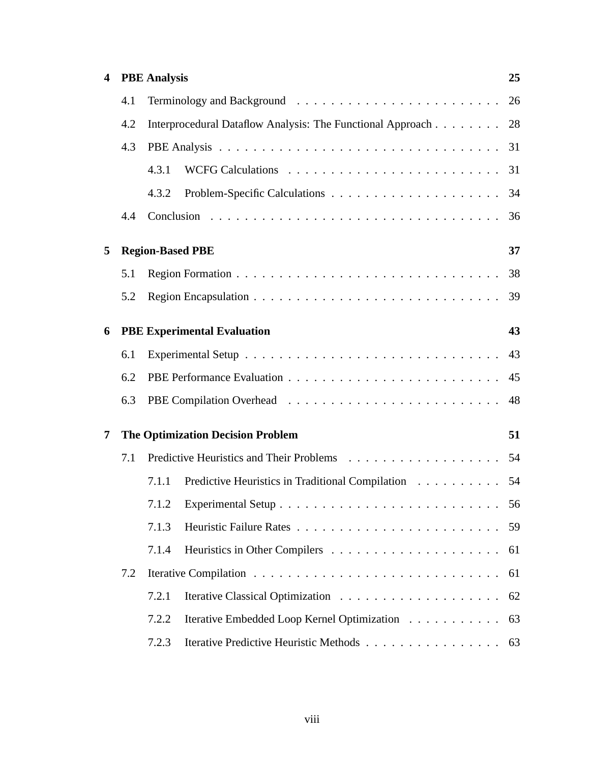| $\overline{\mathbf{4}}$ | <b>PBE</b> Analysis     |                                                               |                                                     | 25 |  |  |  |
|-------------------------|-------------------------|---------------------------------------------------------------|-----------------------------------------------------|----|--|--|--|
|                         |                         |                                                               |                                                     |    |  |  |  |
|                         | 4.2                     | Interprocedural Dataflow Analysis: The Functional Approach 28 |                                                     |    |  |  |  |
|                         | 4.3                     |                                                               |                                                     |    |  |  |  |
|                         |                         | 4.3.1                                                         |                                                     |    |  |  |  |
|                         |                         | 4.3.2                                                         |                                                     |    |  |  |  |
|                         | 4.4                     |                                                               |                                                     |    |  |  |  |
| 5                       | <b>Region-Based PBE</b> | 37                                                            |                                                     |    |  |  |  |
|                         | 5.1                     |                                                               |                                                     |    |  |  |  |
|                         | 5.2                     |                                                               |                                                     |    |  |  |  |
| 6                       |                         | 43<br><b>PBE Experimental Evaluation</b>                      |                                                     |    |  |  |  |
|                         | 6.1                     |                                                               |                                                     |    |  |  |  |
|                         | 6.2                     |                                                               |                                                     |    |  |  |  |
|                         | 6.3                     |                                                               |                                                     |    |  |  |  |
| 7                       |                         | 51<br><b>The Optimization Decision Problem</b>                |                                                     |    |  |  |  |
|                         | 7.1                     |                                                               |                                                     |    |  |  |  |
|                         |                         | 7.1.1                                                         | Predictive Heuristics in Traditional Compilation 54 |    |  |  |  |
|                         |                         |                                                               |                                                     |    |  |  |  |
|                         |                         | 7.1.3                                                         |                                                     | 59 |  |  |  |
|                         |                         | 7.1.4                                                         |                                                     |    |  |  |  |
|                         | 7.2                     |                                                               |                                                     |    |  |  |  |
|                         |                         | 7.2.1                                                         |                                                     |    |  |  |  |
|                         |                         | 7.2.2                                                         | Iterative Embedded Loop Kernel Optimization 63      |    |  |  |  |
|                         |                         | 7.2.3                                                         | Iterative Predictive Heuristic Methods 63           |    |  |  |  |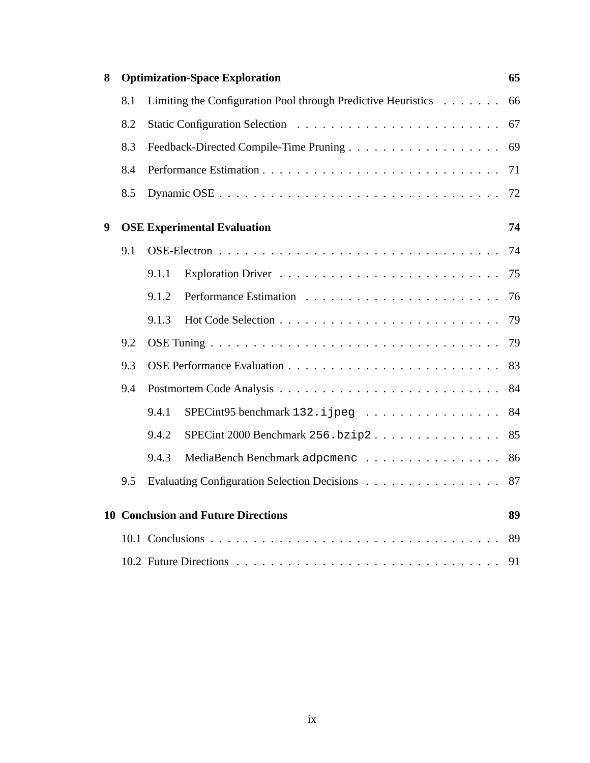| 8                |     | <b>Optimization-Space Exploration</b>                         | 65 |  |  |  |
|------------------|-----|---------------------------------------------------------------|----|--|--|--|
|                  | 8.1 | Limiting the Configuration Pool through Predictive Heuristics | 66 |  |  |  |
|                  | 8.2 |                                                               | 67 |  |  |  |
|                  | 8.3 |                                                               | 69 |  |  |  |
|                  | 8.4 |                                                               | 71 |  |  |  |
|                  | 8.5 |                                                               | 72 |  |  |  |
| $\boldsymbol{9}$ |     | <b>OSE Experimental Evaluation</b>                            | 74 |  |  |  |
|                  | 9.1 |                                                               | 74 |  |  |  |
|                  |     | 9.1.1                                                         | 75 |  |  |  |
|                  |     | 9.1.2                                                         | 76 |  |  |  |
|                  |     | 9.1.3                                                         | 79 |  |  |  |
|                  | 9.2 |                                                               | 79 |  |  |  |
|                  | 9.3 | 83                                                            |    |  |  |  |
|                  | 9.4 |                                                               | 84 |  |  |  |
|                  |     | 9.4.1<br>SPECint95 benchmark 132. i jpeg                      | 84 |  |  |  |
|                  |     | 9.4.2<br>$SPECint$ 2000 Benchmark 256.bzip2                   | 85 |  |  |  |
|                  |     | 9.4.3<br>MediaBench Benchmark adpomenc                        | 86 |  |  |  |
|                  | 9.5 | Evaluating Configuration Selection Decisions                  | 87 |  |  |  |
|                  |     | <b>10 Conclusion and Future Directions</b>                    | 89 |  |  |  |
|                  |     |                                                               | 89 |  |  |  |
|                  |     |                                                               |    |  |  |  |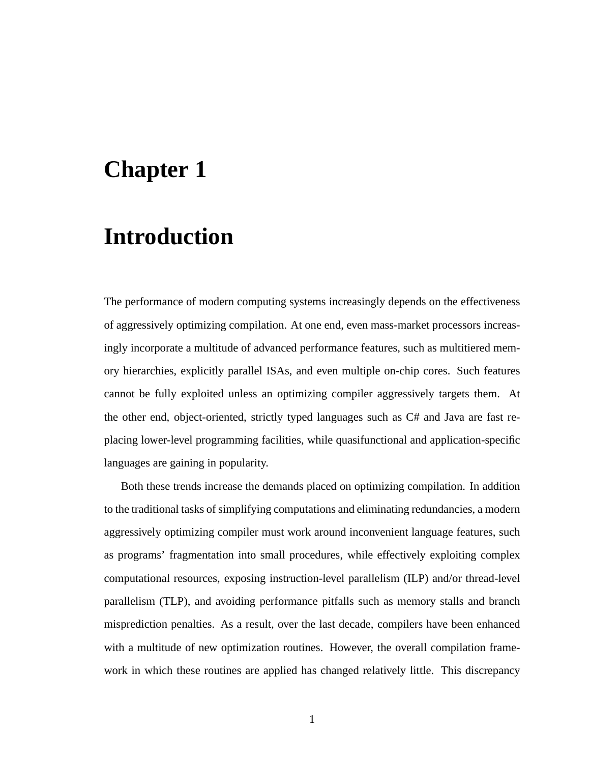## **Chapter 1**

## **Introduction**

The performance of modern computing systems increasingly depends on the effectiveness of aggressively optimizing compilation. At one end, even mass-market processors increasingly incorporate a multitude of advanced performance features, such as multitiered memory hierarchies, explicitly parallel ISAs, and even multiple on-chip cores. Such features cannot be fully exploited unless an optimizing compiler aggressively targets them. At the other end, object-oriented, strictly typed languages such as C# and Java are fast replacing lower-level programming facilities, while quasifunctional and application-specific languages are gaining in popularity.

Both these trends increase the demands placed on optimizing compilation. In addition to the traditional tasks of simplifying computations and eliminating redundancies, a modern aggressively optimizing compiler must work around inconvenient language features, such as programs' fragmentation into small procedures, while effectively exploiting complex computational resources, exposing instruction-level parallelism (ILP) and/or thread-level parallelism (TLP), and avoiding performance pitfalls such as memory stalls and branch misprediction penalties. As a result, over the last decade, compilers have been enhanced with a multitude of new optimization routines. However, the overall compilation framework in which these routines are applied has changed relatively little. This discrepancy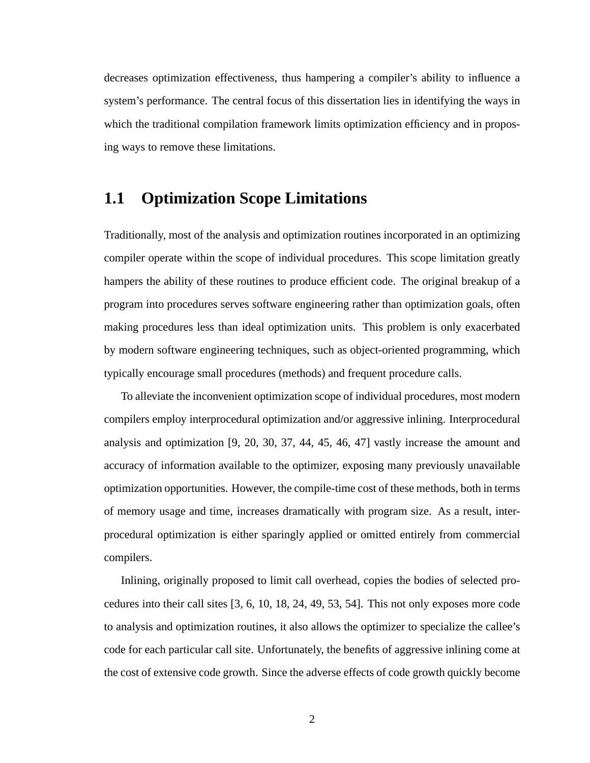decreases optimization effectiveness, thus hampering a compiler's ability to influence a system's performance. The central focus of this dissertation lies in identifying the ways in which the traditional compilation framework limits optimization efficiency and in proposing ways to remove these limitations.

#### **1.1 Optimization Scope Limitations**

Traditionally, most of the analysis and optimization routines incorporated in an optimizing compiler operate within the scope of individual procedures. This scope limitation greatly hampers the ability of these routines to produce efficient code. The original breakup of a program into procedures serves software engineering rather than optimization goals, often making procedures less than ideal optimization units. This problem is only exacerbated by modern software engineering techniques, such as object-oriented programming, which typically encourage small procedures (methods) and frequent procedure calls.

To alleviate the inconvenient optimization scope of individual procedures, most modern compilers employ interprocedural optimization and/or aggressive inlining. Interprocedural analysis and optimization [9, 20, 30, 37, 44, 45, 46, 47] vastly increase the amount and accuracy of information available to the optimizer, exposing many previously unavailable optimization opportunities. However, the compile-time cost of these methods, both in terms of memory usage and time, increases dramatically with program size. As a result, interprocedural optimization is either sparingly applied or omitted entirely from commercial compilers.

Inlining, originally proposed to limit call overhead, copies the bodies of selected procedures into their call sites [3, 6, 10, 18, 24, 49, 53, 54]. This not only exposes more code to analysis and optimization routines, it also allows the optimizer to specialize the callee's code for each particular call site. Unfortunately, the benefits of aggressive inlining come at the cost of extensive code growth. Since the adverse effects of code growth quickly become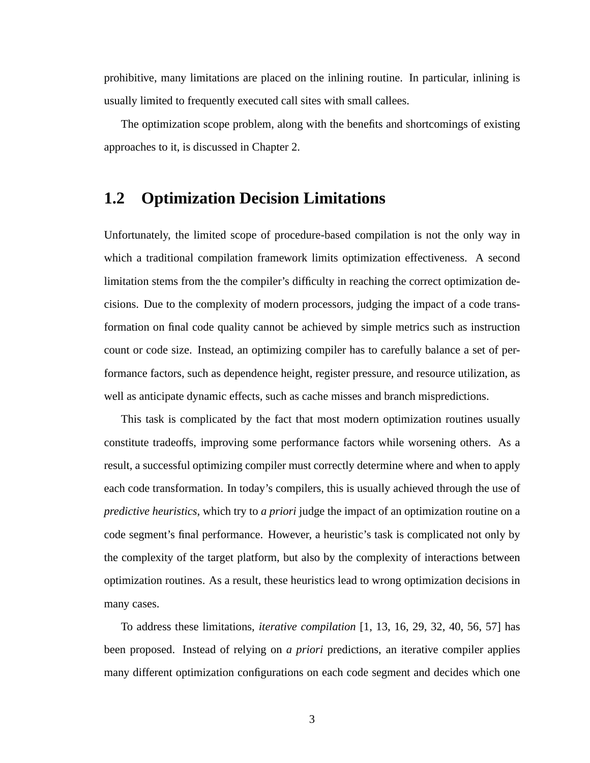prohibitive, many limitations are placed on the inlining routine. In particular, inlining is usually limited to frequently executed call sites with small callees.

The optimization scope problem, along with the benefits and shortcomings of existing approaches to it, is discussed in Chapter 2.

#### **1.2 Optimization Decision Limitations**

Unfortunately, the limited scope of procedure-based compilation is not the only way in which a traditional compilation framework limits optimization effectiveness. A second limitation stems from the the compiler's difficulty in reaching the correct optimization decisions. Due to the complexity of modern processors, judging the impact of a code transformation on final code quality cannot be achieved by simple metrics such as instruction count or code size. Instead, an optimizing compiler has to carefully balance a set of performance factors, such as dependence height, register pressure, and resource utilization, as well as anticipate dynamic effects, such as cache misses and branch mispredictions.

This task is complicated by the fact that most modern optimization routines usually constitute tradeoffs, improving some performance factors while worsening others. As a result, a successful optimizing compiler must correctly determine where and when to apply each code transformation. In today's compilers, this is usually achieved through the use of *predictive heuristics*, which try to *a priori* judge the impact of an optimization routine on a code segment's final performance. However, a heuristic's task is complicated not only by the complexity of the target platform, but also by the complexity of interactions between optimization routines. As a result, these heuristics lead to wrong optimization decisions in many cases.

To address these limitations, *iterative compilation* [1, 13, 16, 29, 32, 40, 56, 57] has been proposed. Instead of relying on *a priori* predictions, an iterative compiler applies many different optimization configurations on each code segment and decides which one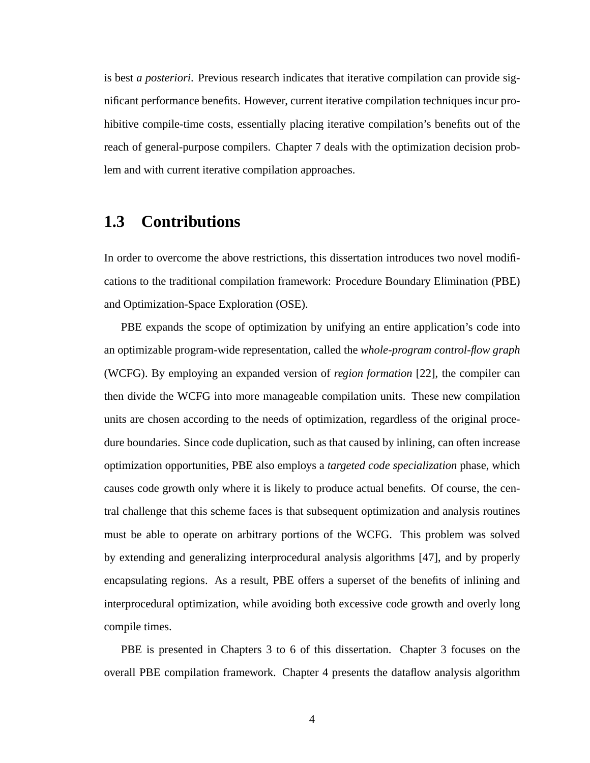is best *a posteriori*. Previous research indicates that iterative compilation can provide significant performance benefits. However, current iterative compilation techniques incur prohibitive compile-time costs, essentially placing iterative compilation's benefits out of the reach of general-purpose compilers. Chapter 7 deals with the optimization decision problem and with current iterative compilation approaches.

#### **1.3 Contributions**

In order to overcome the above restrictions, this dissertation introduces two novel modifications to the traditional compilation framework: Procedure Boundary Elimination (PBE) and Optimization-Space Exploration (OSE).

PBE expands the scope of optimization by unifying an entire application's code into an optimizable program-wide representation, called the *whole-program control-flow graph* (WCFG). By employing an expanded version of *region formation* [22], the compiler can then divide the WCFG into more manageable compilation units. These new compilation units are chosen according to the needs of optimization, regardless of the original procedure boundaries. Since code duplication, such as that caused by inlining, can often increase optimization opportunities, PBE also employs a *targeted code specialization* phase, which causes code growth only where it is likely to produce actual benefits. Of course, the central challenge that this scheme faces is that subsequent optimization and analysis routines must be able to operate on arbitrary portions of the WCFG. This problem was solved by extending and generalizing interprocedural analysis algorithms [47], and by properly encapsulating regions. As a result, PBE offers a superset of the benefits of inlining and interprocedural optimization, while avoiding both excessive code growth and overly long compile times.

PBE is presented in Chapters 3 to 6 of this dissertation. Chapter 3 focuses on the overall PBE compilation framework. Chapter 4 presents the dataflow analysis algorithm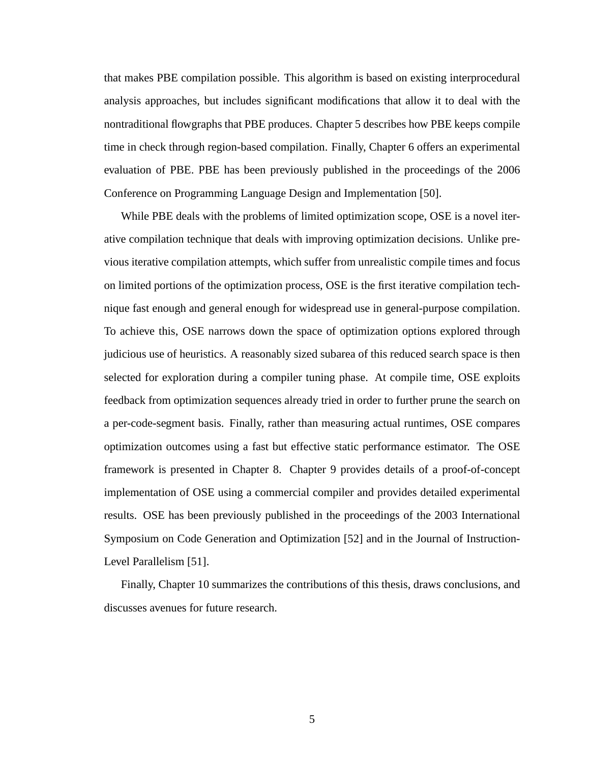that makes PBE compilation possible. This algorithm is based on existing interprocedural analysis approaches, but includes significant modifications that allow it to deal with the nontraditional flowgraphs that PBE produces. Chapter 5 describes how PBE keeps compile time in check through region-based compilation. Finally, Chapter 6 offers an experimental evaluation of PBE. PBE has been previously published in the proceedings of the 2006 Conference on Programming Language Design and Implementation [50].

While PBE deals with the problems of limited optimization scope, OSE is a novel iterative compilation technique that deals with improving optimization decisions. Unlike previous iterative compilation attempts, which suffer from unrealistic compile times and focus on limited portions of the optimization process, OSE is the first iterative compilation technique fast enough and general enough for widespread use in general-purpose compilation. To achieve this, OSE narrows down the space of optimization options explored through judicious use of heuristics. A reasonably sized subarea of this reduced search space is then selected for exploration during a compiler tuning phase. At compile time, OSE exploits feedback from optimization sequences already tried in order to further prune the search on a per-code-segment basis. Finally, rather than measuring actual runtimes, OSE compares optimization outcomes using a fast but effective static performance estimator. The OSE framework is presented in Chapter 8. Chapter 9 provides details of a proof-of-concept implementation of OSE using a commercial compiler and provides detailed experimental results. OSE has been previously published in the proceedings of the 2003 International Symposium on Code Generation and Optimization [52] and in the Journal of Instruction-Level Parallelism [51].

Finally, Chapter 10 summarizes the contributions of this thesis, draws conclusions, and discusses avenues for future research.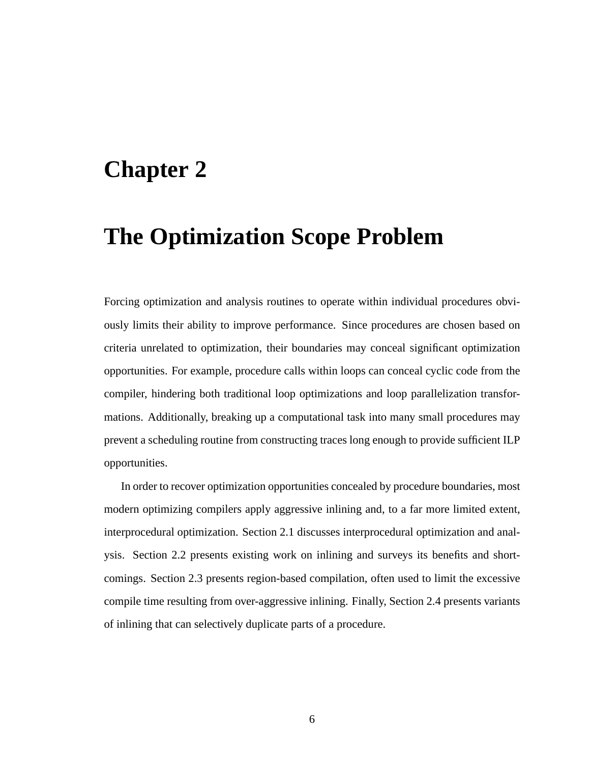## **Chapter 2**

## **The Optimization Scope Problem**

Forcing optimization and analysis routines to operate within individual procedures obviously limits their ability to improve performance. Since procedures are chosen based on criteria unrelated to optimization, their boundaries may conceal significant optimization opportunities. For example, procedure calls within loops can conceal cyclic code from the compiler, hindering both traditional loop optimizations and loop parallelization transformations. Additionally, breaking up a computational task into many small procedures may prevent a scheduling routine from constructing traces long enough to provide sufficient ILP opportunities.

In order to recover optimization opportunities concealed by procedure boundaries, most modern optimizing compilers apply aggressive inlining and, to a far more limited extent, interprocedural optimization. Section 2.1 discusses interprocedural optimization and analysis. Section 2.2 presents existing work on inlining and surveys its benefits and shortcomings. Section 2.3 presents region-based compilation, often used to limit the excessive compile time resulting from over-aggressive inlining. Finally, Section 2.4 presents variants of inlining that can selectively duplicate parts of a procedure.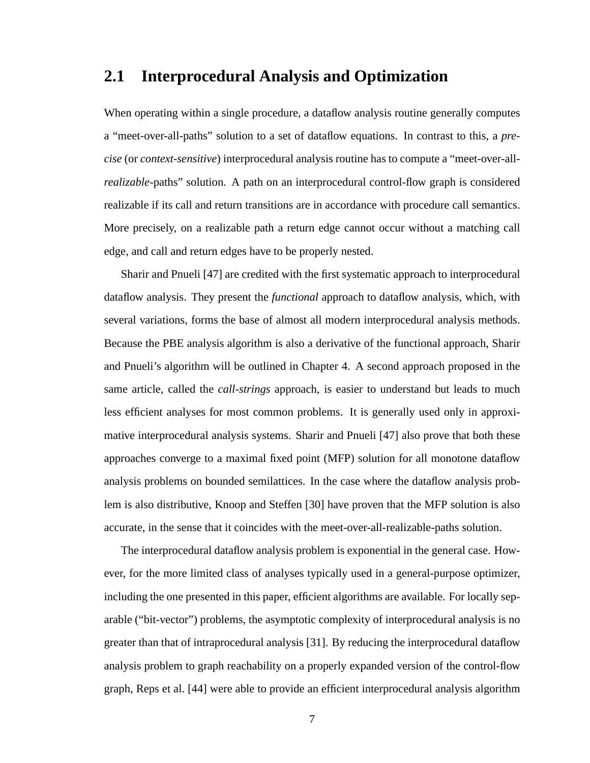#### **2.1 Interprocedural Analysis and Optimization**

When operating within a single procedure, a dataflow analysis routine generally computes a "meet-over-all-paths" solution to a set of dataflow equations. In contrast to this, a *precise* (or *context-sensitive*) interprocedural analysis routine has to compute a "meet-over-all*realizable*-paths" solution. A path on an interprocedural control-flow graph is considered realizable if its call and return transitions are in accordance with procedure call semantics. More precisely, on a realizable path a return edge cannot occur without a matching call edge, and call and return edges have to be properly nested.

Sharir and Pnueli [47] are credited with the first systematic approach to interprocedural dataflow analysis. They present the *functional* approach to dataflow analysis, which, with several variations, forms the base of almost all modern interprocedural analysis methods. Because the PBE analysis algorithm is also a derivative of the functional approach, Sharir and Pnueli's algorithm will be outlined in Chapter 4. A second approach proposed in the same article, called the *call-strings* approach, is easier to understand but leads to much less efficient analyses for most common problems. It is generally used only in approximative interprocedural analysis systems. Sharir and Pnueli [47] also prove that both these approaches converge to a maximal fixed point (MFP) solution for all monotone dataflow analysis problems on bounded semilattices. In the case where the dataflow analysis problem is also distributive, Knoop and Steffen [30] have proven that the MFP solution is also accurate, in the sense that it coincides with the meet-over-all-realizable-paths solution.

The interprocedural dataflow analysis problem is exponential in the general case. However, for the more limited class of analyses typically used in a general-purpose optimizer, including the one presented in this paper, efficient algorithms are available. For locally separable ("bit-vector") problems, the asymptotic complexity of interprocedural analysis is no greater than that of intraprocedural analysis [31]. By reducing the interprocedural dataflow analysis problem to graph reachability on a properly expanded version of the control-flow graph, Reps et al. [44] were able to provide an efficient interprocedural analysis algorithm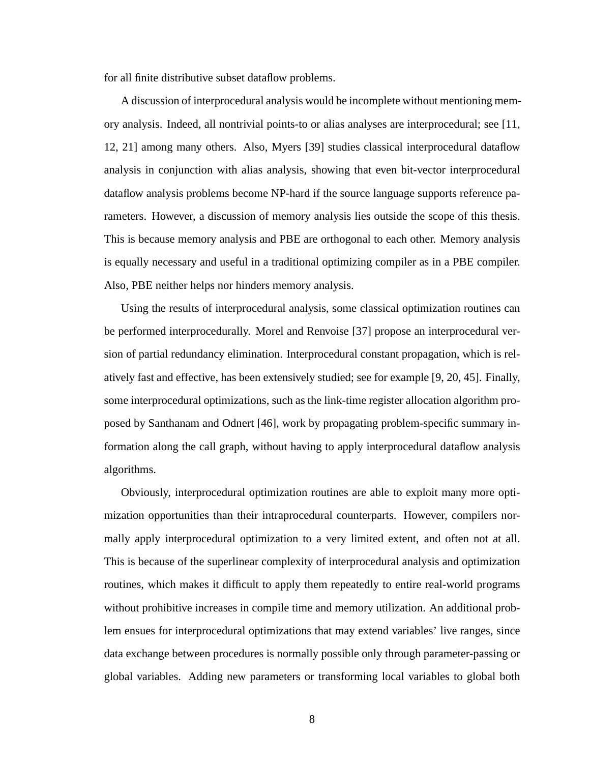for all finite distributive subset dataflow problems.

A discussion of interprocedural analysis would be incomplete without mentioning memory analysis. Indeed, all nontrivial points-to or alias analyses are interprocedural; see [11, 12, 21] among many others. Also, Myers [39] studies classical interprocedural dataflow analysis in conjunction with alias analysis, showing that even bit-vector interprocedural dataflow analysis problems become NP-hard if the source language supports reference parameters. However, a discussion of memory analysis lies outside the scope of this thesis. This is because memory analysis and PBE are orthogonal to each other. Memory analysis is equally necessary and useful in a traditional optimizing compiler as in a PBE compiler. Also, PBE neither helps nor hinders memory analysis.

Using the results of interprocedural analysis, some classical optimization routines can be performed interprocedurally. Morel and Renvoise [37] propose an interprocedural version of partial redundancy elimination. Interprocedural constant propagation, which is relatively fast and effective, has been extensively studied; see for example [9, 20, 45]. Finally, some interprocedural optimizations, such as the link-time register allocation algorithm proposed by Santhanam and Odnert [46], work by propagating problem-specific summary information along the call graph, without having to apply interprocedural dataflow analysis algorithms.

Obviously, interprocedural optimization routines are able to exploit many more optimization opportunities than their intraprocedural counterparts. However, compilers normally apply interprocedural optimization to a very limited extent, and often not at all. This is because of the superlinear complexity of interprocedural analysis and optimization routines, which makes it difficult to apply them repeatedly to entire real-world programs without prohibitive increases in compile time and memory utilization. An additional problem ensues for interprocedural optimizations that may extend variables' live ranges, since data exchange between procedures is normally possible only through parameter-passing or global variables. Adding new parameters or transforming local variables to global both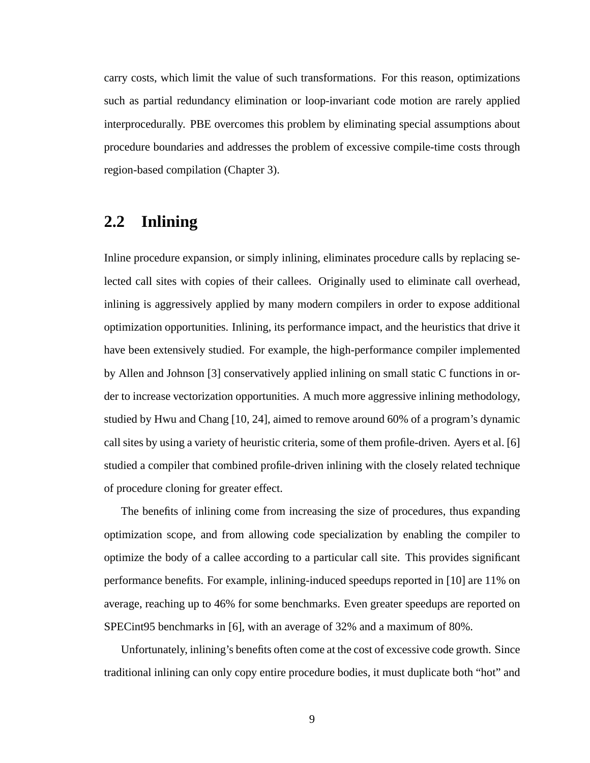carry costs, which limit the value of such transformations. For this reason, optimizations such as partial redundancy elimination or loop-invariant code motion are rarely applied interprocedurally. PBE overcomes this problem by eliminating special assumptions about procedure boundaries and addresses the problem of excessive compile-time costs through region-based compilation (Chapter 3).

#### **2.2 Inlining**

Inline procedure expansion, or simply inlining, eliminates procedure calls by replacing selected call sites with copies of their callees. Originally used to eliminate call overhead, inlining is aggressively applied by many modern compilers in order to expose additional optimization opportunities. Inlining, its performance impact, and the heuristics that drive it have been extensively studied. For example, the high-performance compiler implemented by Allen and Johnson [3] conservatively applied inlining on small static C functions in order to increase vectorization opportunities. A much more aggressive inlining methodology, studied by Hwu and Chang [10, 24], aimed to remove around 60% of a program's dynamic call sites by using a variety of heuristic criteria, some of them profile-driven. Ayers et al. [6] studied a compiler that combined profile-driven inlining with the closely related technique of procedure cloning for greater effect.

The benefits of inlining come from increasing the size of procedures, thus expanding optimization scope, and from allowing code specialization by enabling the compiler to optimize the body of a callee according to a particular call site. This provides significant performance benefits. For example, inlining-induced speedups reported in [10] are 11% on average, reaching up to 46% for some benchmarks. Even greater speedups are reported on SPECint95 benchmarks in [6], with an average of 32% and a maximum of 80%.

Unfortunately, inlining's benefits often come at the cost of excessive code growth. Since traditional inlining can only copy entire procedure bodies, it must duplicate both "hot" and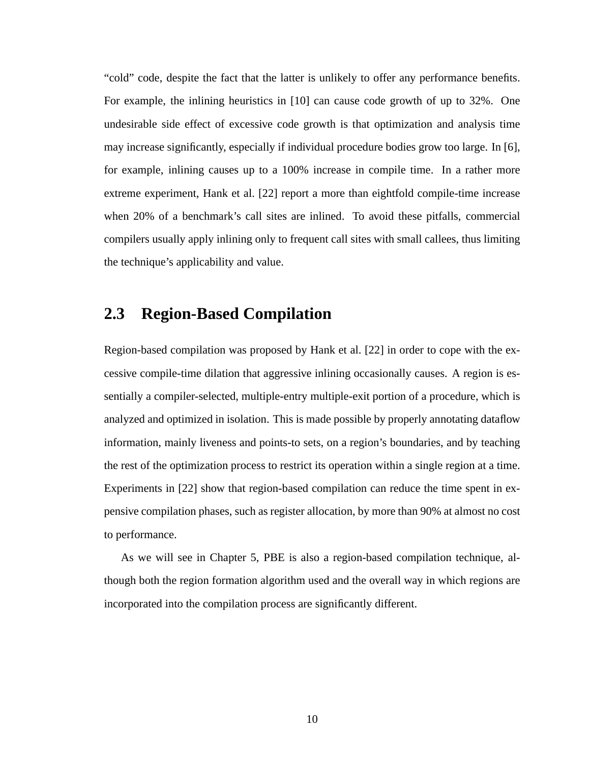"cold" code, despite the fact that the latter is unlikely to offer any performance benefits. For example, the inlining heuristics in [10] can cause code growth of up to 32%. One undesirable side effect of excessive code growth is that optimization and analysis time may increase significantly, especially if individual procedure bodies grow too large. In [6], for example, inlining causes up to a 100% increase in compile time. In a rather more extreme experiment, Hank et al. [22] report a more than eightfold compile-time increase when 20% of a benchmark's call sites are inlined. To avoid these pitfalls, commercial compilers usually apply inlining only to frequent call sites with small callees, thus limiting the technique's applicability and value.

#### **2.3 Region-Based Compilation**

Region-based compilation was proposed by Hank et al. [22] in order to cope with the excessive compile-time dilation that aggressive inlining occasionally causes. A region is essentially a compiler-selected, multiple-entry multiple-exit portion of a procedure, which is analyzed and optimized in isolation. This is made possible by properly annotating dataflow information, mainly liveness and points-to sets, on a region's boundaries, and by teaching the rest of the optimization process to restrict its operation within a single region at a time. Experiments in [22] show that region-based compilation can reduce the time spent in expensive compilation phases, such as register allocation, by more than 90% at almost no cost to performance.

As we will see in Chapter 5, PBE is also a region-based compilation technique, although both the region formation algorithm used and the overall way in which regions are incorporated into the compilation process are significantly different.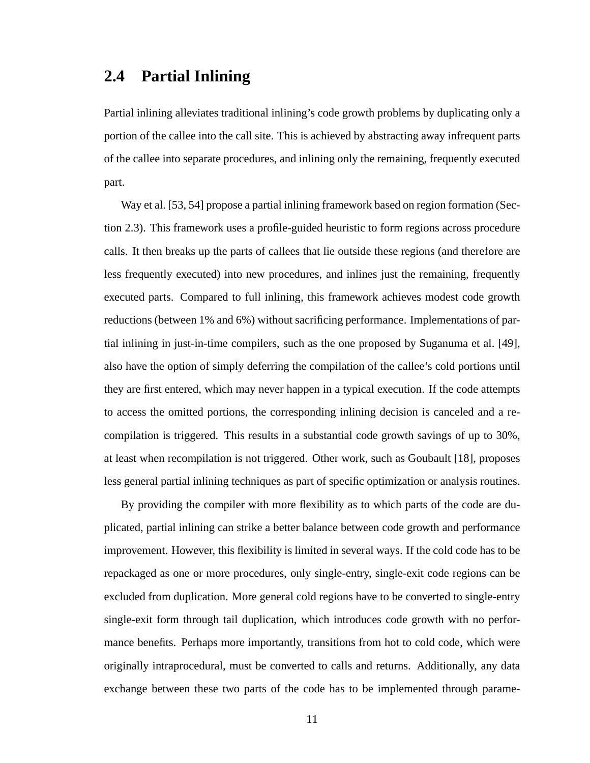#### **2.4 Partial Inlining**

Partial inlining alleviates traditional inlining's code growth problems by duplicating only a portion of the callee into the call site. This is achieved by abstracting away infrequent parts of the callee into separate procedures, and inlining only the remaining, frequently executed part.

Way et al. [53, 54] propose a partial inlining framework based on region formation (Section 2.3). This framework uses a profile-guided heuristic to form regions across procedure calls. It then breaks up the parts of callees that lie outside these regions (and therefore are less frequently executed) into new procedures, and inlines just the remaining, frequently executed parts. Compared to full inlining, this framework achieves modest code growth reductions (between 1% and 6%) without sacrificing performance. Implementations of partial inlining in just-in-time compilers, such as the one proposed by Suganuma et al. [49], also have the option of simply deferring the compilation of the callee's cold portions until they are first entered, which may never happen in a typical execution. If the code attempts to access the omitted portions, the corresponding inlining decision is canceled and a recompilation is triggered. This results in a substantial code growth savings of up to 30%, at least when recompilation is not triggered. Other work, such as Goubault [18], proposes less general partial inlining techniques as part of specific optimization or analysis routines.

By providing the compiler with more flexibility as to which parts of the code are duplicated, partial inlining can strike a better balance between code growth and performance improvement. However, this flexibility is limited in several ways. If the cold code has to be repackaged as one or more procedures, only single-entry, single-exit code regions can be excluded from duplication. More general cold regions have to be converted to single-entry single-exit form through tail duplication, which introduces code growth with no performance benefits. Perhaps more importantly, transitions from hot to cold code, which were originally intraprocedural, must be converted to calls and returns. Additionally, any data exchange between these two parts of the code has to be implemented through parame-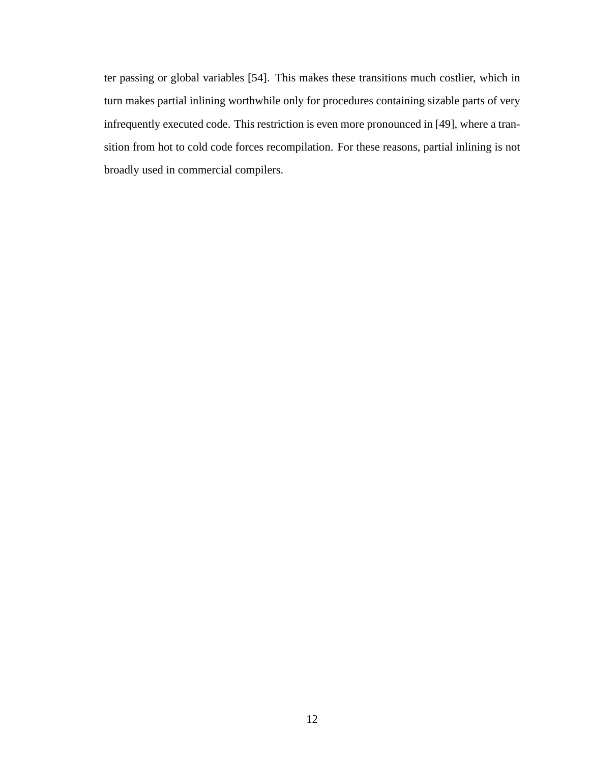ter passing or global variables [54]. This makes these transitions much costlier, which in turn makes partial inlining worthwhile only for procedures containing sizable parts of very infrequently executed code. This restriction is even more pronounced in [49], where a transition from hot to cold code forces recompilation. For these reasons, partial inlining is not broadly used in commercial compilers.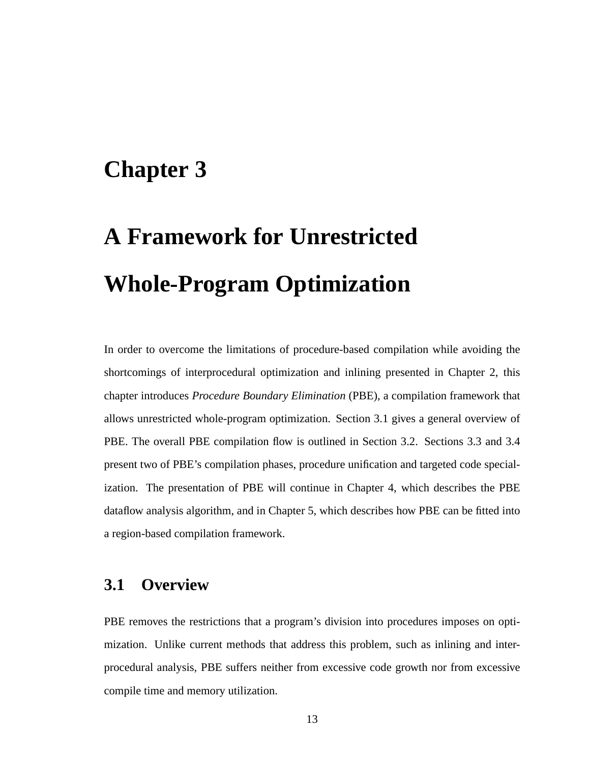## **Chapter 3**

# **A Framework for Unrestricted Whole-Program Optimization**

In order to overcome the limitations of procedure-based compilation while avoiding the shortcomings of interprocedural optimization and inlining presented in Chapter 2, this chapter introduces *Procedure Boundary Elimination* (PBE), a compilation framework that allows unrestricted whole-program optimization. Section 3.1 gives a general overview of PBE. The overall PBE compilation flow is outlined in Section 3.2. Sections 3.3 and 3.4 present two of PBE's compilation phases, procedure unification and targeted code specialization. The presentation of PBE will continue in Chapter 4, which describes the PBE dataflow analysis algorithm, and in Chapter 5, which describes how PBE can be fitted into a region-based compilation framework.

#### **3.1 Overview**

PBE removes the restrictions that a program's division into procedures imposes on optimization. Unlike current methods that address this problem, such as inlining and interprocedural analysis, PBE suffers neither from excessive code growth nor from excessive compile time and memory utilization.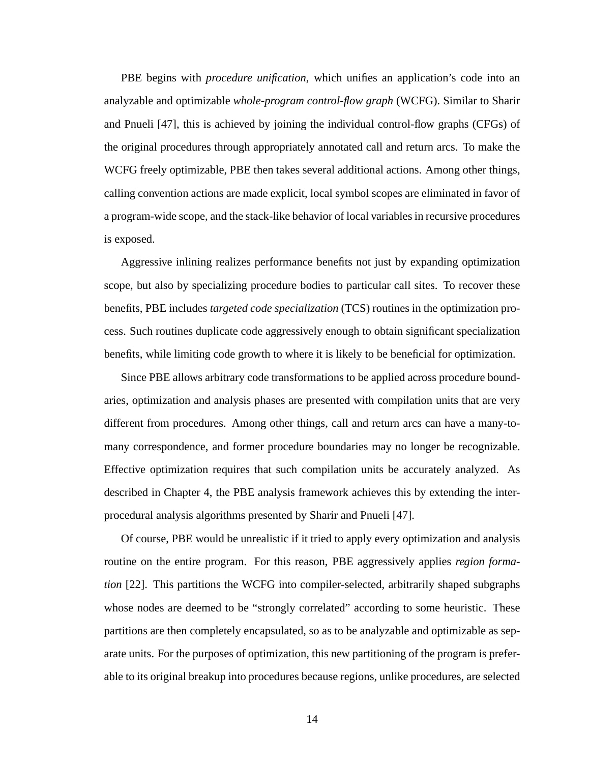PBE begins with *procedure unification*, which unifies an application's code into an analyzable and optimizable *whole-program control-flow graph* (WCFG). Similar to Sharir and Pnueli [47], this is achieved by joining the individual control-flow graphs (CFGs) of the original procedures through appropriately annotated call and return arcs. To make the WCFG freely optimizable, PBE then takes several additional actions. Among other things, calling convention actions are made explicit, local symbol scopes are eliminated in favor of a program-wide scope, and the stack-like behavior of local variables in recursive procedures is exposed.

Aggressive inlining realizes performance benefits not just by expanding optimization scope, but also by specializing procedure bodies to particular call sites. To recover these benefits, PBE includes *targeted code specialization* (TCS) routines in the optimization process. Such routines duplicate code aggressively enough to obtain significant specialization benefits, while limiting code growth to where it is likely to be beneficial for optimization.

Since PBE allows arbitrary code transformations to be applied across procedure boundaries, optimization and analysis phases are presented with compilation units that are very different from procedures. Among other things, call and return arcs can have a many-tomany correspondence, and former procedure boundaries may no longer be recognizable. Effective optimization requires that such compilation units be accurately analyzed. As described in Chapter 4, the PBE analysis framework achieves this by extending the interprocedural analysis algorithms presented by Sharir and Pnueli [47].

Of course, PBE would be unrealistic if it tried to apply every optimization and analysis routine on the entire program. For this reason, PBE aggressively applies *region formation* [22]. This partitions the WCFG into compiler-selected, arbitrarily shaped subgraphs whose nodes are deemed to be "strongly correlated" according to some heuristic. These partitions are then completely encapsulated, so as to be analyzable and optimizable as separate units. For the purposes of optimization, this new partitioning of the program is preferable to its original breakup into procedures because regions, unlike procedures, are selected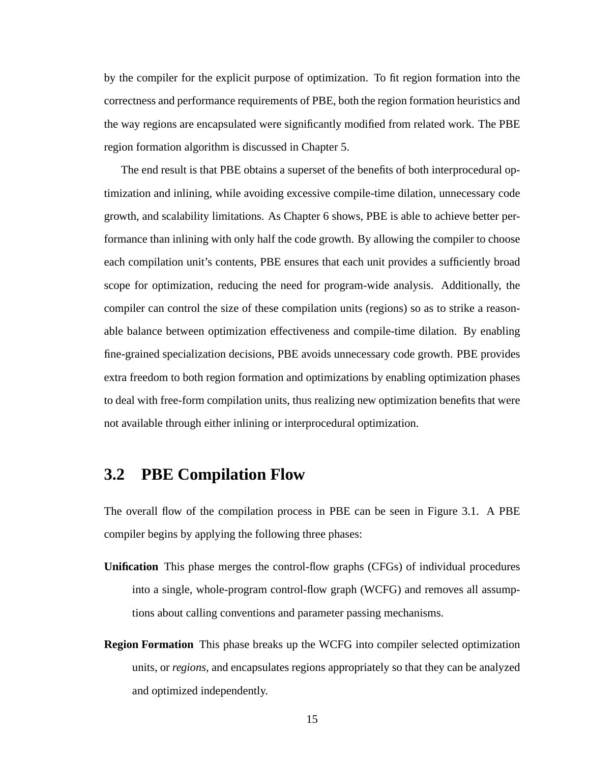by the compiler for the explicit purpose of optimization. To fit region formation into the correctness and performance requirements of PBE, both the region formation heuristics and the way regions are encapsulated were significantly modified from related work. The PBE region formation algorithm is discussed in Chapter 5.

The end result is that PBE obtains a superset of the benefits of both interprocedural optimization and inlining, while avoiding excessive compile-time dilation, unnecessary code growth, and scalability limitations. As Chapter 6 shows, PBE is able to achieve better performance than inlining with only half the code growth. By allowing the compiler to choose each compilation unit's contents, PBE ensures that each unit provides a sufficiently broad scope for optimization, reducing the need for program-wide analysis. Additionally, the compiler can control the size of these compilation units (regions) so as to strike a reasonable balance between optimization effectiveness and compile-time dilation. By enabling fine-grained specialization decisions, PBE avoids unnecessary code growth. PBE provides extra freedom to both region formation and optimizations by enabling optimization phases to deal with free-form compilation units, thus realizing new optimization benefits that were not available through either inlining or interprocedural optimization.

#### **3.2 PBE Compilation Flow**

The overall flow of the compilation process in PBE can be seen in Figure 3.1. A PBE compiler begins by applying the following three phases:

- **Unification** This phase merges the control-flow graphs (CFGs) of individual procedures into a single, whole-program control-flow graph (WCFG) and removes all assumptions about calling conventions and parameter passing mechanisms.
- **Region Formation** This phase breaks up the WCFG into compiler selected optimization units, or *regions*, and encapsulates regions appropriately so that they can be analyzed and optimized independently.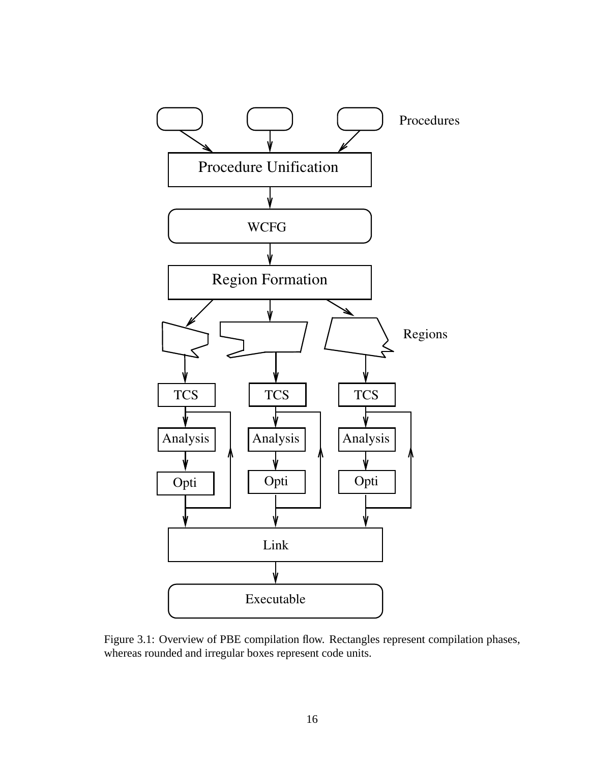

Figure 3.1: Overview of PBE compilation flow. Rectangles represent compilation phases, whereas rounded and irregular boxes represent code units.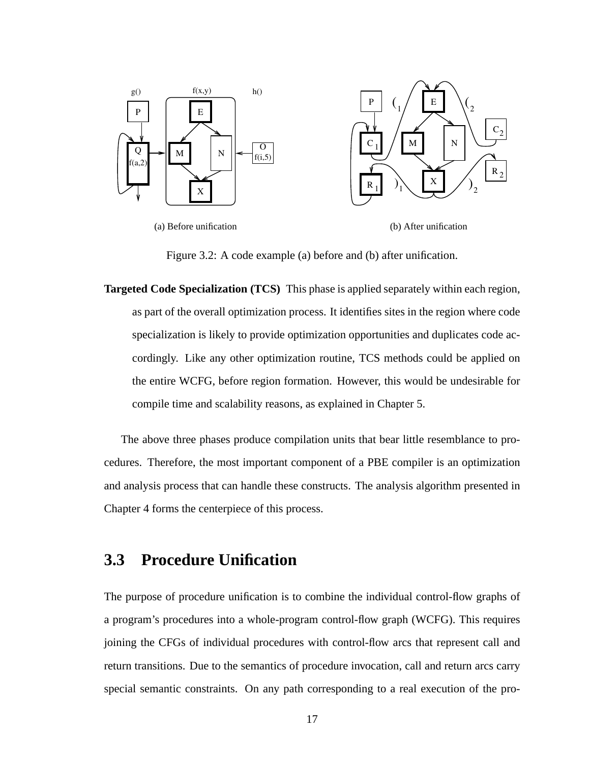

Figure 3.2: A code example (a) before and (b) after unification.

**Targeted Code Specialization (TCS)** This phase is applied separately within each region, as part of the overall optimization process. It identifies sites in the region where code specialization is likely to provide optimization opportunities and duplicates code accordingly. Like any other optimization routine, TCS methods could be applied on the entire WCFG, before region formation. However, this would be undesirable for compile time and scalability reasons, as explained in Chapter 5.

The above three phases produce compilation units that bear little resemblance to procedures. Therefore, the most important component of a PBE compiler is an optimization and analysis process that can handle these constructs. The analysis algorithm presented in Chapter 4 forms the centerpiece of this process.

#### **3.3 Procedure Unification**

The purpose of procedure unification is to combine the individual control-flow graphs of a program's procedures into a whole-program control-flow graph (WCFG). This requires joining the CFGs of individual procedures with control-flow arcs that represent call and return transitions. Due to the semantics of procedure invocation, call and return arcs carry special semantic constraints. On any path corresponding to a real execution of the pro-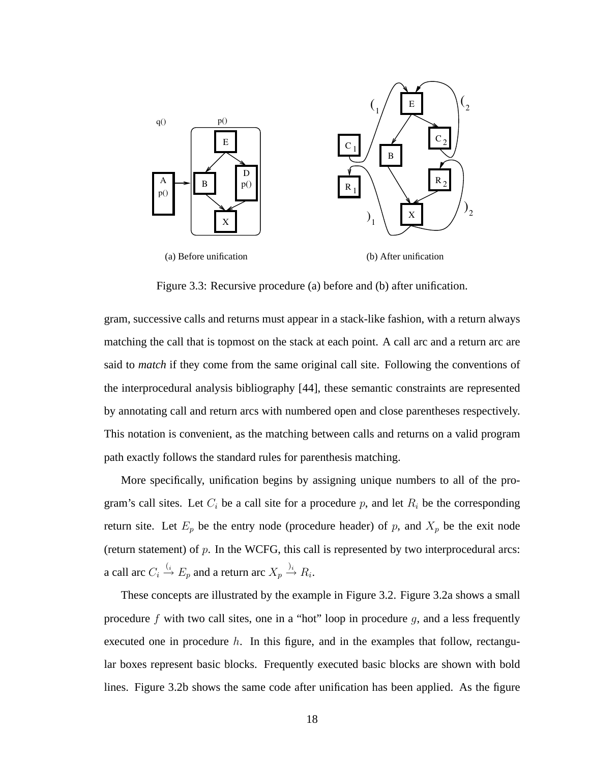

Figure 3.3: Recursive procedure (a) before and (b) after unification.

gram, successive calls and returns must appear in a stack-like fashion, with a return always matching the call that is topmost on the stack at each point. A call arc and a return arc are said to *match* if they come from the same original call site. Following the conventions of the interprocedural analysis bibliography [44], these semantic constraints are represented by annotating call and return arcs with numbered open and close parentheses respectively. This notation is convenient, as the matching between calls and returns on a valid program path exactly follows the standard rules for parenthesis matching.

More specifically, unification begins by assigning unique numbers to all of the program's call sites. Let  $C_i$  be a call site for a procedure p, and let  $R_i$  be the corresponding return site. Let  $E_p$  be the entry node (procedure header) of p, and  $X_p$  be the exit node (return statement) of  $p$ . In the WCFG, this call is represented by two interprocedural arcs: a call arc  $C_i \stackrel{(i)}{\rightarrow} E_p$  and a return arc  $X_p \stackrel{j_i}{\rightarrow} R_i$ .

These concepts are illustrated by the example in Figure 3.2. Figure 3.2a shows a small procedure f with two call sites, one in a "hot" loop in procedure  $g$ , and a less frequently executed one in procedure  $h$ . In this figure, and in the examples that follow, rectangular boxes represent basic blocks. Frequently executed basic blocks are shown with bold lines. Figure 3.2b shows the same code after unification has been applied. As the figure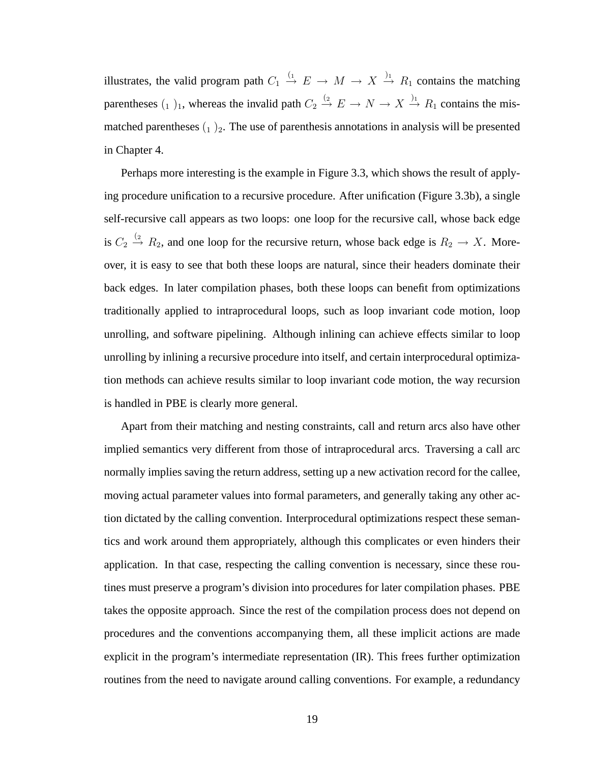illustrates, the valid program path  $C_1 \stackrel{(1)}{\rightarrow} E \rightarrow M \rightarrow X \stackrel{j_1}{\rightarrow} R_1$  contains the matching parentheses  $(1)$ <sub>1</sub>, whereas the invalid path  $C_2 \stackrel{(2)}{\rightarrow} E \rightarrow N \rightarrow X \stackrel{)}{\rightarrow} R_1$  contains the mismatched parentheses  $(1)$ <sub>2</sub>. The use of parenthesis annotations in analysis will be presented in Chapter 4.

Perhaps more interesting is the example in Figure 3.3, which shows the result of applying procedure unification to a recursive procedure. After unification (Figure 3.3b), a single self-recursive call appears as two loops: one loop for the recursive call, whose back edge is  $C_2 \stackrel{(2)}{\rightarrow} R_2$ , and one loop for the recursive return, whose back edge is  $R_2 \rightarrow X$ . Moreover, it is easy to see that both these loops are natural, since their headers dominate their back edges. In later compilation phases, both these loops can benefit from optimizations traditionally applied to intraprocedural loops, such as loop invariant code motion, loop unrolling, and software pipelining. Although inlining can achieve effects similar to loop unrolling by inlining a recursive procedure into itself, and certain interprocedural optimization methods can achieve results similar to loop invariant code motion, the way recursion is handled in PBE is clearly more general.

Apart from their matching and nesting constraints, call and return arcs also have other implied semantics very different from those of intraprocedural arcs. Traversing a call arc normally implies saving the return address, setting up a new activation record for the callee, moving actual parameter values into formal parameters, and generally taking any other action dictated by the calling convention. Interprocedural optimizations respect these semantics and work around them appropriately, although this complicates or even hinders their application. In that case, respecting the calling convention is necessary, since these routines must preserve a program's division into procedures for later compilation phases. PBE takes the opposite approach. Since the rest of the compilation process does not depend on procedures and the conventions accompanying them, all these implicit actions are made explicit in the program's intermediate representation (IR). This frees further optimization routines from the need to navigate around calling conventions. For example, a redundancy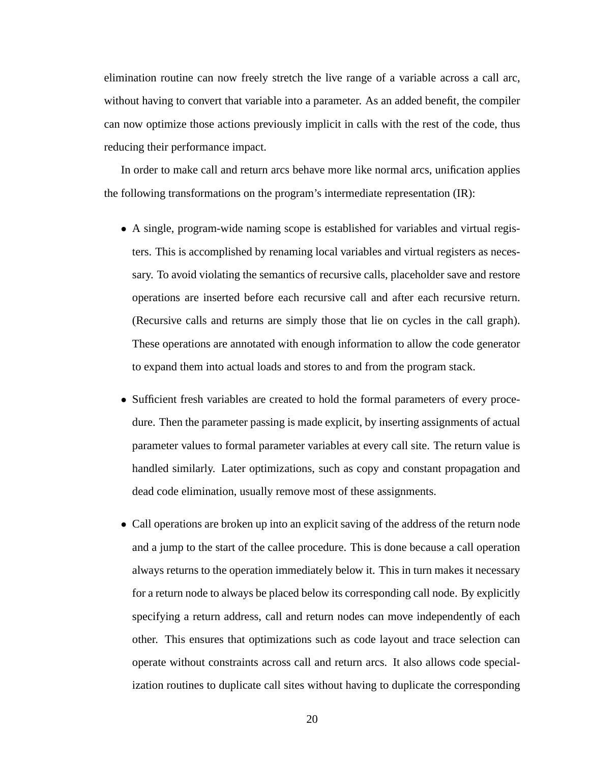elimination routine can now freely stretch the live range of a variable across a call arc, without having to convert that variable into a parameter. As an added benefit, the compiler can now optimize those actions previously implicit in calls with the rest of the code, thus reducing their performance impact.

In order to make call and return arcs behave more like normal arcs, unification applies the following transformations on the program's intermediate representation (IR):

- A single, program-wide naming scope is established for variables and virtual registers. This is accomplished by renaming local variables and virtual registers as necessary. To avoid violating the semantics of recursive calls, placeholder save and restore operations are inserted before each recursive call and after each recursive return. (Recursive calls and returns are simply those that lie on cycles in the call graph). These operations are annotated with enough information to allow the code generator to expand them into actual loads and stores to and from the program stack.
- Sufficient fresh variables are created to hold the formal parameters of every procedure. Then the parameter passing is made explicit, by inserting assignments of actual parameter values to formal parameter variables at every call site. The return value is handled similarly. Later optimizations, such as copy and constant propagation and dead code elimination, usually remove most of these assignments.
- Call operations are broken up into an explicit saving of the address of the return node and a jump to the start of the callee procedure. This is done because a call operation always returns to the operation immediately below it. This in turn makes it necessary for a return node to always be placed below its corresponding call node. By explicitly specifying a return address, call and return nodes can move independently of each other. This ensures that optimizations such as code layout and trace selection can operate without constraints across call and return arcs. It also allows code specialization routines to duplicate call sites without having to duplicate the corresponding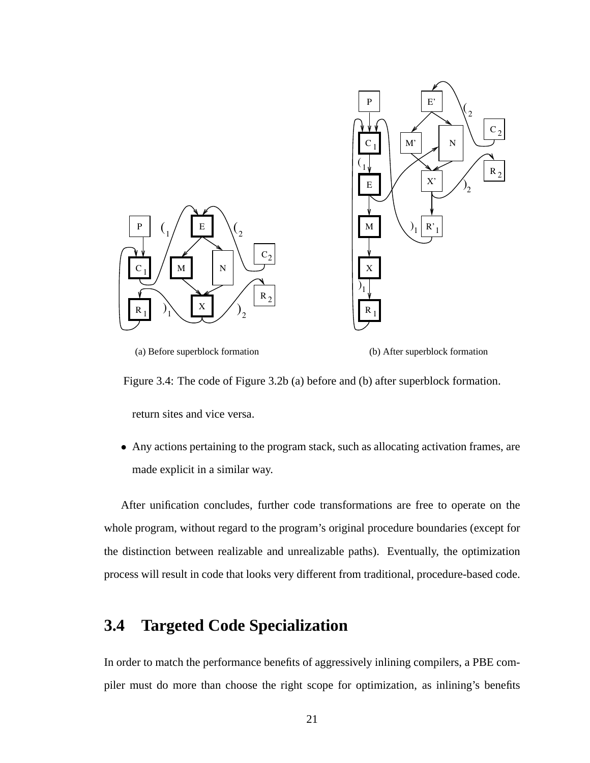

(a) Before superblock formation

(b) After superblock formation

Figure 3.4: The code of Figure 3.2b (a) before and (b) after superblock formation.

return sites and vice versa.

• Any actions pertaining to the program stack, such as allocating activation frames, are made explicit in a similar way.

After unification concludes, further code transformations are free to operate on the whole program, without regard to the program's original procedure boundaries (except for the distinction between realizable and unrealizable paths). Eventually, the optimization process will result in code that looks very different from traditional, procedure-based code.

#### **3.4 Targeted Code Specialization**

In order to match the performance benefits of aggressively inlining compilers, a PBE compiler must do more than choose the right scope for optimization, as inlining's benefits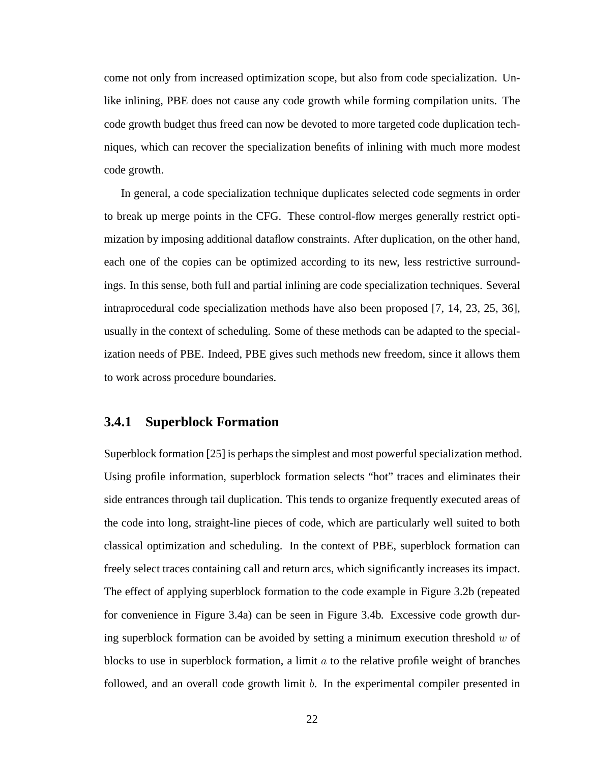come not only from increased optimization scope, but also from code specialization. Unlike inlining, PBE does not cause any code growth while forming compilation units. The code growth budget thus freed can now be devoted to more targeted code duplication techniques, which can recover the specialization benefits of inlining with much more modest code growth.

In general, a code specialization technique duplicates selected code segments in order to break up merge points in the CFG. These control-flow merges generally restrict optimization by imposing additional dataflow constraints. After duplication, on the other hand, each one of the copies can be optimized according to its new, less restrictive surroundings. In this sense, both full and partial inlining are code specialization techniques. Several intraprocedural code specialization methods have also been proposed [7, 14, 23, 25, 36], usually in the context of scheduling. Some of these methods can be adapted to the specialization needs of PBE. Indeed, PBE gives such methods new freedom, since it allows them to work across procedure boundaries.

#### **3.4.1 Superblock Formation**

Superblock formation [25] is perhaps the simplest and most powerful specialization method. Using profile information, superblock formation selects "hot" traces and eliminates their side entrances through tail duplication. This tends to organize frequently executed areas of the code into long, straight-line pieces of code, which are particularly well suited to both classical optimization and scheduling. In the context of PBE, superblock formation can freely select traces containing call and return arcs, which significantly increases its impact. The effect of applying superblock formation to the code example in Figure 3.2b (repeated for convenience in Figure 3.4a) can be seen in Figure 3.4b. Excessive code growth during superblock formation can be avoided by setting a minimum execution threshold  $w$  of blocks to use in superblock formation, a limit  $a$  to the relative profile weight of branches followed, and an overall code growth limit b. In the experimental compiler presented in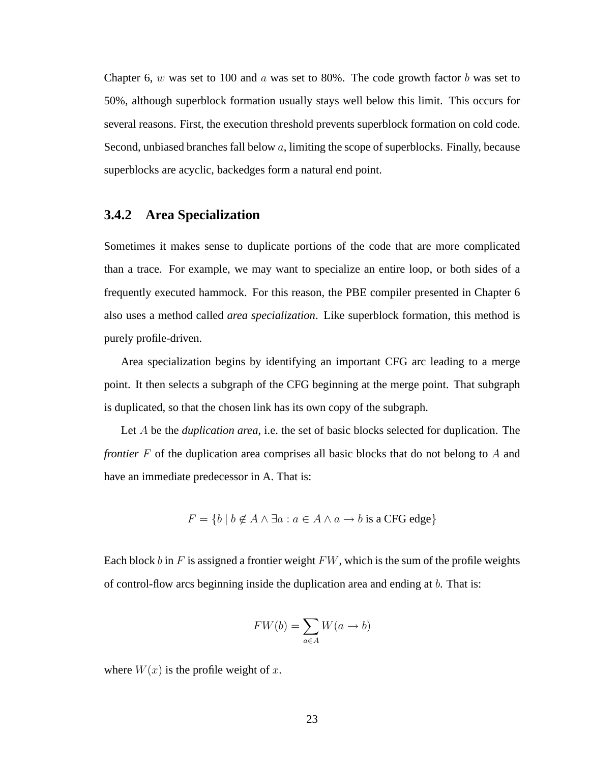Chapter 6,  $w$  was set to 100 and  $a$  was set to 80%. The code growth factor  $b$  was set to 50%, although superblock formation usually stays well below this limit. This occurs for several reasons. First, the execution threshold prevents superblock formation on cold code. Second, unbiased branches fall below  $a$ , limiting the scope of superblocks. Finally, because superblocks are acyclic, backedges form a natural end point.

#### **3.4.2 Area Specialization**

Sometimes it makes sense to duplicate portions of the code that are more complicated than a trace. For example, we may want to specialize an entire loop, or both sides of a frequently executed hammock. For this reason, the PBE compiler presented in Chapter 6 also uses a method called *area specialization*. Like superblock formation, this method is purely profile-driven.

Area specialization begins by identifying an important CFG arc leading to a merge point. It then selects a subgraph of the CFG beginning at the merge point. That subgraph is duplicated, so that the chosen link has its own copy of the subgraph.

Let A be the *duplication area*, i.e. the set of basic blocks selected for duplication. The *frontier* F of the duplication area comprises all basic blocks that do not belong to A and have an immediate predecessor in A. That is:

$$
F = \{ b \mid b \notin A \land \exists a : a \in A \land a \rightarrow b \text{ is a CFG edge} \}
$$

Each block b in F is assigned a frontier weight  $FW$ , which is the sum of the profile weights of control-flow arcs beginning inside the duplication area and ending at b. That is:

$$
FW(b) = \sum_{a \in A} W(a \to b)
$$

where  $W(x)$  is the profile weight of x.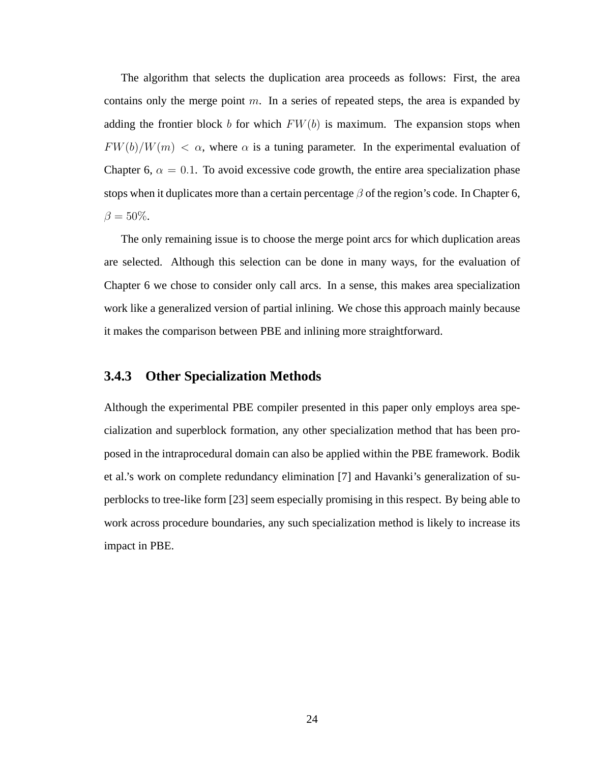The algorithm that selects the duplication area proceeds as follows: First, the area contains only the merge point  $m$ . In a series of repeated steps, the area is expanded by adding the frontier block b for which  $FW(b)$  is maximum. The expansion stops when  $FW(b)/W(m) < \alpha$ , where  $\alpha$  is a tuning parameter. In the experimental evaluation of Chapter 6,  $\alpha = 0.1$ . To avoid excessive code growth, the entire area specialization phase stops when it duplicates more than a certain percentage  $\beta$  of the region's code. In Chapter 6,  $\beta = 50\%.$ 

The only remaining issue is to choose the merge point arcs for which duplication areas are selected. Although this selection can be done in many ways, for the evaluation of Chapter 6 we chose to consider only call arcs. In a sense, this makes area specialization work like a generalized version of partial inlining. We chose this approach mainly because it makes the comparison between PBE and inlining more straightforward.

#### **3.4.3 Other Specialization Methods**

Although the experimental PBE compiler presented in this paper only employs area specialization and superblock formation, any other specialization method that has been proposed in the intraprocedural domain can also be applied within the PBE framework. Bodik et al.'s work on complete redundancy elimination [7] and Havanki's generalization of superblocks to tree-like form [23] seem especially promising in this respect. By being able to work across procedure boundaries, any such specialization method is likely to increase its impact in PBE.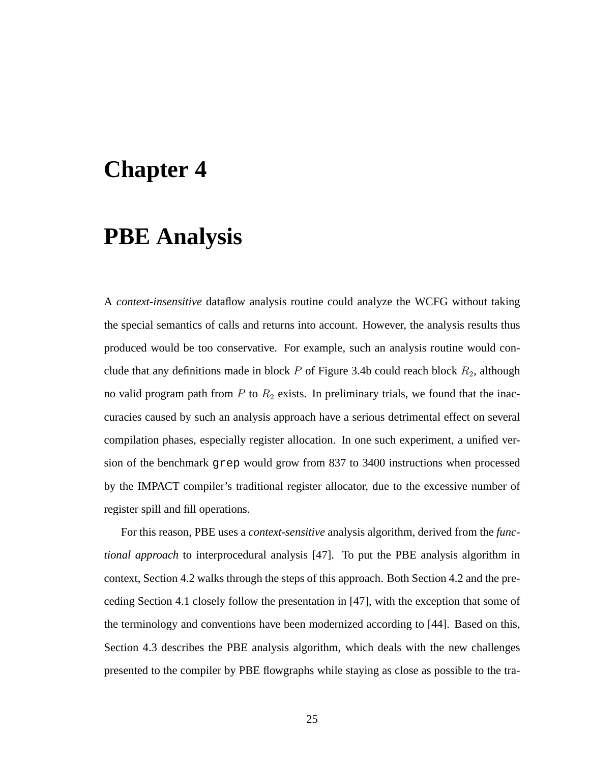## **Chapter 4**

## **PBE Analysis**

A *context-insensitive* dataflow analysis routine could analyze the WCFG without taking the special semantics of calls and returns into account. However, the analysis results thus produced would be too conservative. For example, such an analysis routine would conclude that any definitions made in block  $P$  of Figure 3.4b could reach block  $R_2$ , although no valid program path from  $P$  to  $R_2$  exists. In preliminary trials, we found that the inaccuracies caused by such an analysis approach have a serious detrimental effect on several compilation phases, especially register allocation. In one such experiment, a unified version of the benchmark grep would grow from 837 to 3400 instructions when processed by the IMPACT compiler's traditional register allocator, due to the excessive number of register spill and fill operations.

For this reason, PBE uses a *context-sensitive* analysis algorithm, derived from the *functional approach* to interprocedural analysis [47]. To put the PBE analysis algorithm in context, Section 4.2 walks through the steps of this approach. Both Section 4.2 and the preceding Section 4.1 closely follow the presentation in [47], with the exception that some of the terminology and conventions have been modernized according to [44]. Based on this, Section 4.3 describes the PBE analysis algorithm, which deals with the new challenges presented to the compiler by PBE flowgraphs while staying as close as possible to the tra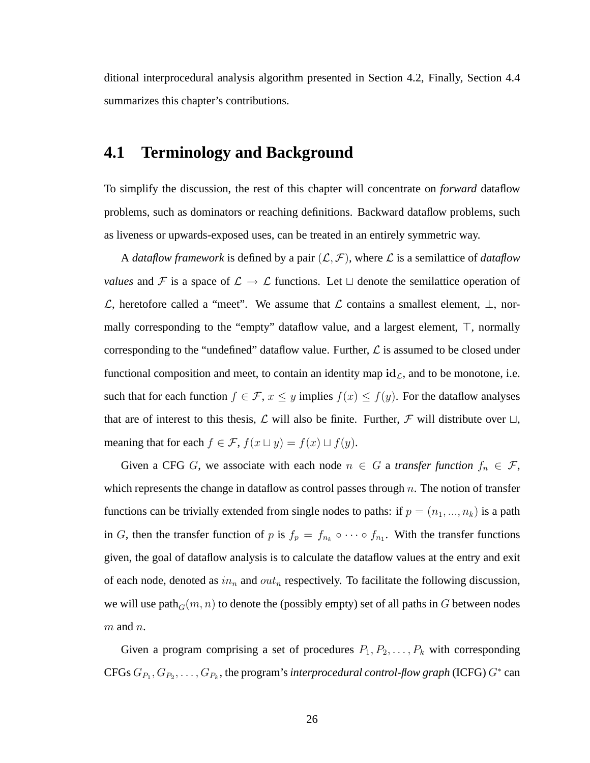ditional interprocedural analysis algorithm presented in Section 4.2, Finally, Section 4.4 summarizes this chapter's contributions.

#### **4.1 Terminology and Background**

To simplify the discussion, the rest of this chapter will concentrate on *forward* dataflow problems, such as dominators or reaching definitions. Backward dataflow problems, such as liveness or upwards-exposed uses, can be treated in an entirely symmetric way.

A *dataflow framework* is defined by a pair  $(L, \mathcal{F})$ , where L is a semilattice of *dataflow values* and F is a space of  $\mathcal{L} \to \mathcal{L}$  functions. Let  $\sqcup$  denote the semilattice operation of  $\mathcal{L}$ , heretofore called a "meet". We assume that  $\mathcal{L}$  contains a smallest element,  $\bot$ , normally corresponding to the "empty" dataflow value, and a largest element,  $\top$ , normally corresponding to the "undefined" dataflow value. Further,  $\mathcal L$  is assumed to be closed under functional composition and meet, to contain an identity map  $id_{\mathcal{L}}$ , and to be monotone, i.e. such that for each function  $f \in \mathcal{F}$ ,  $x \leq y$  implies  $f(x) \leq f(y)$ . For the dataflow analyses that are of interest to this thesis,  $\mathcal L$  will also be finite. Further,  $\mathcal F$  will distribute over  $\sqcup$ , meaning that for each  $f \in \mathcal{F}$ ,  $f(x \sqcup y) = f(x) \sqcup f(y)$ .

Given a CFG G, we associate with each node  $n \in G$  a *transfer function*  $f_n \in \mathcal{F}$ , which represents the change in dataflow as control passes through  $n$ . The notion of transfer functions can be trivially extended from single nodes to paths: if  $p = (n_1, ..., n_k)$  is a path in G, then the transfer function of p is  $f_p = f_{n_k} \circ \cdots \circ f_{n_1}$ . With the transfer functions given, the goal of dataflow analysis is to calculate the dataflow values at the entry and exit of each node, denoted as  $in_n$  and  $out_n$  respectively. To facilitate the following discussion, we will use path $_G(m, n)$  to denote the (possibly empty) set of all paths in G between nodes  $m$  and  $n$ .

Given a program comprising a set of procedures  $P_1, P_2, \ldots, P_k$  with corresponding CFGs  $G_{P_1}, G_{P_2}, \ldots, G_{P_k}$ , the program's *interprocedural control-flow graph* (ICFG)  $G^*$  can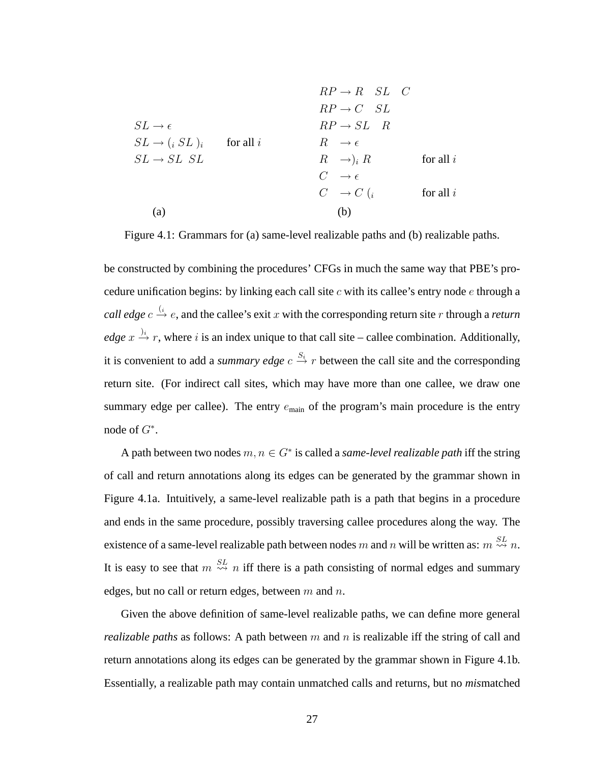$$
RP \to R \quad SL \quad C
$$
\n
$$
RP \to C \quad SL \quad C
$$
\n
$$
RP \to C \quad SL
$$
\n
$$
RP \to SL \quad R
$$
\n
$$
SL \to (i \quad SL)_i \qquad \text{for all } i
$$
\n
$$
R \to \epsilon
$$
\n
$$
SL \to SL \quad SL \quad R \quad \to i \quad R \quad \to i \quad R \quad \text{for all } i
$$
\n
$$
C \to \epsilon
$$
\n
$$
C \to C \quad (i \qquad \text{for all } i
$$
\n(a)\n(b)

Figure 4.1: Grammars for (a) same-level realizable paths and (b) realizable paths.

be constructed by combining the procedures' CFGs in much the same way that PBE's procedure unification begins: by linking each call site  $c$  with its callee's entry node  $e$  through a *call edge*  $c \xrightarrow{i} e$ , and the callee's exit x with the corresponding return site r through a *return edge*  $x \stackrel{\rightarrow}{\rightarrow} r$ , where *i* is an index unique to that call site – callee combination. Additionally, it is convenient to add a *summary edge*  $c \stackrel{S_i}{\rightarrow} r$  between the call site and the corresponding return site. (For indirect call sites, which may have more than one callee, we draw one summary edge per callee). The entry  $e_{\text{main}}$  of the program's main procedure is the entry node of  $G^*$ .

A path between two nodes  $m, n \in G^*$  is called a *same-level realizable path* iff the string of call and return annotations along its edges can be generated by the grammar shown in Figure 4.1a. Intuitively, a same-level realizable path is a path that begins in a procedure and ends in the same procedure, possibly traversing callee procedures along the way. The existence of a same-level realizable path between nodes m and n will be written as:  $m \stackrel{SL}{\leadsto} n$ . It is easy to see that  $m \stackrel{SL}{\leadsto} n$  iff there is a path consisting of normal edges and summary edges, but no call or return edges, between  $m$  and  $n$ .

Given the above definition of same-level realizable paths, we can define more general *realizable paths* as follows: A path between  $m$  and  $n$  is realizable iff the string of call and return annotations along its edges can be generated by the grammar shown in Figure 4.1b. Essentially, a realizable path may contain unmatched calls and returns, but no *mis*matched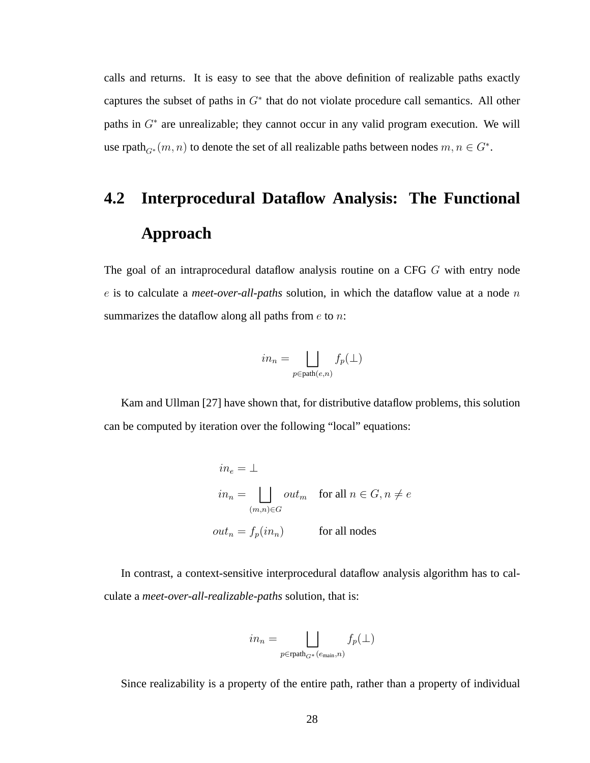calls and returns. It is easy to see that the above definition of realizable paths exactly captures the subset of paths in  $G^*$  that do not violate procedure call semantics. All other paths in  $G^*$  are unrealizable; they cannot occur in any valid program execution. We will use rpath $_{G^*}(m, n)$  to denote the set of all realizable paths between nodes  $m, n \in G^*$ .

# **4.2 Interprocedural Dataflow Analysis: The Functional Approach**

The goal of an intraprocedural dataflow analysis routine on a CFG G with entry node e is to calculate a *meet-over-all-paths* solution, in which the dataflow value at a node n summarizes the dataflow along all paths from  $e$  to  $n$ :

$$
in_n=\bigsqcup_{p\in\operatorname{path}(e,n)}f_p(\bot)
$$

Kam and Ullman [27] have shown that, for distributive dataflow problems, this solution can be computed by iteration over the following "local" equations:

$$
in_e = \bot
$$
  
\n
$$
in_n = \bigsqcup_{(m,n)\in G} out_m \quad \text{for all } n \in G, n \neq e
$$
  
\n
$$
out_n = f_p(in_n) \qquad \text{for all nodes}
$$

In contrast, a context-sensitive interprocedural dataflow analysis algorithm has to calculate a *meet-over-all-realizable-paths* solution, that is:

$$
in_n=\bigsqcup_{p\in \text{rpath}_{G^*}(e_{\text{main}},n)}f_p(\bot)
$$

Since realizability is a property of the entire path, rather than a property of individual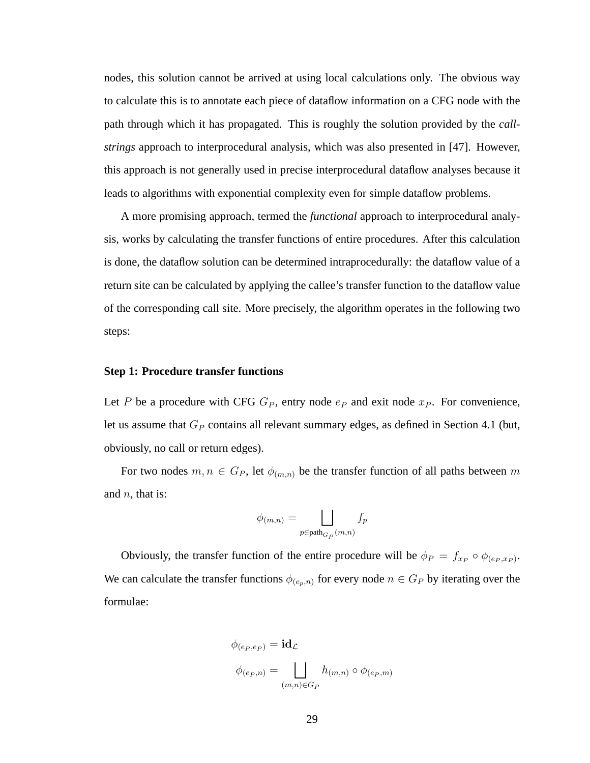nodes, this solution cannot be arrived at using local calculations only. The obvious way to calculate this is to annotate each piece of dataflow information on a CFG node with the path through which it has propagated. This is roughly the solution provided by the *callstrings* approach to interprocedural analysis, which was also presented in [47]. However, this approach is not generally used in precise interprocedural dataflow analyses because it leads to algorithms with exponential complexity even for simple dataflow problems.

A more promising approach, termed the *functional* approach to interprocedural analysis, works by calculating the transfer functions of entire procedures. After this calculation is done, the dataflow solution can be determined intraprocedurally: the dataflow value of a return site can be calculated by applying the callee's transfer function to the dataflow value of the corresponding call site. More precisely, the algorithm operates in the following two steps:

#### **Step 1: Procedure transfer functions**

Let P be a procedure with CFG  $G_P$ , entry node  $e_P$  and exit node  $x_P$ . For convenience, let us assume that  $G_P$  contains all relevant summary edges, as defined in Section 4.1 (but, obviously, no call or return edges).

For two nodes  $m, n \in G_P$ , let  $\phi_{(m,n)}$  be the transfer function of all paths between m and  $n$ , that is:

$$
\phi_{(m,n)} = \bigsqcup_{p \in \operatorname{path}_{G_P}(m,n)} f_p
$$

Obviously, the transfer function of the entire procedure will be  $\phi_P = f_{x_P} \circ \phi_{(e_P, x_P)}$ . We can calculate the transfer functions  $\phi_{(e_p,n)}$  for every node  $n \in G_P$  by iterating over the formulae:

$$
\phi_{(e_P, e_P)} = \mathbf{id}_{\mathcal{L}}
$$
  

$$
\phi_{(e_P, n)} = \bigsqcup_{(m,n) \in G_P} h_{(m,n)} \circ \phi_{(e_P, m)}
$$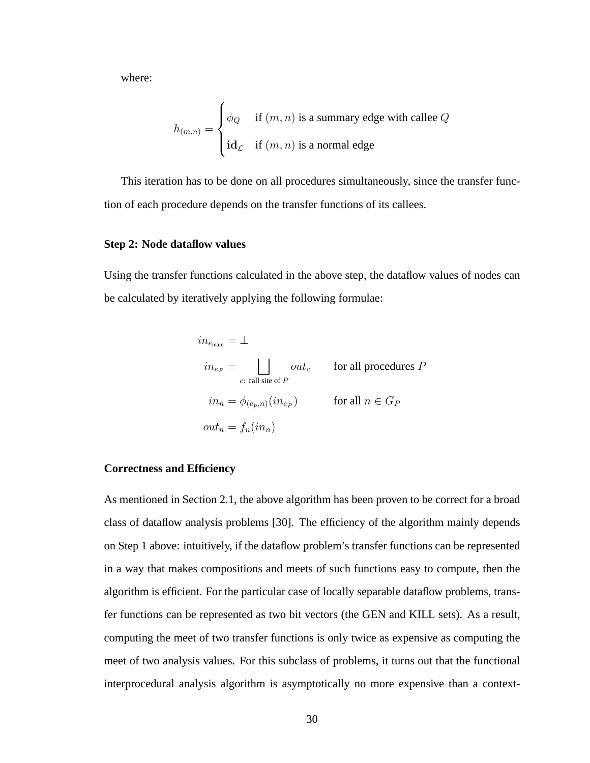where:

$$
h_{(m,n)} = \begin{cases} \phi_Q & \text{if } (m,n) \text{ is a summary edge with called } Q \\ \text{id}_\mathcal{L} & \text{if } (m,n) \text{ is a normal edge} \end{cases}
$$

This iteration has to be done on all procedures simultaneously, since the transfer function of each procedure depends on the transfer functions of its callees.

### **Step 2: Node dataflow values**

Using the transfer functions calculated in the above step, the dataflow values of nodes can be calculated by iteratively applying the following formulae:

$$
in_{e_{\text{main}}} = \bot
$$
\n
$$
in_{ep} = \bigsqcup_{c:\text{ call site of } P} out_c \qquad \text{for all procedures } P
$$
\n
$$
in_n = \phi_{(e_p, n)}(in_{ep}) \qquad \text{for all } n \in G_P
$$
\n
$$
out_n = f_n(in_n)
$$

### **Correctness and Efficiency**

As mentioned in Section 2.1, the above algorithm has been proven to be correct for a broad class of dataflow analysis problems [30]. The efficiency of the algorithm mainly depends on Step 1 above: intuitively, if the dataflow problem's transfer functions can be represented in a way that makes compositions and meets of such functions easy to compute, then the algorithm is efficient. For the particular case of locally separable dataflow problems, transfer functions can be represented as two bit vectors (the GEN and KILL sets). As a result, computing the meet of two transfer functions is only twice as expensive as computing the meet of two analysis values. For this subclass of problems, it turns out that the functional interprocedural analysis algorithm is asymptotically no more expensive than a context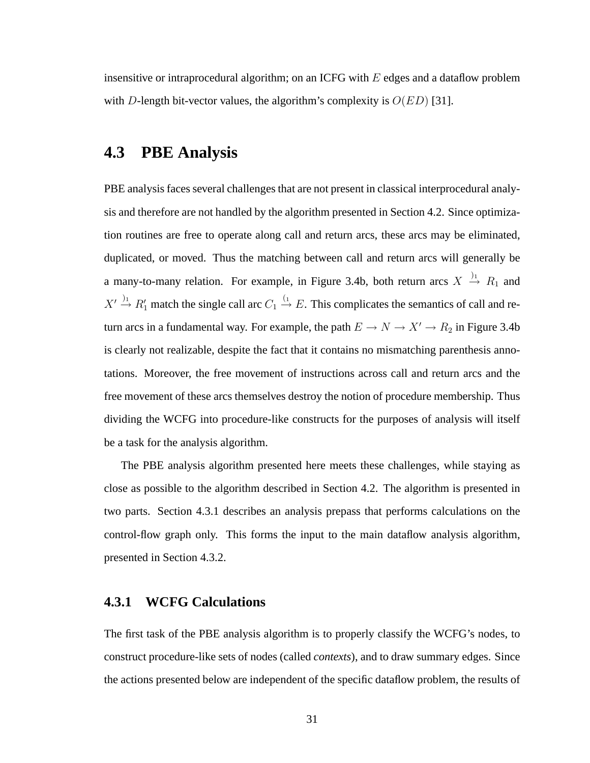insensitive or intraprocedural algorithm; on an ICFG with  $E$  edges and a dataflow problem with D-length bit-vector values, the algorithm's complexity is  $O(ED)$  [31].

## **4.3 PBE Analysis**

PBE analysis faces several challenges that are not present in classical interprocedural analysis and therefore are not handled by the algorithm presented in Section 4.2. Since optimization routines are free to operate along call and return arcs, these arcs may be eliminated, duplicated, or moved. Thus the matching between call and return arcs will generally be a many-to-many relation. For example, in Figure 3.4b, both return arcs  $X \stackrel{\rightarrow}{\rightarrow} R_1$  and  $X' \stackrel{\rightarrow}{\rightarrow} R'_1$  match the single call arc  $C_1 \stackrel{(1)}{\rightarrow} E$ . This complicates the semantics of call and return arcs in a fundamental way. For example, the path  $E \to N \to X' \to R_2$  in Figure 3.4b is clearly not realizable, despite the fact that it contains no mismatching parenthesis annotations. Moreover, the free movement of instructions across call and return arcs and the free movement of these arcs themselves destroy the notion of procedure membership. Thus dividing the WCFG into procedure-like constructs for the purposes of analysis will itself be a task for the analysis algorithm.

The PBE analysis algorithm presented here meets these challenges, while staying as close as possible to the algorithm described in Section 4.2. The algorithm is presented in two parts. Section 4.3.1 describes an analysis prepass that performs calculations on the control-flow graph only. This forms the input to the main dataflow analysis algorithm, presented in Section 4.3.2.

### **4.3.1 WCFG Calculations**

The first task of the PBE analysis algorithm is to properly classify the WCFG's nodes, to construct procedure-like sets of nodes (called *contexts*), and to draw summary edges. Since the actions presented below are independent of the specific dataflow problem, the results of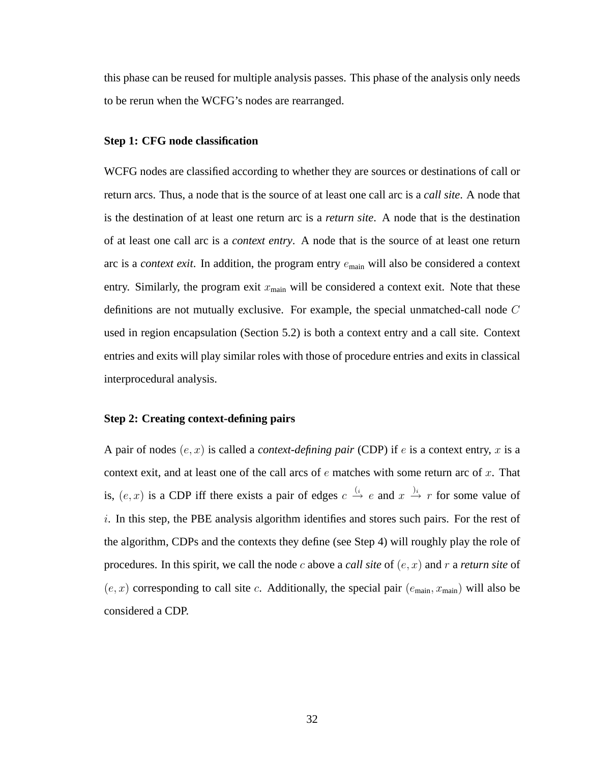this phase can be reused for multiple analysis passes. This phase of the analysis only needs to be rerun when the WCFG's nodes are rearranged.

#### **Step 1: CFG node classification**

WCFG nodes are classified according to whether they are sources or destinations of call or return arcs. Thus, a node that is the source of at least one call arc is a *call site*. A node that is the destination of at least one return arc is a *return site*. A node that is the destination of at least one call arc is a *context entry*. A node that is the source of at least one return arc is a *context exit*. In addition, the program entry emain will also be considered a context entry. Similarly, the program exit  $x_{\text{main}}$  will be considered a context exit. Note that these definitions are not mutually exclusive. For example, the special unmatched-call node C used in region encapsulation (Section 5.2) is both a context entry and a call site. Context entries and exits will play similar roles with those of procedure entries and exits in classical interprocedural analysis.

### **Step 2: Creating context-defining pairs**

A pair of nodes  $(e, x)$  is called a *context-defining pair* (CDP) if  $e$  is a context entry,  $x$  is a context exit, and at least one of the call arcs of  $e$  matches with some return arc of  $x$ . That is,  $(e, x)$  is a CDP iff there exists a pair of edges  $c \stackrel{(i)}{\rightarrow} e$  and  $x \stackrel{j_i}{\rightarrow} r$  for some value of  $i$ . In this step, the PBE analysis algorithm identifies and stores such pairs. For the rest of the algorithm, CDPs and the contexts they define (see Step 4) will roughly play the role of procedures. In this spirit, we call the node c above a *call site* of  $(e, x)$  and r a *return site* of  $(e, x)$  corresponding to call site c. Additionally, the special pair  $(e_{\text{main}}, x_{\text{main}})$  will also be considered a CDP.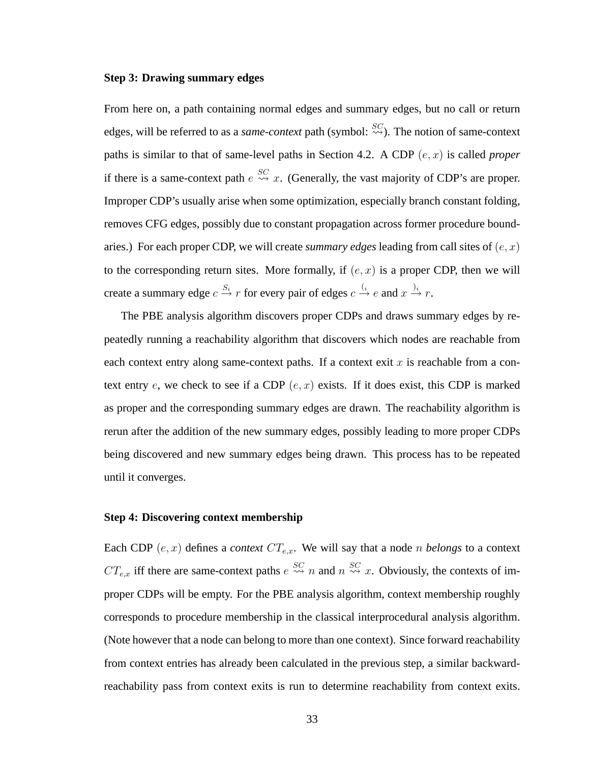#### **Step 3: Drawing summary edges**

From here on, a path containing normal edges and summary edges, but no call or return edges, will be referred to as a *same-context* path (symbol:  $\frac{SC}{\sim}$ ). The notion of same-context paths is similar to that of same-level paths in Section 4.2. A CDP (e, x) is called *proper* if there is a same-context path  $e \stackrel{SC}{\leadsto} x$ . (Generally, the vast majority of CDP's are proper. Improper CDP's usually arise when some optimization, especially branch constant folding, removes CFG edges, possibly due to constant propagation across former procedure boundaries.) For each proper CDP, we will create *summary edges* leading from call sites of  $(e, x)$ to the corresponding return sites. More formally, if  $(e, x)$  is a proper CDP, then we will create a summary edge  $c \stackrel{S_i}{\to} r$  for every pair of edges  $c \stackrel{(i)}{\to} e$  and  $x \stackrel{j_i}{\to} r$ .

The PBE analysis algorithm discovers proper CDPs and draws summary edges by repeatedly running a reachability algorithm that discovers which nodes are reachable from each context entry along same-context paths. If a context exit  $x$  is reachable from a context entry e, we check to see if a CDP  $(e, x)$  exists. If it does exist, this CDP is marked as proper and the corresponding summary edges are drawn. The reachability algorithm is rerun after the addition of the new summary edges, possibly leading to more proper CDPs being discovered and new summary edges being drawn. This process has to be repeated until it converges.

### **Step 4: Discovering context membership**

Each CDP  $(e, x)$  defines a *context*  $CT_{e,x}$ . We will say that a node *n belongs* to a context  $CT_{e,x}$  iff there are same-context paths  $e \stackrel{SC}{\leadsto} n$  and  $n \stackrel{SC}{\leadsto} x$ . Obviously, the contexts of improper CDPs will be empty. For the PBE analysis algorithm, context membership roughly corresponds to procedure membership in the classical interprocedural analysis algorithm. (Note however that a node can belong to more than one context). Since forward reachability from context entries has already been calculated in the previous step, a similar backwardreachability pass from context exits is run to determine reachability from context exits.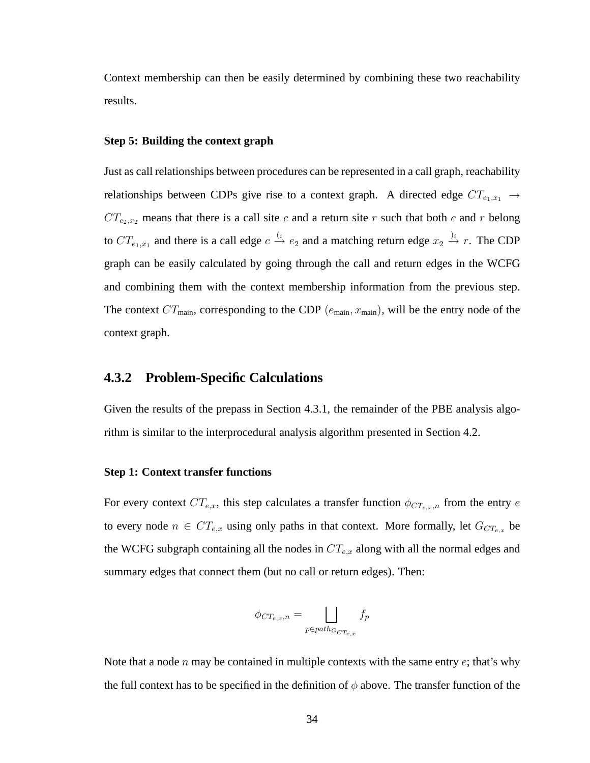Context membership can then be easily determined by combining these two reachability results.

#### **Step 5: Building the context graph**

Just as call relationships between procedures can be represented in a call graph, reachability relationships between CDPs give rise to a context graph. A directed edge  $CT_{e_1,x_1} \rightarrow$  $CT_{e_2,x_2}$  means that there is a call site c and a return site r such that both c and r belong to  $CT_{e_1,x_1}$  and there is a call edge  $c \stackrel{(i)}{\rightarrow} e_2$  and a matching return edge  $x_2 \stackrel{j_i}{\rightarrow} r$ . The CDP graph can be easily calculated by going through the call and return edges in the WCFG and combining them with the context membership information from the previous step. The context  $CT_{\text{main}}$ , corresponding to the CDP ( $e_{\text{main}}$ ,  $x_{\text{main}}$ ), will be the entry node of the context graph.

## **4.3.2 Problem-Specific Calculations**

Given the results of the prepass in Section 4.3.1, the remainder of the PBE analysis algorithm is similar to the interprocedural analysis algorithm presented in Section 4.2.

#### **Step 1: Context transfer functions**

For every context  $CT_{e,x}$ , this step calculates a transfer function  $\phi_{CT_{e,x},n}$  from the entry e to every node  $n \in CT_{e,x}$  using only paths in that context. More formally, let  $G_{CT_{e,x}}$  be the WCFG subgraph containing all the nodes in  $CT_{e,x}$  along with all the normal edges and summary edges that connect them (but no call or return edges). Then:

$$
\phi_{CT_{e,x},n} = \bigsqcup_{p \in path_{G_{CT_{e,x}}}} f_p
$$

Note that a node n may be contained in multiple contexts with the same entry  $e$ ; that's why the full context has to be specified in the definition of  $\phi$  above. The transfer function of the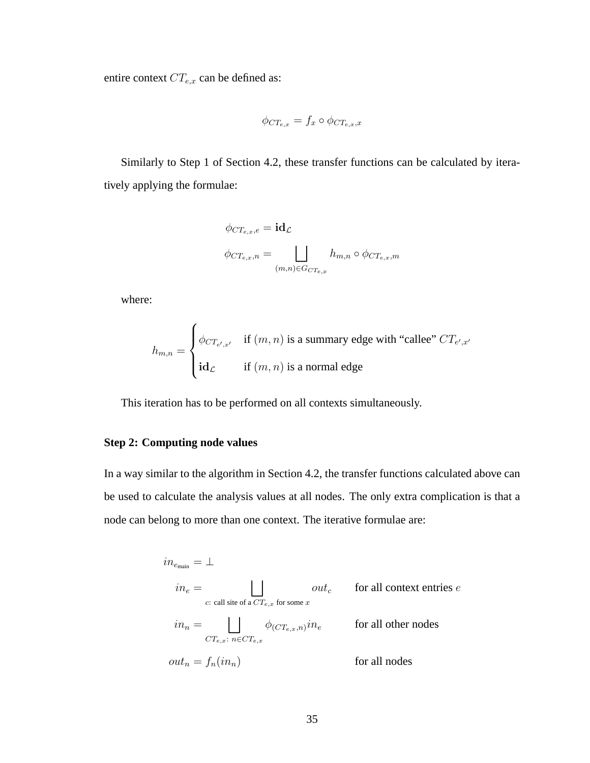entire context  $CT_{e,x}$  can be defined as:

$$
\phi_{CT_{e,x}} = f_x \circ \phi_{CT_{e,x},x}
$$

Similarly to Step 1 of Section 4.2, these transfer functions can be calculated by iteratively applying the formulae:

$$
\phi_{CT_{e,x},e} = id_{\mathcal{L}}
$$

$$
\phi_{CT_{e,x},n} = \bigsqcup_{(m,n)\in G_{CT_{e,x}}} h_{m,n} \circ \phi_{CT_{e,x},m}
$$

where:

$$
h_{m,n} = \begin{cases} \phi_{CT_{e',x'}} & \text{if } (m,n) \text{ is a summary edge with "called" } CT_{e',x'} \\ \text{id}_{\mathcal{L}} & \text{if } (m,n) \text{ is a normal edge} \end{cases}
$$

This iteration has to be performed on all contexts simultaneously.

### **Step 2: Computing node values**

In a way similar to the algorithm in Section 4.2, the transfer functions calculated above can be used to calculate the analysis values at all nodes. The only extra complication is that a node can belong to more than one context. The iterative formulae are:

$$
\begin{aligned} in_{e_{\text{main}}} &= \bot \\ in_e &= \bigsqcup_{c: \text{ call site of a } CT_{e,x} \text{ for some } x} out_c & \text{ for all context entries } e \\ in_n &= \bigsqcup_{CT_{e,x}:\text{ } n \in CT_{e,x}} \phi_{(CT_{e,x},n)} in_e & \text{ for all other nodes} \\ out_n &= f_n(in_n) & \text{ for all nodes} \end{aligned}
$$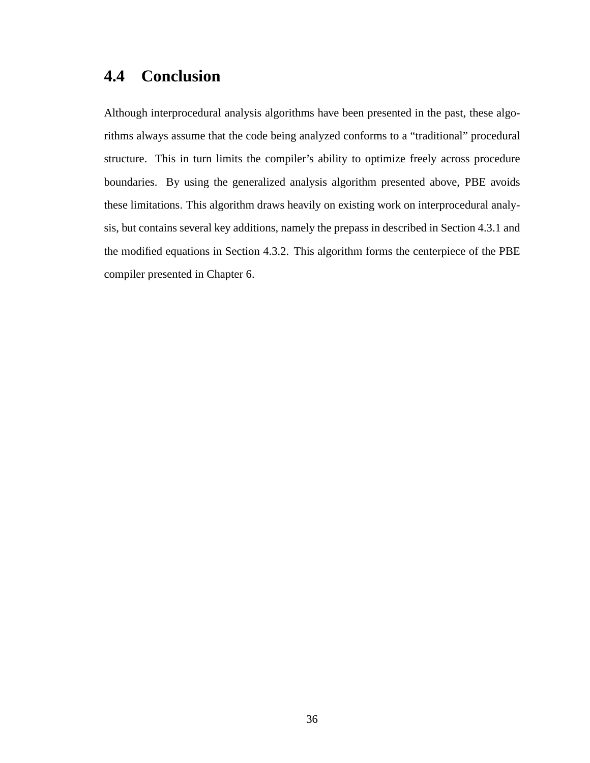## **4.4 Conclusion**

Although interprocedural analysis algorithms have been presented in the past, these algorithms always assume that the code being analyzed conforms to a "traditional" procedural structure. This in turn limits the compiler's ability to optimize freely across procedure boundaries. By using the generalized analysis algorithm presented above, PBE avoids these limitations. This algorithm draws heavily on existing work on interprocedural analysis, but contains several key additions, namely the prepass in described in Section 4.3.1 and the modified equations in Section 4.3.2. This algorithm forms the centerpiece of the PBE compiler presented in Chapter 6.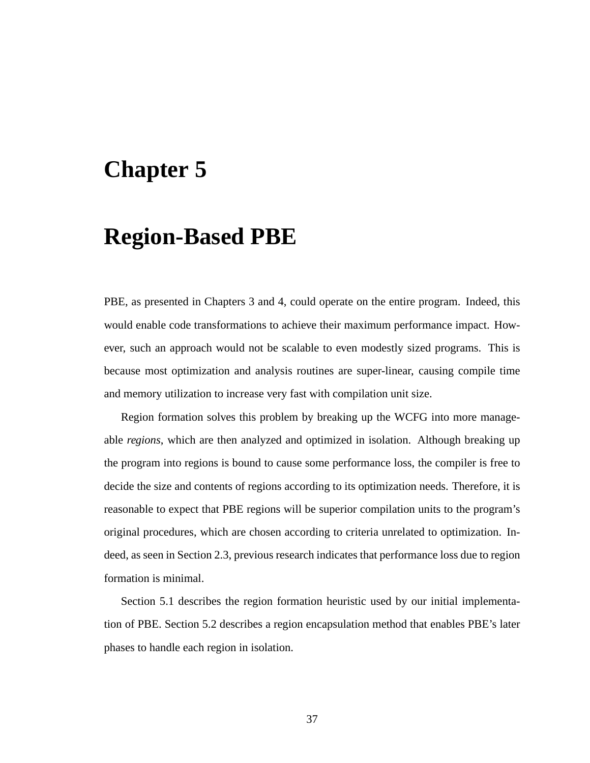## **Chapter 5**

## **Region-Based PBE**

PBE, as presented in Chapters 3 and 4, could operate on the entire program. Indeed, this would enable code transformations to achieve their maximum performance impact. However, such an approach would not be scalable to even modestly sized programs. This is because most optimization and analysis routines are super-linear, causing compile time and memory utilization to increase very fast with compilation unit size.

Region formation solves this problem by breaking up the WCFG into more manageable *regions*, which are then analyzed and optimized in isolation. Although breaking up the program into regions is bound to cause some performance loss, the compiler is free to decide the size and contents of regions according to its optimization needs. Therefore, it is reasonable to expect that PBE regions will be superior compilation units to the program's original procedures, which are chosen according to criteria unrelated to optimization. Indeed, as seen in Section 2.3, previous research indicates that performance loss due to region formation is minimal.

Section 5.1 describes the region formation heuristic used by our initial implementation of PBE. Section 5.2 describes a region encapsulation method that enables PBE's later phases to handle each region in isolation.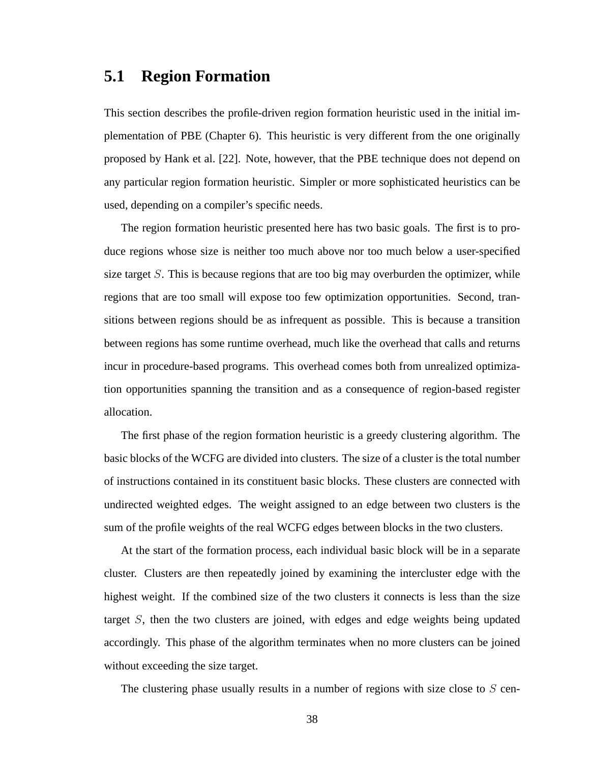## **5.1 Region Formation**

This section describes the profile-driven region formation heuristic used in the initial implementation of PBE (Chapter 6). This heuristic is very different from the one originally proposed by Hank et al. [22]. Note, however, that the PBE technique does not depend on any particular region formation heuristic. Simpler or more sophisticated heuristics can be used, depending on a compiler's specific needs.

The region formation heuristic presented here has two basic goals. The first is to produce regions whose size is neither too much above nor too much below a user-specified size target  $S$ . This is because regions that are too big may overburden the optimizer, while regions that are too small will expose too few optimization opportunities. Second, transitions between regions should be as infrequent as possible. This is because a transition between regions has some runtime overhead, much like the overhead that calls and returns incur in procedure-based programs. This overhead comes both from unrealized optimization opportunities spanning the transition and as a consequence of region-based register allocation.

The first phase of the region formation heuristic is a greedy clustering algorithm. The basic blocks of the WCFG are divided into clusters. The size of a cluster is the total number of instructions contained in its constituent basic blocks. These clusters are connected with undirected weighted edges. The weight assigned to an edge between two clusters is the sum of the profile weights of the real WCFG edges between blocks in the two clusters.

At the start of the formation process, each individual basic block will be in a separate cluster. Clusters are then repeatedly joined by examining the intercluster edge with the highest weight. If the combined size of the two clusters it connects is less than the size target S, then the two clusters are joined, with edges and edge weights being updated accordingly. This phase of the algorithm terminates when no more clusters can be joined without exceeding the size target.

The clustering phase usually results in a number of regions with size close to  $S$  cen-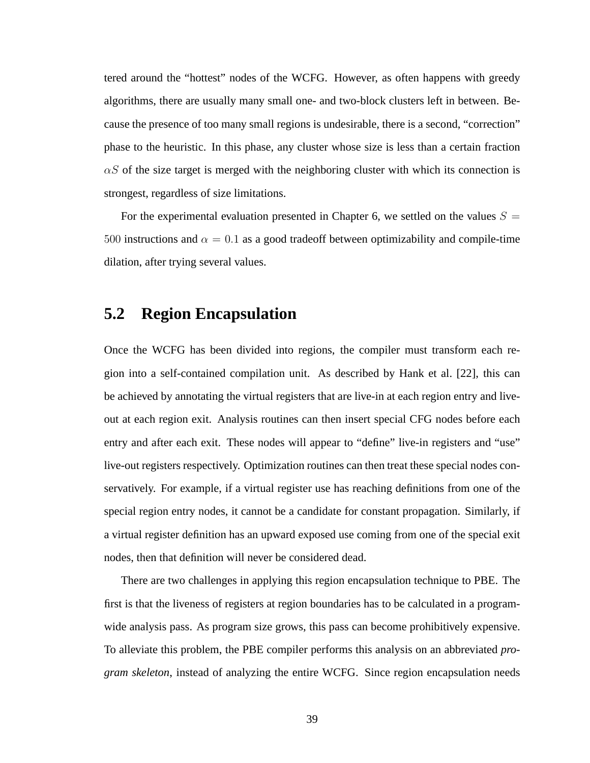tered around the "hottest" nodes of the WCFG. However, as often happens with greedy algorithms, there are usually many small one- and two-block clusters left in between. Because the presence of too many small regions is undesirable, there is a second, "correction" phase to the heuristic. In this phase, any cluster whose size is less than a certain fraction  $\alpha S$  of the size target is merged with the neighboring cluster with which its connection is strongest, regardless of size limitations.

For the experimental evaluation presented in Chapter 6, we settled on the values  $S =$ 500 instructions and  $\alpha = 0.1$  as a good tradeoff between optimizability and compile-time dilation, after trying several values.

## **5.2 Region Encapsulation**

Once the WCFG has been divided into regions, the compiler must transform each region into a self-contained compilation unit. As described by Hank et al. [22], this can be achieved by annotating the virtual registers that are live-in at each region entry and liveout at each region exit. Analysis routines can then insert special CFG nodes before each entry and after each exit. These nodes will appear to "define" live-in registers and "use" live-out registers respectively. Optimization routines can then treat these special nodes conservatively. For example, if a virtual register use has reaching definitions from one of the special region entry nodes, it cannot be a candidate for constant propagation. Similarly, if a virtual register definition has an upward exposed use coming from one of the special exit nodes, then that definition will never be considered dead.

There are two challenges in applying this region encapsulation technique to PBE. The first is that the liveness of registers at region boundaries has to be calculated in a programwide analysis pass. As program size grows, this pass can become prohibitively expensive. To alleviate this problem, the PBE compiler performs this analysis on an abbreviated *program skeleton*, instead of analyzing the entire WCFG. Since region encapsulation needs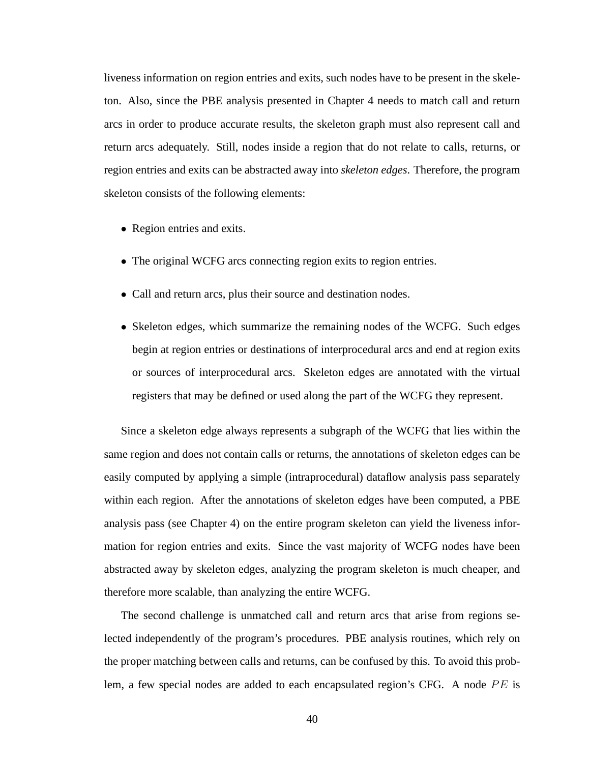liveness information on region entries and exits, such nodes have to be present in the skeleton. Also, since the PBE analysis presented in Chapter 4 needs to match call and return arcs in order to produce accurate results, the skeleton graph must also represent call and return arcs adequately. Still, nodes inside a region that do not relate to calls, returns, or region entries and exits can be abstracted away into *skeleton edges*. Therefore, the program skeleton consists of the following elements:

- Region entries and exits.
- The original WCFG arcs connecting region exits to region entries.
- Call and return arcs, plus their source and destination nodes.
- Skeleton edges, which summarize the remaining nodes of the WCFG. Such edges begin at region entries or destinations of interprocedural arcs and end at region exits or sources of interprocedural arcs. Skeleton edges are annotated with the virtual registers that may be defined or used along the part of the WCFG they represent.

Since a skeleton edge always represents a subgraph of the WCFG that lies within the same region and does not contain calls or returns, the annotations of skeleton edges can be easily computed by applying a simple (intraprocedural) dataflow analysis pass separately within each region. After the annotations of skeleton edges have been computed, a PBE analysis pass (see Chapter 4) on the entire program skeleton can yield the liveness information for region entries and exits. Since the vast majority of WCFG nodes have been abstracted away by skeleton edges, analyzing the program skeleton is much cheaper, and therefore more scalable, than analyzing the entire WCFG.

The second challenge is unmatched call and return arcs that arise from regions selected independently of the program's procedures. PBE analysis routines, which rely on the proper matching between calls and returns, can be confused by this. To avoid this problem, a few special nodes are added to each encapsulated region's CFG. A node  $PE$  is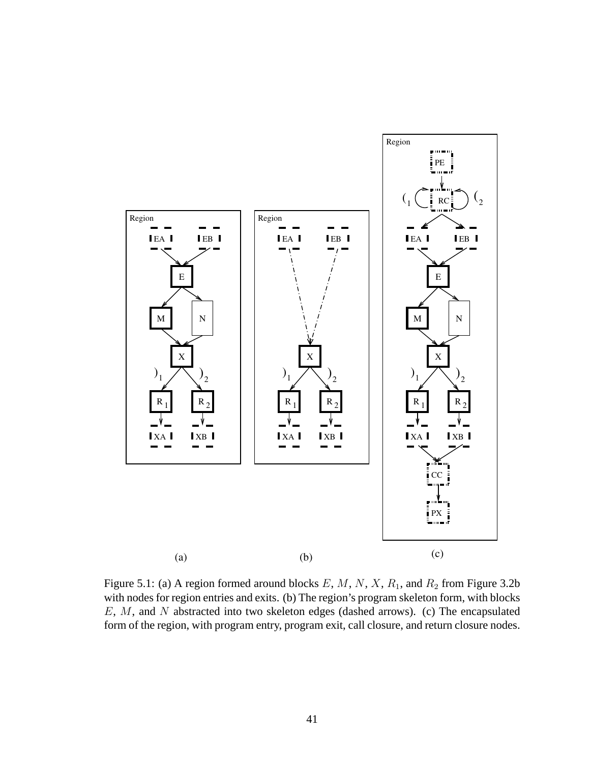

Figure 5.1: (a) A region formed around blocks  $E$ ,  $M$ ,  $N$ ,  $X$ ,  $R_1$ , and  $R_2$  from Figure 3.2b with nodes for region entries and exits. (b) The region's program skeleton form, with blocks E, M, and N abstracted into two skeleton edges (dashed arrows). (c) The encapsulated form of the region, with program entry, program exit, call closure, and return closure nodes.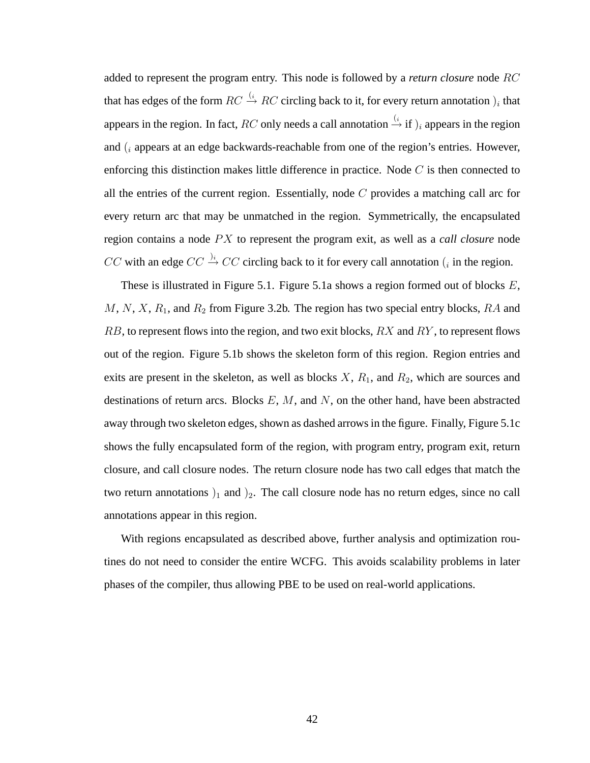added to represent the program entry. This node is followed by a *return closure* node RC that has edges of the form  $RC \stackrel{(i)}{\rightarrow} RC$  circling back to it, for every return annotation  $)_i$  that appears in the region. In fact, RC only needs a call annotation  $\stackrel{(i}{\rightarrow}$  if  $)_i$  appears in the region and  $(i)$  appears at an edge backwards-reachable from one of the region's entries. However, enforcing this distinction makes little difference in practice. Node  $C$  is then connected to all the entries of the current region. Essentially, node  $C$  provides a matching call arc for every return arc that may be unmatched in the region. Symmetrically, the encapsulated region contains a node PX to represent the program exit, as well as a *call closure* node CC with an edge  $CC \stackrel{j_i}{\rightarrow} CC$  circling back to it for every call annotation (*i* in the region.

These is illustrated in Figure 5.1. Figure 5.1a shows a region formed out of blocks  $E$ ,  $M, N, X, R_1$ , and  $R_2$  from Figure 3.2b. The region has two special entry blocks,  $RA$  and  $RB$ , to represent flows into the region, and two exit blocks,  $RX$  and  $RY$ , to represent flows out of the region. Figure 5.1b shows the skeleton form of this region. Region entries and exits are present in the skeleton, as well as blocks  $X$ ,  $R_1$ , and  $R_2$ , which are sources and destinations of return arcs. Blocks  $E, M$ , and  $N$ , on the other hand, have been abstracted away through two skeleton edges, shown as dashed arrows in the figure. Finally, Figure 5.1c shows the fully encapsulated form of the region, with program entry, program exit, return closure, and call closure nodes. The return closure node has two call edges that match the two return annotations  $)_1$  and  $)_2$ . The call closure node has no return edges, since no call annotations appear in this region.

With regions encapsulated as described above, further analysis and optimization routines do not need to consider the entire WCFG. This avoids scalability problems in later phases of the compiler, thus allowing PBE to be used on real-world applications.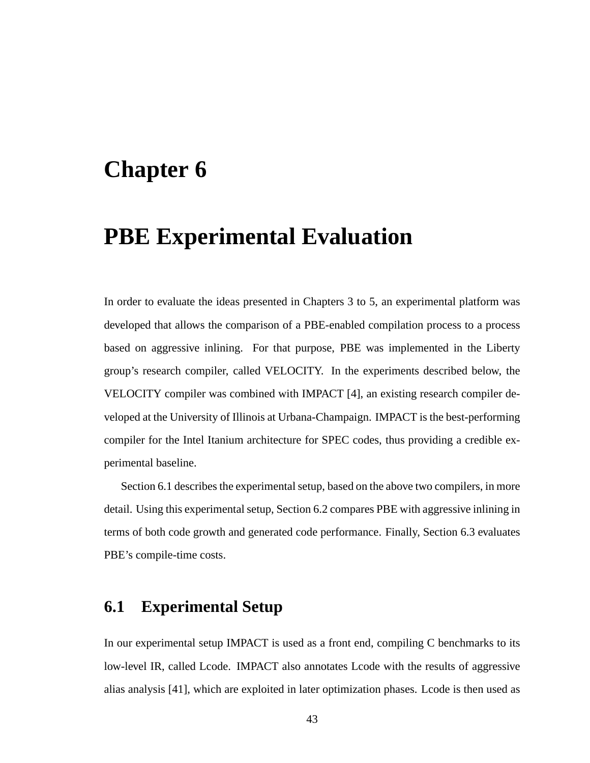## **Chapter 6**

## **PBE Experimental Evaluation**

In order to evaluate the ideas presented in Chapters 3 to 5, an experimental platform was developed that allows the comparison of a PBE-enabled compilation process to a process based on aggressive inlining. For that purpose, PBE was implemented in the Liberty group's research compiler, called VELOCITY. In the experiments described below, the VELOCITY compiler was combined with IMPACT [4], an existing research compiler developed at the University of Illinois at Urbana-Champaign. IMPACT is the best-performing compiler for the Intel Itanium architecture for SPEC codes, thus providing a credible experimental baseline.

Section 6.1 describes the experimental setup, based on the above two compilers, in more detail. Using this experimental setup, Section 6.2 compares PBE with aggressive inlining in terms of both code growth and generated code performance. Finally, Section 6.3 evaluates PBE's compile-time costs.

## **6.1 Experimental Setup**

In our experimental setup IMPACT is used as a front end, compiling C benchmarks to its low-level IR, called Lcode. IMPACT also annotates Lcode with the results of aggressive alias analysis [41], which are exploited in later optimization phases. Lcode is then used as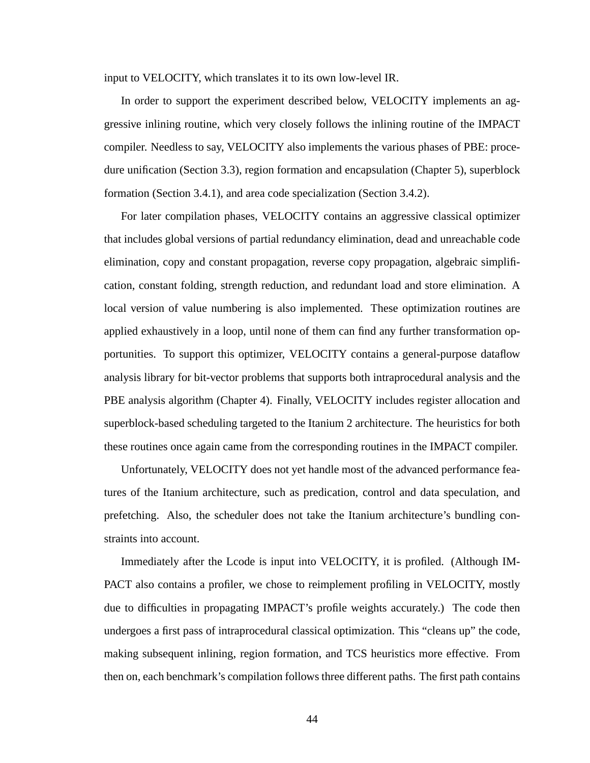input to VELOCITY, which translates it to its own low-level IR.

In order to support the experiment described below, VELOCITY implements an aggressive inlining routine, which very closely follows the inlining routine of the IMPACT compiler. Needless to say, VELOCITY also implements the various phases of PBE: procedure unification (Section 3.3), region formation and encapsulation (Chapter 5), superblock formation (Section 3.4.1), and area code specialization (Section 3.4.2).

For later compilation phases, VELOCITY contains an aggressive classical optimizer that includes global versions of partial redundancy elimination, dead and unreachable code elimination, copy and constant propagation, reverse copy propagation, algebraic simplification, constant folding, strength reduction, and redundant load and store elimination. A local version of value numbering is also implemented. These optimization routines are applied exhaustively in a loop, until none of them can find any further transformation opportunities. To support this optimizer, VELOCITY contains a general-purpose dataflow analysis library for bit-vector problems that supports both intraprocedural analysis and the PBE analysis algorithm (Chapter 4). Finally, VELOCITY includes register allocation and superblock-based scheduling targeted to the Itanium 2 architecture. The heuristics for both these routines once again came from the corresponding routines in the IMPACT compiler.

Unfortunately, VELOCITY does not yet handle most of the advanced performance features of the Itanium architecture, such as predication, control and data speculation, and prefetching. Also, the scheduler does not take the Itanium architecture's bundling constraints into account.

Immediately after the Lcode is input into VELOCITY, it is profiled. (Although IM-PACT also contains a profiler, we chose to reimplement profiling in VELOCITY, mostly due to difficulties in propagating IMPACT's profile weights accurately.) The code then undergoes a first pass of intraprocedural classical optimization. This "cleans up" the code, making subsequent inlining, region formation, and TCS heuristics more effective. From then on, each benchmark's compilation follows three different paths. The first path contains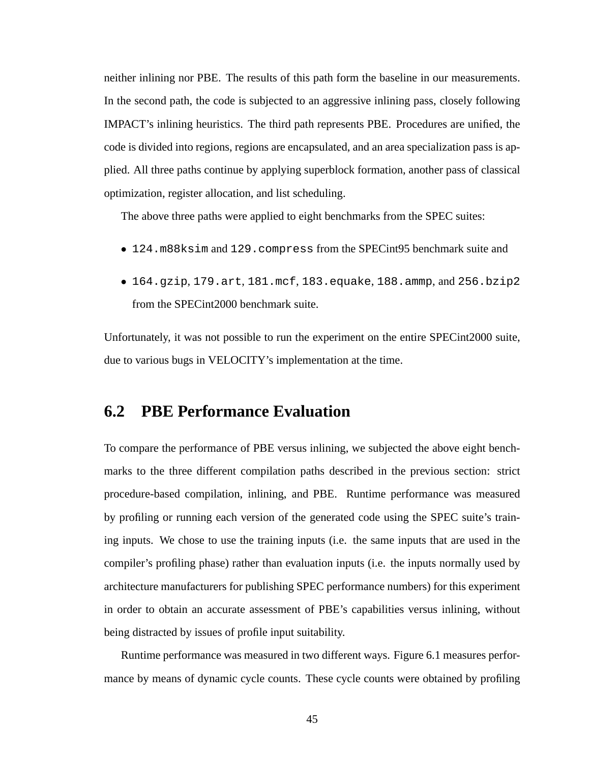neither inlining nor PBE. The results of this path form the baseline in our measurements. In the second path, the code is subjected to an aggressive inlining pass, closely following IMPACT's inlining heuristics. The third path represents PBE. Procedures are unified, the code is divided into regions, regions are encapsulated, and an area specialization pass is applied. All three paths continue by applying superblock formation, another pass of classical optimization, register allocation, and list scheduling.

The above three paths were applied to eight benchmarks from the SPEC suites:

- 124.m88ksim and 129.compress from the SPECint95 benchmark suite and
- 164.gzip, 179.art, 181.mcf, 183.equake, 188.ammp, and 256.bzip2 from the SPECint2000 benchmark suite.

Unfortunately, it was not possible to run the experiment on the entire SPECint2000 suite, due to various bugs in VELOCITY's implementation at the time.

## **6.2 PBE Performance Evaluation**

To compare the performance of PBE versus inlining, we subjected the above eight benchmarks to the three different compilation paths described in the previous section: strict procedure-based compilation, inlining, and PBE. Runtime performance was measured by profiling or running each version of the generated code using the SPEC suite's training inputs. We chose to use the training inputs (i.e. the same inputs that are used in the compiler's profiling phase) rather than evaluation inputs (i.e. the inputs normally used by architecture manufacturers for publishing SPEC performance numbers) for this experiment in order to obtain an accurate assessment of PBE's capabilities versus inlining, without being distracted by issues of profile input suitability.

Runtime performance was measured in two different ways. Figure 6.1 measures performance by means of dynamic cycle counts. These cycle counts were obtained by profiling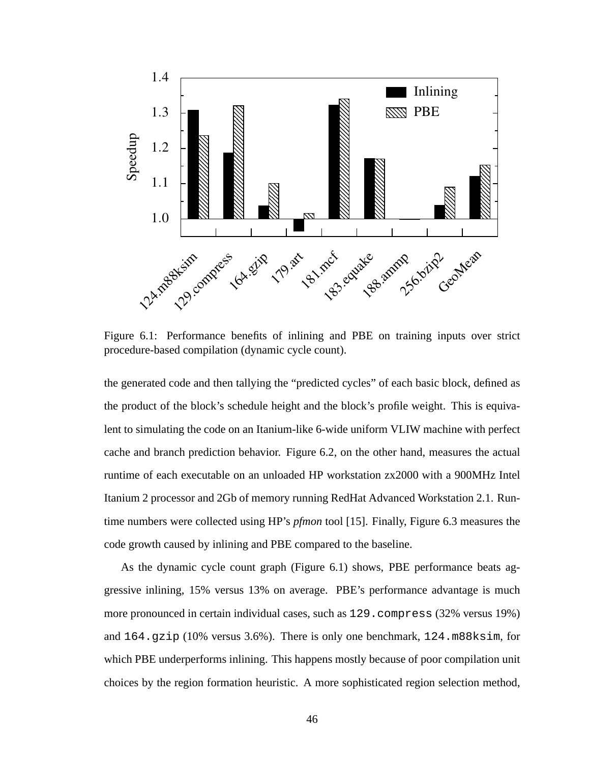

Figure 6.1: Performance benefits of inlining and PBE on training inputs over strict procedure-based compilation (dynamic cycle count).

the generated code and then tallying the "predicted cycles" of each basic block, defined as the product of the block's schedule height and the block's profile weight. This is equivalent to simulating the code on an Itanium-like 6-wide uniform VLIW machine with perfect cache and branch prediction behavior. Figure 6.2, on the other hand, measures the actual runtime of each executable on an unloaded HP workstation zx2000 with a 900MHz Intel Itanium 2 processor and 2Gb of memory running RedHat Advanced Workstation 2.1. Runtime numbers were collected using HP's *pfmon* tool [15]. Finally, Figure 6.3 measures the code growth caused by inlining and PBE compared to the baseline.

As the dynamic cycle count graph (Figure 6.1) shows, PBE performance beats aggressive inlining, 15% versus 13% on average. PBE's performance advantage is much more pronounced in certain individual cases, such as 129.compress (32% versus 19%) and  $164.$  gzip (10% versus 3.6%). There is only one benchmark,  $124.$  m88ksim, for which PBE underperforms inlining. This happens mostly because of poor compilation unit choices by the region formation heuristic. A more sophisticated region selection method,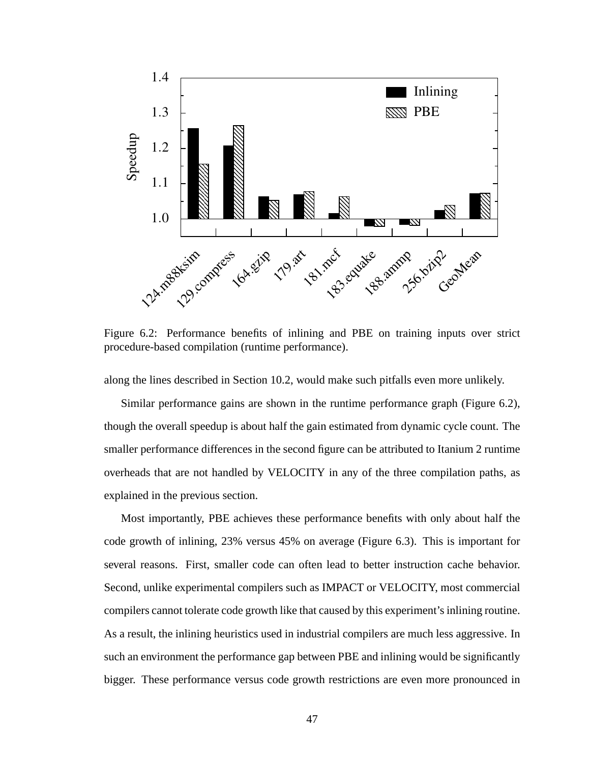

Figure 6.2: Performance benefits of inlining and PBE on training inputs over strict procedure-based compilation (runtime performance).

along the lines described in Section 10.2, would make such pitfalls even more unlikely.

Similar performance gains are shown in the runtime performance graph (Figure 6.2), though the overall speedup is about half the gain estimated from dynamic cycle count. The smaller performance differences in the second figure can be attributed to Itanium 2 runtime overheads that are not handled by VELOCITY in any of the three compilation paths, as explained in the previous section.

Most importantly, PBE achieves these performance benefits with only about half the code growth of inlining, 23% versus 45% on average (Figure 6.3). This is important for several reasons. First, smaller code can often lead to better instruction cache behavior. Second, unlike experimental compilers such as IMPACT or VELOCITY, most commercial compilers cannot tolerate code growth like that caused by this experiment's inlining routine. As a result, the inlining heuristics used in industrial compilers are much less aggressive. In such an environment the performance gap between PBE and inlining would be significantly bigger. These performance versus code growth restrictions are even more pronounced in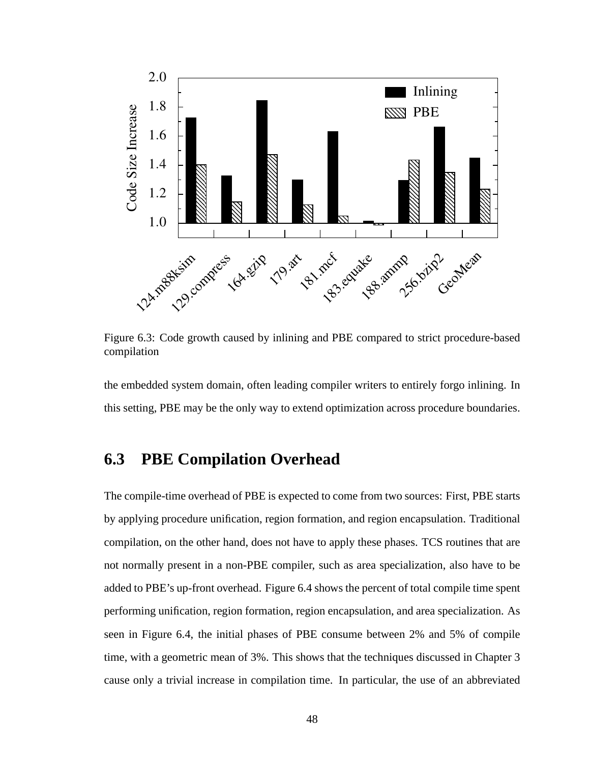

Figure 6.3: Code growth caused by inlining and PBE compared to strict procedure-based compilation

the embedded system domain, often leading compiler writers to entirely forgo inlining. In this setting, PBE may be the only way to extend optimization across procedure boundaries.

## **6.3 PBE Compilation Overhead**

The compile-time overhead of PBE is expected to come from two sources: First, PBE starts by applying procedure unification, region formation, and region encapsulation. Traditional compilation, on the other hand, does not have to apply these phases. TCS routines that are not normally present in a non-PBE compiler, such as area specialization, also have to be added to PBE's up-front overhead. Figure 6.4 shows the percent of total compile time spent performing unification, region formation, region encapsulation, and area specialization. As seen in Figure 6.4, the initial phases of PBE consume between 2% and 5% of compile time, with a geometric mean of 3%. This shows that the techniques discussed in Chapter 3 cause only a trivial increase in compilation time. In particular, the use of an abbreviated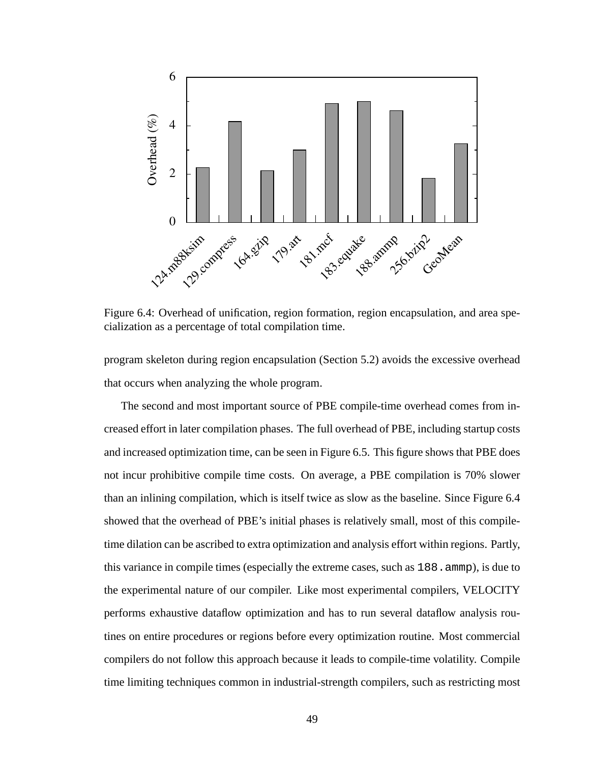

Figure 6.4: Overhead of unification, region formation, region encapsulation, and area specialization as a percentage of total compilation time.

program skeleton during region encapsulation (Section 5.2) avoids the excessive overhead that occurs when analyzing the whole program.

The second and most important source of PBE compile-time overhead comes from increased effort in later compilation phases. The full overhead of PBE, including startup costs and increased optimization time, can be seen in Figure 6.5. This figure shows that PBE does not incur prohibitive compile time costs. On average, a PBE compilation is 70% slower than an inlining compilation, which is itself twice as slow as the baseline. Since Figure 6.4 showed that the overhead of PBE's initial phases is relatively small, most of this compiletime dilation can be ascribed to extra optimization and analysis effort within regions. Partly, this variance in compile times (especially the extreme cases, such as  $188$ . ammp), is due to the experimental nature of our compiler. Like most experimental compilers, VELOCITY performs exhaustive dataflow optimization and has to run several dataflow analysis routines on entire procedures or regions before every optimization routine. Most commercial compilers do not follow this approach because it leads to compile-time volatility. Compile time limiting techniques common in industrial-strength compilers, such as restricting most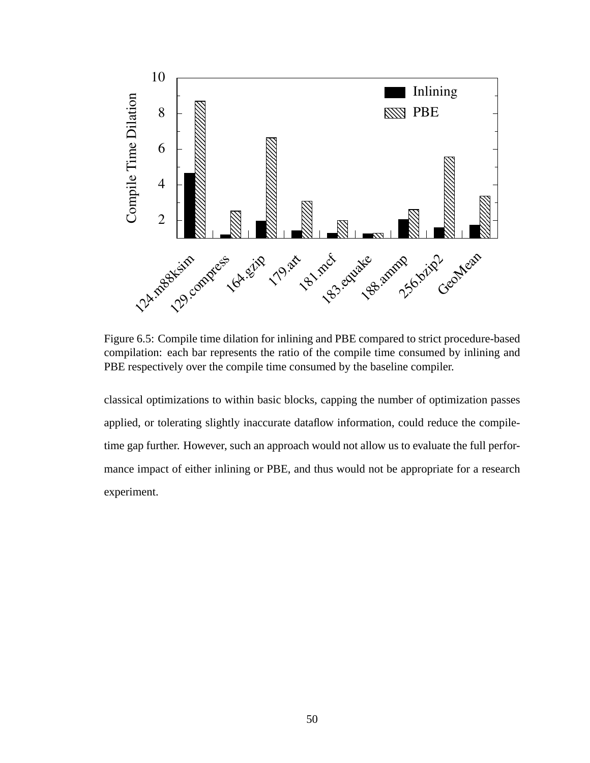

Figure 6.5: Compile time dilation for inlining and PBE compared to strict procedure-based compilation: each bar represents the ratio of the compile time consumed by inlining and PBE respectively over the compile time consumed by the baseline compiler.

classical optimizations to within basic blocks, capping the number of optimization passes applied, or tolerating slightly inaccurate dataflow information, could reduce the compiletime gap further. However, such an approach would not allow us to evaluate the full performance impact of either inlining or PBE, and thus would not be appropriate for a research experiment.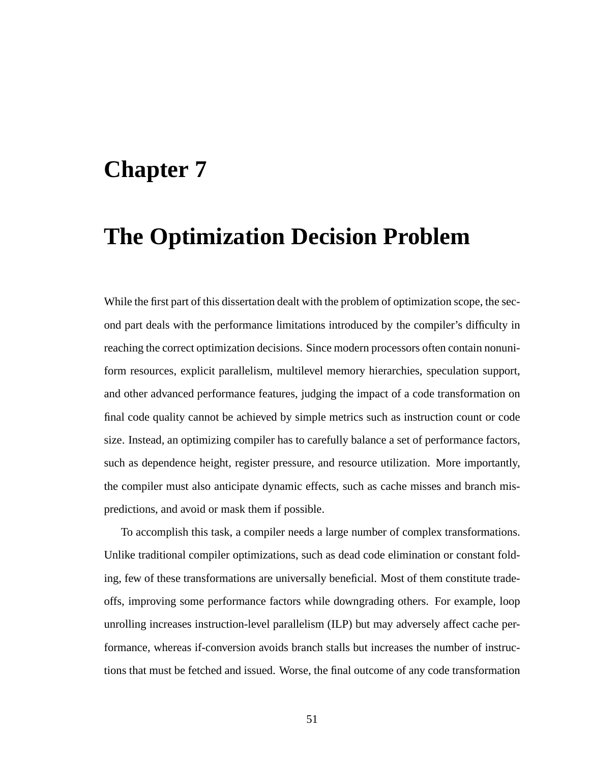## **Chapter 7**

## **The Optimization Decision Problem**

While the first part of this dissertation dealt with the problem of optimization scope, the second part deals with the performance limitations introduced by the compiler's difficulty in reaching the correct optimization decisions. Since modern processors often contain nonuniform resources, explicit parallelism, multilevel memory hierarchies, speculation support, and other advanced performance features, judging the impact of a code transformation on final code quality cannot be achieved by simple metrics such as instruction count or code size. Instead, an optimizing compiler has to carefully balance a set of performance factors, such as dependence height, register pressure, and resource utilization. More importantly, the compiler must also anticipate dynamic effects, such as cache misses and branch mispredictions, and avoid or mask them if possible.

To accomplish this task, a compiler needs a large number of complex transformations. Unlike traditional compiler optimizations, such as dead code elimination or constant folding, few of these transformations are universally beneficial. Most of them constitute tradeoffs, improving some performance factors while downgrading others. For example, loop unrolling increases instruction-level parallelism (ILP) but may adversely affect cache performance, whereas if-conversion avoids branch stalls but increases the number of instructions that must be fetched and issued. Worse, the final outcome of any code transformation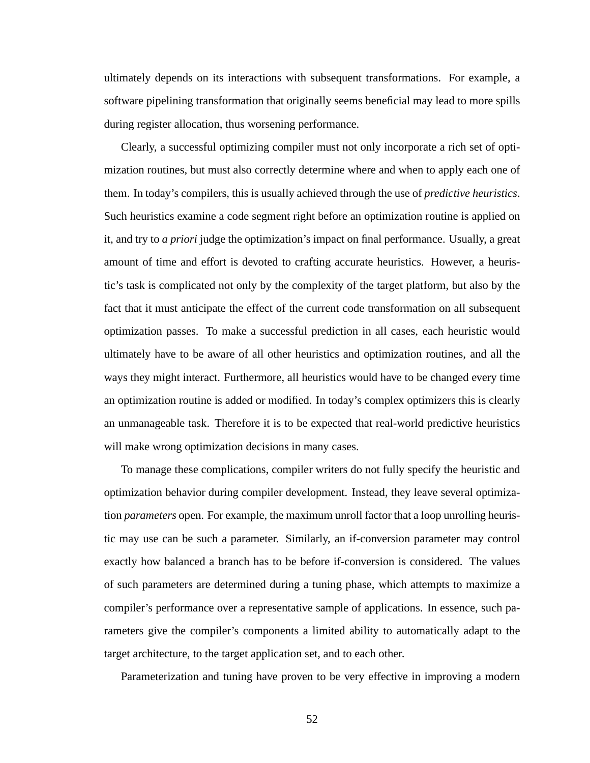ultimately depends on its interactions with subsequent transformations. For example, a software pipelining transformation that originally seems beneficial may lead to more spills during register allocation, thus worsening performance.

Clearly, a successful optimizing compiler must not only incorporate a rich set of optimization routines, but must also correctly determine where and when to apply each one of them. In today's compilers, this is usually achieved through the use of *predictive heuristics*. Such heuristics examine a code segment right before an optimization routine is applied on it, and try to *a priori* judge the optimization's impact on final performance. Usually, a great amount of time and effort is devoted to crafting accurate heuristics. However, a heuristic's task is complicated not only by the complexity of the target platform, but also by the fact that it must anticipate the effect of the current code transformation on all subsequent optimization passes. To make a successful prediction in all cases, each heuristic would ultimately have to be aware of all other heuristics and optimization routines, and all the ways they might interact. Furthermore, all heuristics would have to be changed every time an optimization routine is added or modified. In today's complex optimizers this is clearly an unmanageable task. Therefore it is to be expected that real-world predictive heuristics will make wrong optimization decisions in many cases.

To manage these complications, compiler writers do not fully specify the heuristic and optimization behavior during compiler development. Instead, they leave several optimization *parameters* open. For example, the maximum unroll factor that a loop unrolling heuristic may use can be such a parameter. Similarly, an if-conversion parameter may control exactly how balanced a branch has to be before if-conversion is considered. The values of such parameters are determined during a tuning phase, which attempts to maximize a compiler's performance over a representative sample of applications. In essence, such parameters give the compiler's components a limited ability to automatically adapt to the target architecture, to the target application set, and to each other.

Parameterization and tuning have proven to be very effective in improving a modern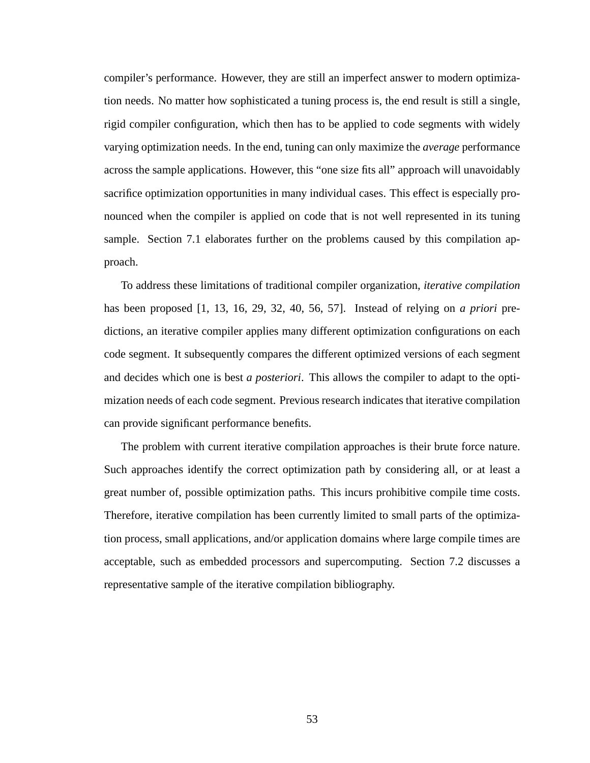compiler's performance. However, they are still an imperfect answer to modern optimization needs. No matter how sophisticated a tuning process is, the end result is still a single, rigid compiler configuration, which then has to be applied to code segments with widely varying optimization needs. In the end, tuning can only maximize the *average* performance across the sample applications. However, this "one size fits all" approach will unavoidably sacrifice optimization opportunities in many individual cases. This effect is especially pronounced when the compiler is applied on code that is not well represented in its tuning sample. Section 7.1 elaborates further on the problems caused by this compilation approach.

To address these limitations of traditional compiler organization, *iterative compilation* has been proposed [1, 13, 16, 29, 32, 40, 56, 57]. Instead of relying on *a priori* predictions, an iterative compiler applies many different optimization configurations on each code segment. It subsequently compares the different optimized versions of each segment and decides which one is best *a posteriori*. This allows the compiler to adapt to the optimization needs of each code segment. Previous research indicates that iterative compilation can provide significant performance benefits.

The problem with current iterative compilation approaches is their brute force nature. Such approaches identify the correct optimization path by considering all, or at least a great number of, possible optimization paths. This incurs prohibitive compile time costs. Therefore, iterative compilation has been currently limited to small parts of the optimization process, small applications, and/or application domains where large compile times are acceptable, such as embedded processors and supercomputing. Section 7.2 discusses a representative sample of the iterative compilation bibliography.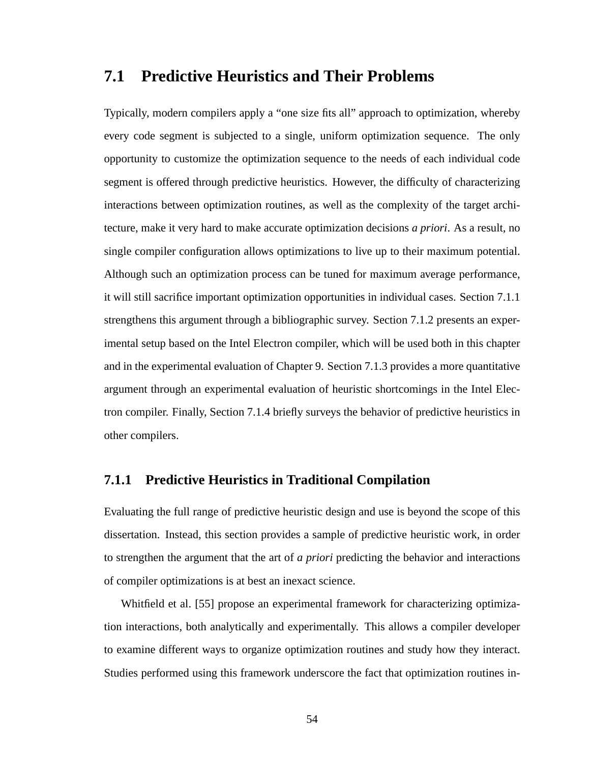## **7.1 Predictive Heuristics and Their Problems**

Typically, modern compilers apply a "one size fits all" approach to optimization, whereby every code segment is subjected to a single, uniform optimization sequence. The only opportunity to customize the optimization sequence to the needs of each individual code segment is offered through predictive heuristics. However, the difficulty of characterizing interactions between optimization routines, as well as the complexity of the target architecture, make it very hard to make accurate optimization decisions *a priori*. As a result, no single compiler configuration allows optimizations to live up to their maximum potential. Although such an optimization process can be tuned for maximum average performance, it will still sacrifice important optimization opportunities in individual cases. Section 7.1.1 strengthens this argument through a bibliographic survey. Section 7.1.2 presents an experimental setup based on the Intel Electron compiler, which will be used both in this chapter and in the experimental evaluation of Chapter 9. Section 7.1.3 provides a more quantitative argument through an experimental evaluation of heuristic shortcomings in the Intel Electron compiler. Finally, Section 7.1.4 briefly surveys the behavior of predictive heuristics in other compilers.

### **7.1.1 Predictive Heuristics in Traditional Compilation**

Evaluating the full range of predictive heuristic design and use is beyond the scope of this dissertation. Instead, this section provides a sample of predictive heuristic work, in order to strengthen the argument that the art of *a priori* predicting the behavior and interactions of compiler optimizations is at best an inexact science.

Whitfield et al. [55] propose an experimental framework for characterizing optimization interactions, both analytically and experimentally. This allows a compiler developer to examine different ways to organize optimization routines and study how they interact. Studies performed using this framework underscore the fact that optimization routines in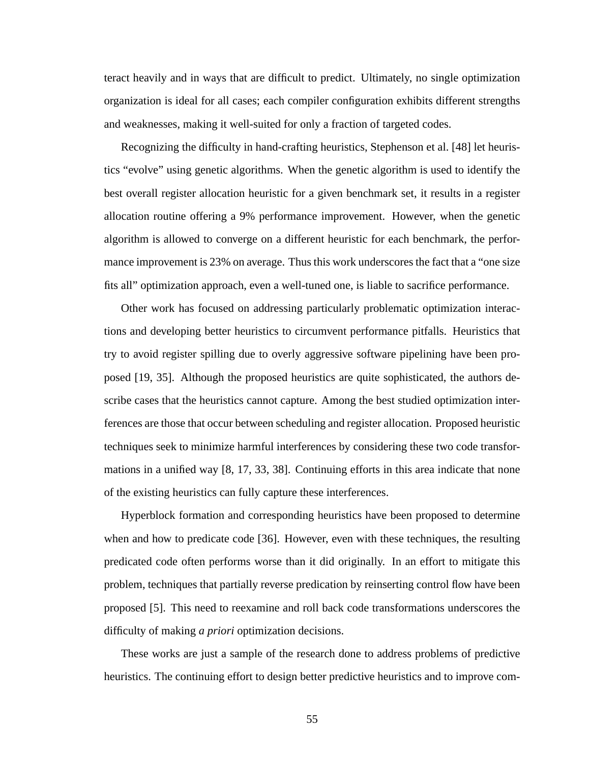teract heavily and in ways that are difficult to predict. Ultimately, no single optimization organization is ideal for all cases; each compiler configuration exhibits different strengths and weaknesses, making it well-suited for only a fraction of targeted codes.

Recognizing the difficulty in hand-crafting heuristics, Stephenson et al. [48] let heuristics "evolve" using genetic algorithms. When the genetic algorithm is used to identify the best overall register allocation heuristic for a given benchmark set, it results in a register allocation routine offering a 9% performance improvement. However, when the genetic algorithm is allowed to converge on a different heuristic for each benchmark, the performance improvement is 23% on average. Thus this work underscores the fact that a "one size fits all" optimization approach, even a well-tuned one, is liable to sacrifice performance.

Other work has focused on addressing particularly problematic optimization interactions and developing better heuristics to circumvent performance pitfalls. Heuristics that try to avoid register spilling due to overly aggressive software pipelining have been proposed [19, 35]. Although the proposed heuristics are quite sophisticated, the authors describe cases that the heuristics cannot capture. Among the best studied optimization interferences are those that occur between scheduling and register allocation. Proposed heuristic techniques seek to minimize harmful interferences by considering these two code transformations in a unified way [8, 17, 33, 38]. Continuing efforts in this area indicate that none of the existing heuristics can fully capture these interferences.

Hyperblock formation and corresponding heuristics have been proposed to determine when and how to predicate code [36]. However, even with these techniques, the resulting predicated code often performs worse than it did originally. In an effort to mitigate this problem, techniques that partially reverse predication by reinserting control flow have been proposed [5]. This need to reexamine and roll back code transformations underscores the difficulty of making *a priori* optimization decisions.

These works are just a sample of the research done to address problems of predictive heuristics. The continuing effort to design better predictive heuristics and to improve com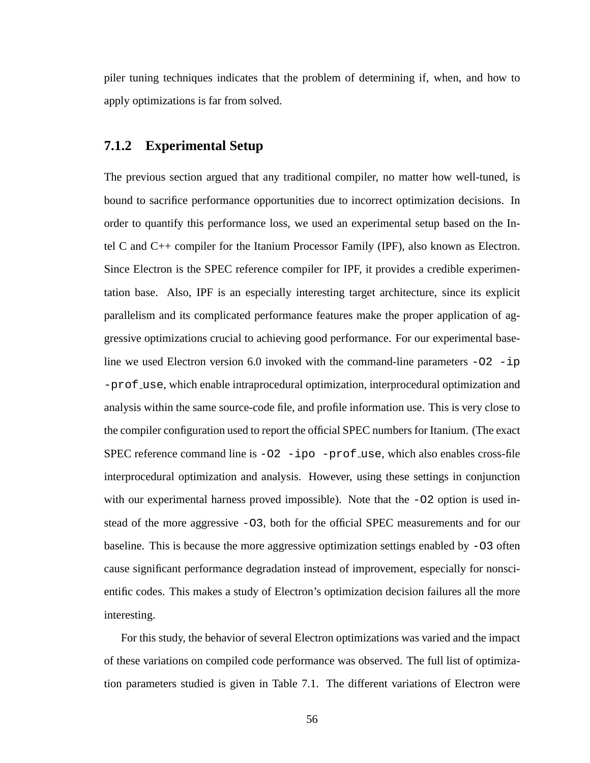piler tuning techniques indicates that the problem of determining if, when, and how to apply optimizations is far from solved.

### **7.1.2 Experimental Setup**

The previous section argued that any traditional compiler, no matter how well-tuned, is bound to sacrifice performance opportunities due to incorrect optimization decisions. In order to quantify this performance loss, we used an experimental setup based on the Intel C and C++ compiler for the Itanium Processor Family (IPF), also known as Electron. Since Electron is the SPEC reference compiler for IPF, it provides a credible experimentation base. Also, IPF is an especially interesting target architecture, since its explicit parallelism and its complicated performance features make the proper application of aggressive optimizations crucial to achieving good performance. For our experimental baseline we used Electron version 6.0 invoked with the command-line parameters -O2 -ip -prof use, which enable intraprocedural optimization, interprocedural optimization and analysis within the same source-code file, and profile information use. This is very close to the compiler configuration used to report the official SPEC numbers for Itanium. (The exact SPEC reference command line is  $-02$  -ipo -prof use, which also enables cross-file interprocedural optimization and analysis. However, using these settings in conjunction with our experimental harness proved impossible). Note that the  $-O2$  option is used instead of the more aggressive -O3, both for the official SPEC measurements and for our baseline. This is because the more aggressive optimization settings enabled by  $-03$  often cause significant performance degradation instead of improvement, especially for nonscientific codes. This makes a study of Electron's optimization decision failures all the more interesting.

For this study, the behavior of several Electron optimizations was varied and the impact of these variations on compiled code performance was observed. The full list of optimization parameters studied is given in Table 7.1. The different variations of Electron were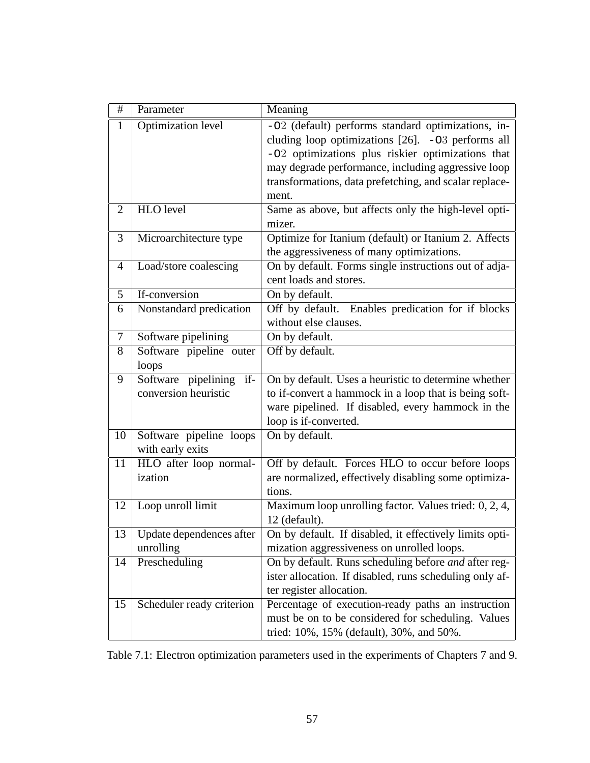| #              | Parameter                                       | Meaning                                                                                                                                                                                                                                                                                  |
|----------------|-------------------------------------------------|------------------------------------------------------------------------------------------------------------------------------------------------------------------------------------------------------------------------------------------------------------------------------------------|
| 1              | <b>Optimization level</b>                       | -02 (default) performs standard optimizations, in-<br>cluding loop optimizations $[26]$ . -03 performs all<br>-02 optimizations plus riskier optimizations that<br>may degrade performance, including aggressive loop<br>transformations, data prefetching, and scalar replace-<br>ment. |
| $\overline{2}$ | HLO level                                       | Same as above, but affects only the high-level opti-<br>mizer.                                                                                                                                                                                                                           |
| 3              | Microarchitecture type                          | Optimize for Itanium (default) or Itanium 2. Affects<br>the aggressiveness of many optimizations.                                                                                                                                                                                        |
| $\overline{4}$ | Load/store coalescing                           | On by default. Forms single instructions out of adja-<br>cent loads and stores.                                                                                                                                                                                                          |
| 5              | If-conversion                                   | On by default.                                                                                                                                                                                                                                                                           |
| 6              | Nonstandard predication                         | Off by default. Enables predication for if blocks<br>without else clauses.                                                                                                                                                                                                               |
| $\overline{7}$ | Software pipelining                             | On by default.                                                                                                                                                                                                                                                                           |
| 8              | Software pipeline outer<br>loops                | Off by default.                                                                                                                                                                                                                                                                          |
| 9              | Software pipelining if-<br>conversion heuristic | On by default. Uses a heuristic to determine whether<br>to if-convert a hammock in a loop that is being soft-<br>ware pipelined. If disabled, every hammock in the<br>loop is if-converted.                                                                                              |
| 10             | Software pipeline loops<br>with early exits     | On by default.                                                                                                                                                                                                                                                                           |
| 11             | HLO after loop normal-<br>ization               | Off by default. Forces HLO to occur before loops<br>are normalized, effectively disabling some optimiza-<br>tions.                                                                                                                                                                       |
| 12             | Loop unroll limit                               | Maximum loop unrolling factor. Values tried: 0, 2, 4,<br>12 (default).                                                                                                                                                                                                                   |
| 13             | Update dependences after<br>unrolling           | On by default. If disabled, it effectively limits opti-<br>mization aggressiveness on unrolled loops.                                                                                                                                                                                    |
| 14             | Prescheduling                                   | On by default. Runs scheduling before and after reg-<br>ister allocation. If disabled, runs scheduling only af-<br>ter register allocation.                                                                                                                                              |
| 15             | Scheduler ready criterion                       | Percentage of execution-ready paths an instruction<br>must be on to be considered for scheduling. Values<br>tried: 10%, 15% (default), 30%, and 50%.                                                                                                                                     |

Table 7.1: Electron optimization parameters used in the experiments of Chapters 7 and 9.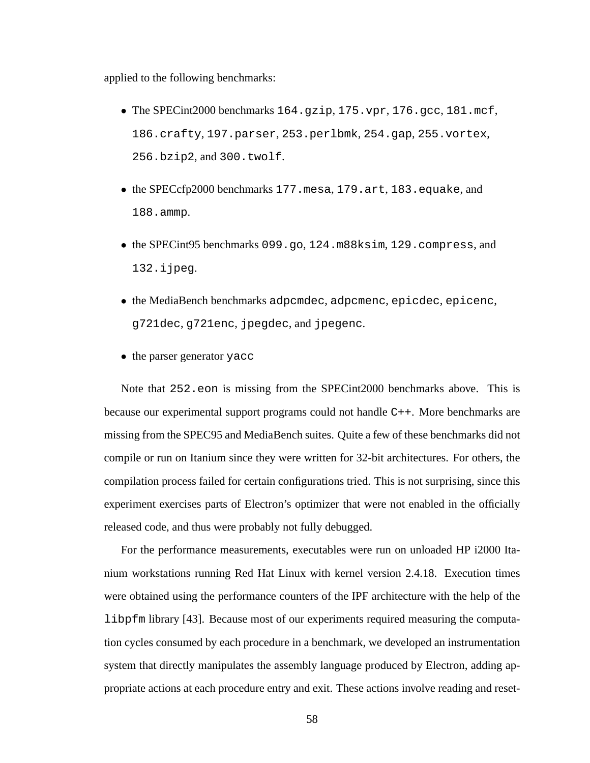applied to the following benchmarks:

- The SPECint2000 benchmarks 164.gzip, 175.vpr, 176.gcc, 181.mcf, 186.crafty, 197.parser, 253.perlbmk, 254.gap, 255.vortex, 256.bzip2, and 300.twolf.
- the SPECcfp2000 benchmarks 177.mesa, 179.art, 183.equake, and 188.ammp.
- the SPECint95 benchmarks 099.go, 124.m88ksim, 129.compress, and 132.ijpeg.
- the MediaBench benchmarks adpcmdec, adpcmenc, epicdec, epicenc, g721dec, g721enc, jpegdec, and jpegenc.
- the parser generator yacc

Note that 252.eon is missing from the SPECint2000 benchmarks above. This is because our experimental support programs could not handle C++. More benchmarks are missing from the SPEC95 and MediaBench suites. Quite a few of these benchmarks did not compile or run on Itanium since they were written for 32-bit architectures. For others, the compilation process failed for certain configurations tried. This is not surprising, since this experiment exercises parts of Electron's optimizer that were not enabled in the officially released code, and thus were probably not fully debugged.

For the performance measurements, executables were run on unloaded HP i2000 Itanium workstations running Red Hat Linux with kernel version 2.4.18. Execution times were obtained using the performance counters of the IPF architecture with the help of the libpfm library [43]. Because most of our experiments required measuring the computation cycles consumed by each procedure in a benchmark, we developed an instrumentation system that directly manipulates the assembly language produced by Electron, adding appropriate actions at each procedure entry and exit. These actions involve reading and reset-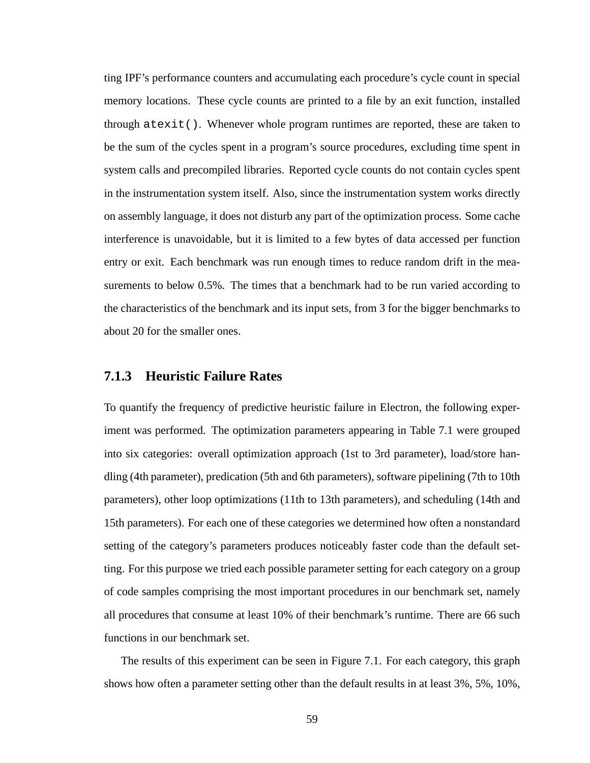ting IPF's performance counters and accumulating each procedure's cycle count in special memory locations. These cycle counts are printed to a file by an exit function, installed through  $\text{atexit}()$ . Whenever whole program runtimes are reported, these are taken to be the sum of the cycles spent in a program's source procedures, excluding time spent in system calls and precompiled libraries. Reported cycle counts do not contain cycles spent in the instrumentation system itself. Also, since the instrumentation system works directly on assembly language, it does not disturb any part of the optimization process. Some cache interference is unavoidable, but it is limited to a few bytes of data accessed per function entry or exit. Each benchmark was run enough times to reduce random drift in the measurements to below 0.5%. The times that a benchmark had to be run varied according to the characteristics of the benchmark and its input sets, from 3 for the bigger benchmarks to about 20 for the smaller ones.

### **7.1.3 Heuristic Failure Rates**

To quantify the frequency of predictive heuristic failure in Electron, the following experiment was performed. The optimization parameters appearing in Table 7.1 were grouped into six categories: overall optimization approach (1st to 3rd parameter), load/store handling (4th parameter), predication (5th and 6th parameters), software pipelining (7th to 10th parameters), other loop optimizations (11th to 13th parameters), and scheduling (14th and 15th parameters). For each one of these categories we determined how often a nonstandard setting of the category's parameters produces noticeably faster code than the default setting. For this purpose we tried each possible parameter setting for each category on a group of code samples comprising the most important procedures in our benchmark set, namely all procedures that consume at least 10% of their benchmark's runtime. There are 66 such functions in our benchmark set.

The results of this experiment can be seen in Figure 7.1. For each category, this graph shows how often a parameter setting other than the default results in at least 3%, 5%, 10%,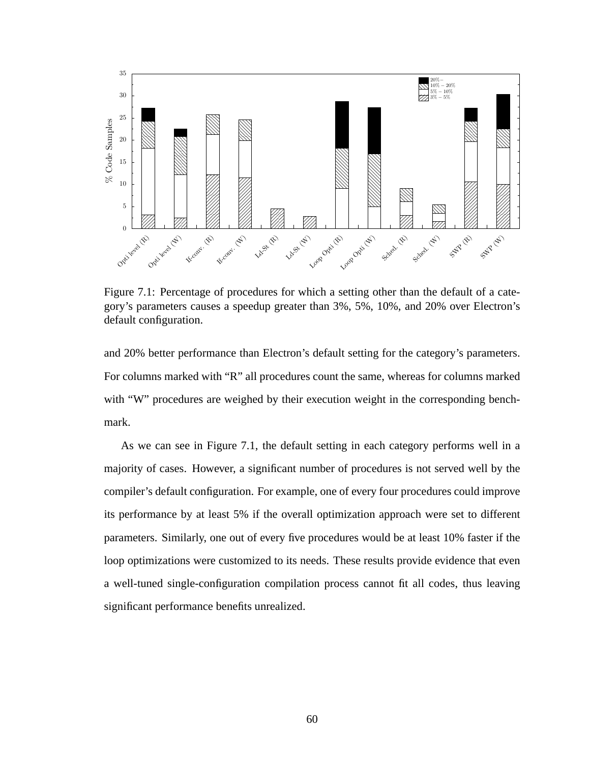

Figure 7.1: Percentage of procedures for which a setting other than the default of a category's parameters causes a speedup greater than 3%, 5%, 10%, and 20% over Electron's default configuration.

and 20% better performance than Electron's default setting for the category's parameters. For columns marked with "R" all procedures count the same, whereas for columns marked with "W" procedures are weighed by their execution weight in the corresponding benchmark.

As we can see in Figure 7.1, the default setting in each category performs well in a majority of cases. However, a significant number of procedures is not served well by the compiler's default configuration. For example, one of every four procedures could improve its performance by at least 5% if the overall optimization approach were set to different parameters. Similarly, one out of every five procedures would be at least 10% faster if the loop optimizations were customized to its needs. These results provide evidence that even a well-tuned single-configuration compilation process cannot fit all codes, thus leaving significant performance benefits unrealized.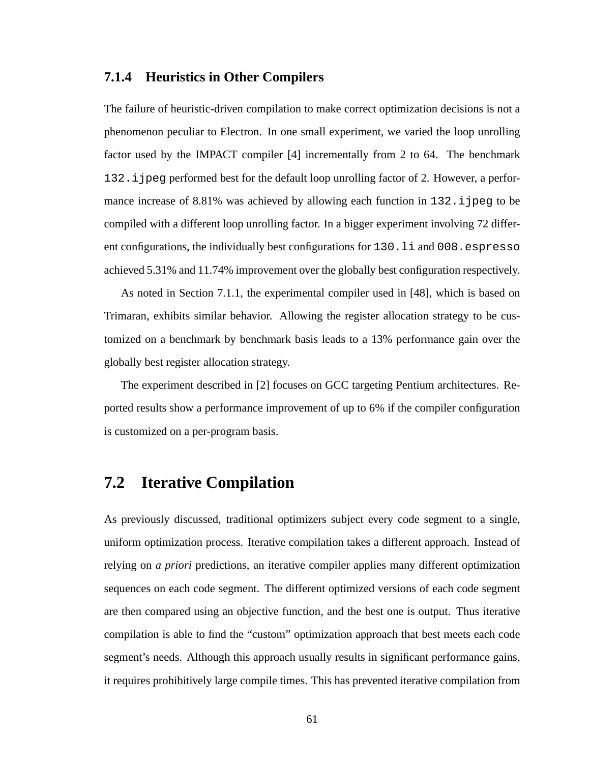## **7.1.4 Heuristics in Other Compilers**

The failure of heuristic-driven compilation to make correct optimization decisions is not a phenomenon peculiar to Electron. In one small experiment, we varied the loop unrolling factor used by the IMPACT compiler [4] incrementally from 2 to 64. The benchmark 132.ijpeg performed best for the default loop unrolling factor of 2. However, a performance increase of 8.81% was achieved by allowing each function in  $132$ . i jpeg to be compiled with a different loop unrolling factor. In a bigger experiment involving 72 different configurations, the individually best configurations for 130.li and 008.espresso achieved 5.31% and 11.74% improvement over the globally best configuration respectively.

As noted in Section 7.1.1, the experimental compiler used in [48], which is based on Trimaran, exhibits similar behavior. Allowing the register allocation strategy to be customized on a benchmark by benchmark basis leads to a 13% performance gain over the globally best register allocation strategy.

The experiment described in [2] focuses on GCC targeting Pentium architectures. Reported results show a performance improvement of up to 6% if the compiler configuration is customized on a per-program basis.

## **7.2 Iterative Compilation**

As previously discussed, traditional optimizers subject every code segment to a single, uniform optimization process. Iterative compilation takes a different approach. Instead of relying on *a priori* predictions, an iterative compiler applies many different optimization sequences on each code segment. The different optimized versions of each code segment are then compared using an objective function, and the best one is output. Thus iterative compilation is able to find the "custom" optimization approach that best meets each code segment's needs. Although this approach usually results in significant performance gains, it requires prohibitively large compile times. This has prevented iterative compilation from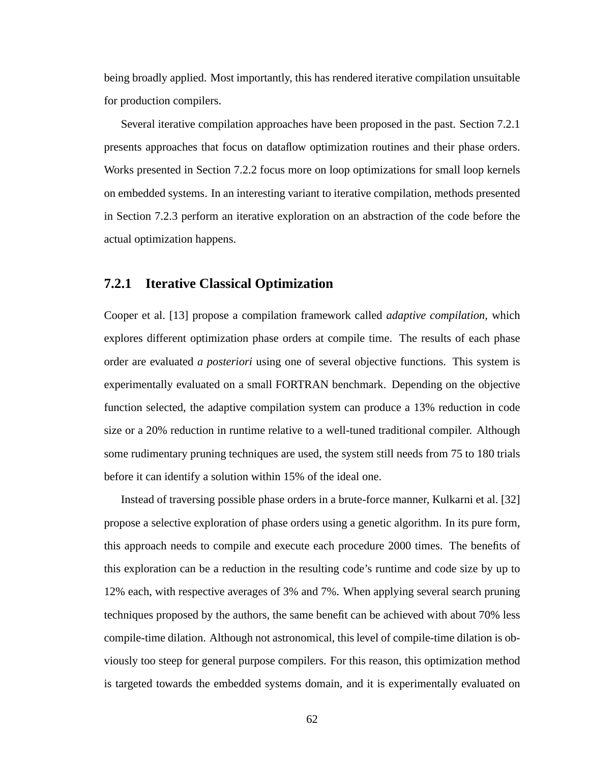being broadly applied. Most importantly, this has rendered iterative compilation unsuitable for production compilers.

Several iterative compilation approaches have been proposed in the past. Section 7.2.1 presents approaches that focus on dataflow optimization routines and their phase orders. Works presented in Section 7.2.2 focus more on loop optimizations for small loop kernels on embedded systems. In an interesting variant to iterative compilation, methods presented in Section 7.2.3 perform an iterative exploration on an abstraction of the code before the actual optimization happens.

### **7.2.1 Iterative Classical Optimization**

Cooper et al. [13] propose a compilation framework called *adaptive compilation*, which explores different optimization phase orders at compile time. The results of each phase order are evaluated *a posteriori* using one of several objective functions. This system is experimentally evaluated on a small FORTRAN benchmark. Depending on the objective function selected, the adaptive compilation system can produce a 13% reduction in code size or a 20% reduction in runtime relative to a well-tuned traditional compiler. Although some rudimentary pruning techniques are used, the system still needs from 75 to 180 trials before it can identify a solution within 15% of the ideal one.

Instead of traversing possible phase orders in a brute-force manner, Kulkarni et al. [32] propose a selective exploration of phase orders using a genetic algorithm. In its pure form, this approach needs to compile and execute each procedure 2000 times. The benefits of this exploration can be a reduction in the resulting code's runtime and code size by up to 12% each, with respective averages of 3% and 7%. When applying several search pruning techniques proposed by the authors, the same benefit can be achieved with about 70% less compile-time dilation. Although not astronomical, this level of compile-time dilation is obviously too steep for general purpose compilers. For this reason, this optimization method is targeted towards the embedded systems domain, and it is experimentally evaluated on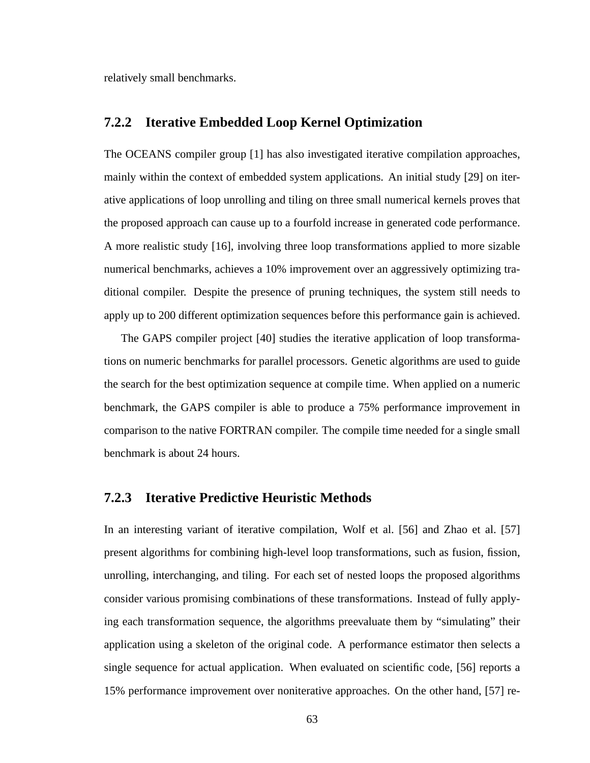relatively small benchmarks.

### **7.2.2 Iterative Embedded Loop Kernel Optimization**

The OCEANS compiler group [1] has also investigated iterative compilation approaches, mainly within the context of embedded system applications. An initial study [29] on iterative applications of loop unrolling and tiling on three small numerical kernels proves that the proposed approach can cause up to a fourfold increase in generated code performance. A more realistic study [16], involving three loop transformations applied to more sizable numerical benchmarks, achieves a 10% improvement over an aggressively optimizing traditional compiler. Despite the presence of pruning techniques, the system still needs to apply up to 200 different optimization sequences before this performance gain is achieved.

The GAPS compiler project [40] studies the iterative application of loop transformations on numeric benchmarks for parallel processors. Genetic algorithms are used to guide the search for the best optimization sequence at compile time. When applied on a numeric benchmark, the GAPS compiler is able to produce a 75% performance improvement in comparison to the native FORTRAN compiler. The compile time needed for a single small benchmark is about 24 hours.

### **7.2.3 Iterative Predictive Heuristic Methods**

In an interesting variant of iterative compilation, Wolf et al. [56] and Zhao et al. [57] present algorithms for combining high-level loop transformations, such as fusion, fission, unrolling, interchanging, and tiling. For each set of nested loops the proposed algorithms consider various promising combinations of these transformations. Instead of fully applying each transformation sequence, the algorithms preevaluate them by "simulating" their application using a skeleton of the original code. A performance estimator then selects a single sequence for actual application. When evaluated on scientific code, [56] reports a 15% performance improvement over noniterative approaches. On the other hand, [57] re-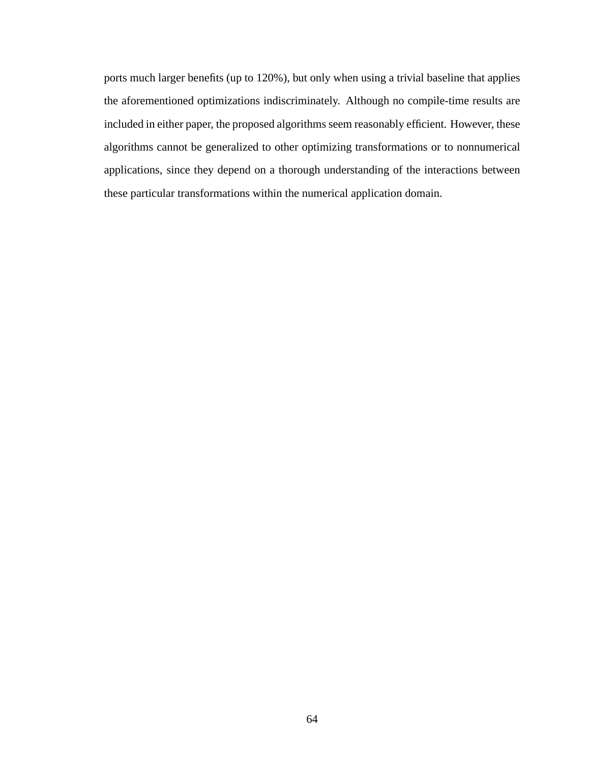ports much larger benefits (up to 120%), but only when using a trivial baseline that applies the aforementioned optimizations indiscriminately. Although no compile-time results are included in either paper, the proposed algorithms seem reasonably efficient. However, these algorithms cannot be generalized to other optimizing transformations or to nonnumerical applications, since they depend on a thorough understanding of the interactions between these particular transformations within the numerical application domain.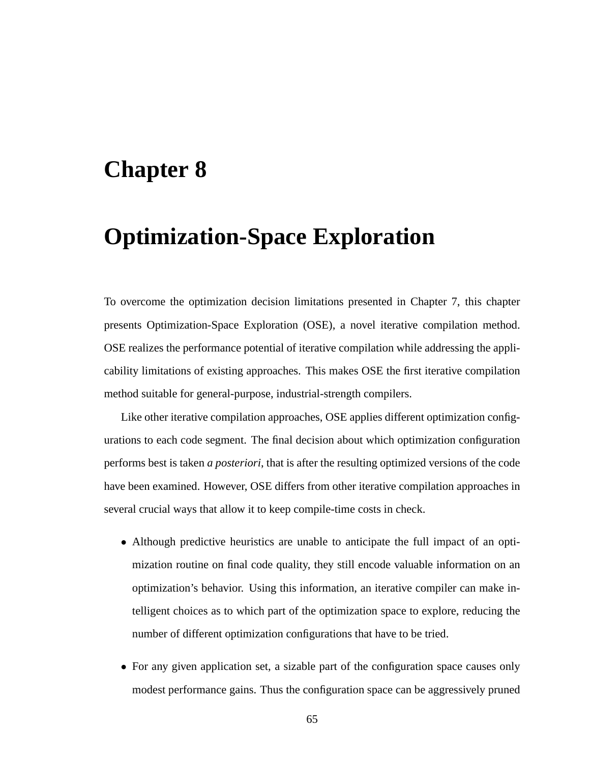## **Chapter 8**

## **Optimization-Space Exploration**

To overcome the optimization decision limitations presented in Chapter 7, this chapter presents Optimization-Space Exploration (OSE), a novel iterative compilation method. OSE realizes the performance potential of iterative compilation while addressing the applicability limitations of existing approaches. This makes OSE the first iterative compilation method suitable for general-purpose, industrial-strength compilers.

Like other iterative compilation approaches, OSE applies different optimization configurations to each code segment. The final decision about which optimization configuration performs best is taken *a posteriori*, that is after the resulting optimized versions of the code have been examined. However, OSE differs from other iterative compilation approaches in several crucial ways that allow it to keep compile-time costs in check.

- Although predictive heuristics are unable to anticipate the full impact of an optimization routine on final code quality, they still encode valuable information on an optimization's behavior. Using this information, an iterative compiler can make intelligent choices as to which part of the optimization space to explore, reducing the number of different optimization configurations that have to be tried.
- For any given application set, a sizable part of the configuration space causes only modest performance gains. Thus the configuration space can be aggressively pruned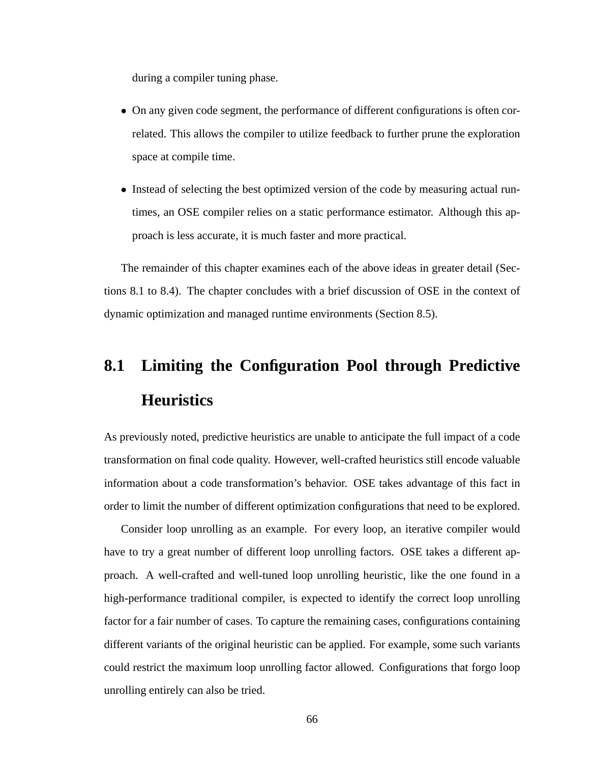during a compiler tuning phase.

- On any given code segment, the performance of different configurations is often correlated. This allows the compiler to utilize feedback to further prune the exploration space at compile time.
- Instead of selecting the best optimized version of the code by measuring actual runtimes, an OSE compiler relies on a static performance estimator. Although this approach is less accurate, it is much faster and more practical.

The remainder of this chapter examines each of the above ideas in greater detail (Sections 8.1 to 8.4). The chapter concludes with a brief discussion of OSE in the context of dynamic optimization and managed runtime environments (Section 8.5).

# **8.1 Limiting the Configuration Pool through Predictive Heuristics**

As previously noted, predictive heuristics are unable to anticipate the full impact of a code transformation on final code quality. However, well-crafted heuristics still encode valuable information about a code transformation's behavior. OSE takes advantage of this fact in order to limit the number of different optimization configurations that need to be explored.

Consider loop unrolling as an example. For every loop, an iterative compiler would have to try a great number of different loop unrolling factors. OSE takes a different approach. A well-crafted and well-tuned loop unrolling heuristic, like the one found in a high-performance traditional compiler, is expected to identify the correct loop unrolling factor for a fair number of cases. To capture the remaining cases, configurations containing different variants of the original heuristic can be applied. For example, some such variants could restrict the maximum loop unrolling factor allowed. Configurations that forgo loop unrolling entirely can also be tried.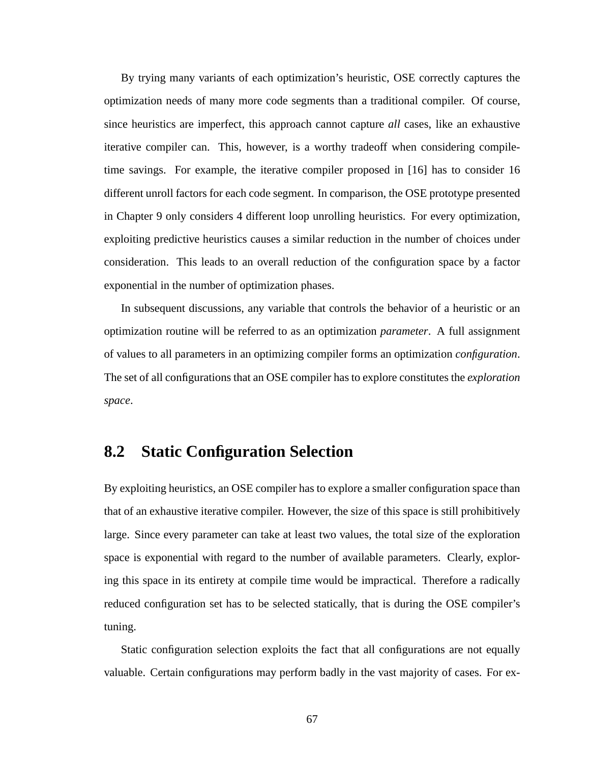By trying many variants of each optimization's heuristic, OSE correctly captures the optimization needs of many more code segments than a traditional compiler. Of course, since heuristics are imperfect, this approach cannot capture *all* cases, like an exhaustive iterative compiler can. This, however, is a worthy tradeoff when considering compiletime savings. For example, the iterative compiler proposed in [16] has to consider 16 different unroll factors for each code segment. In comparison, the OSE prototype presented in Chapter 9 only considers 4 different loop unrolling heuristics. For every optimization, exploiting predictive heuristics causes a similar reduction in the number of choices under consideration. This leads to an overall reduction of the configuration space by a factor exponential in the number of optimization phases.

In subsequent discussions, any variable that controls the behavior of a heuristic or an optimization routine will be referred to as an optimization *parameter*. A full assignment of values to all parameters in an optimizing compiler forms an optimization *configuration*. The set of all configurations that an OSE compiler has to explore constitutes the *exploration space*.

### **8.2 Static Configuration Selection**

By exploiting heuristics, an OSE compiler has to explore a smaller configuration space than that of an exhaustive iterative compiler. However, the size of this space is still prohibitively large. Since every parameter can take at least two values, the total size of the exploration space is exponential with regard to the number of available parameters. Clearly, exploring this space in its entirety at compile time would be impractical. Therefore a radically reduced configuration set has to be selected statically, that is during the OSE compiler's tuning.

Static configuration selection exploits the fact that all configurations are not equally valuable. Certain configurations may perform badly in the vast majority of cases. For ex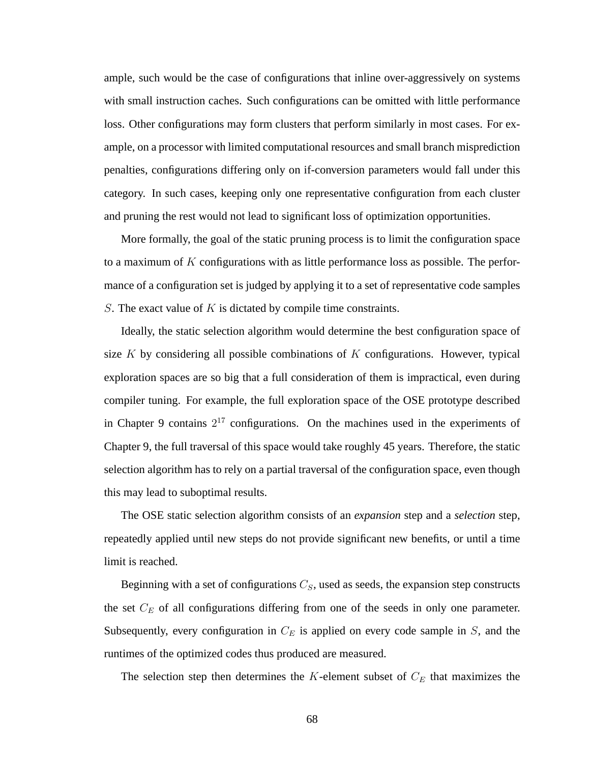ample, such would be the case of configurations that inline over-aggressively on systems with small instruction caches. Such configurations can be omitted with little performance loss. Other configurations may form clusters that perform similarly in most cases. For example, on a processor with limited computational resources and small branch misprediction penalties, configurations differing only on if-conversion parameters would fall under this category. In such cases, keeping only one representative configuration from each cluster and pruning the rest would not lead to significant loss of optimization opportunities.

More formally, the goal of the static pruning process is to limit the configuration space to a maximum of  $K$  configurations with as little performance loss as possible. The performance of a configuration set is judged by applying it to a set of representative code samples S. The exact value of  $K$  is dictated by compile time constraints.

Ideally, the static selection algorithm would determine the best configuration space of size  $K$  by considering all possible combinations of  $K$  configurations. However, typical exploration spaces are so big that a full consideration of them is impractical, even during compiler tuning. For example, the full exploration space of the OSE prototype described in Chapter 9 contains  $2^{17}$  configurations. On the machines used in the experiments of Chapter 9, the full traversal of this space would take roughly 45 years. Therefore, the static selection algorithm has to rely on a partial traversal of the configuration space, even though this may lead to suboptimal results.

The OSE static selection algorithm consists of an *expansion* step and a *selection* step, repeatedly applied until new steps do not provide significant new benefits, or until a time limit is reached.

Beginning with a set of configurations  $C_S$ , used as seeds, the expansion step constructs the set  $C_E$  of all configurations differing from one of the seeds in only one parameter. Subsequently, every configuration in  $C_E$  is applied on every code sample in  $S$ , and the runtimes of the optimized codes thus produced are measured.

The selection step then determines the  $K$ -element subset of  $C_E$  that maximizes the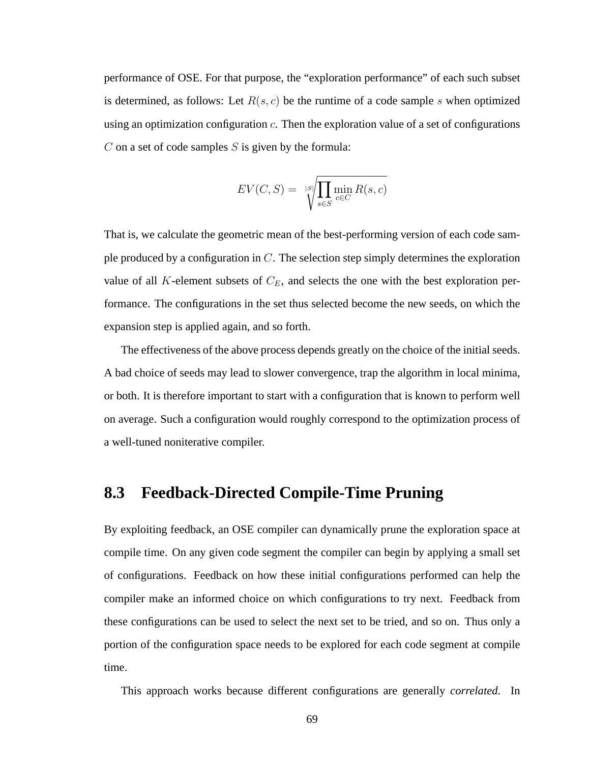performance of OSE. For that purpose, the "exploration performance" of each such subset is determined, as follows: Let  $R(s, c)$  be the runtime of a code sample s when optimized using an optimization configuration c. Then the exploration value of a set of configurations  $C$  on a set of code samples  $S$  is given by the formula:

$$
EV(C, S) = \sqrt{\sum_{s \in S} \min_{c \in C} R(s, c)}
$$

That is, we calculate the geometric mean of the best-performing version of each code sample produced by a configuration in  $C$ . The selection step simply determines the exploration value of all K-element subsets of  $C_E$ , and selects the one with the best exploration performance. The configurations in the set thus selected become the new seeds, on which the expansion step is applied again, and so forth.

The effectiveness of the above process depends greatly on the choice of the initial seeds. A bad choice of seeds may lead to slower convergence, trap the algorithm in local minima, or both. It is therefore important to start with a configuration that is known to perform well on average. Such a configuration would roughly correspond to the optimization process of a well-tuned noniterative compiler.

### **8.3 Feedback-Directed Compile-Time Pruning**

By exploiting feedback, an OSE compiler can dynamically prune the exploration space at compile time. On any given code segment the compiler can begin by applying a small set of configurations. Feedback on how these initial configurations performed can help the compiler make an informed choice on which configurations to try next. Feedback from these configurations can be used to select the next set to be tried, and so on. Thus only a portion of the configuration space needs to be explored for each code segment at compile time.

This approach works because different configurations are generally *correlated*. In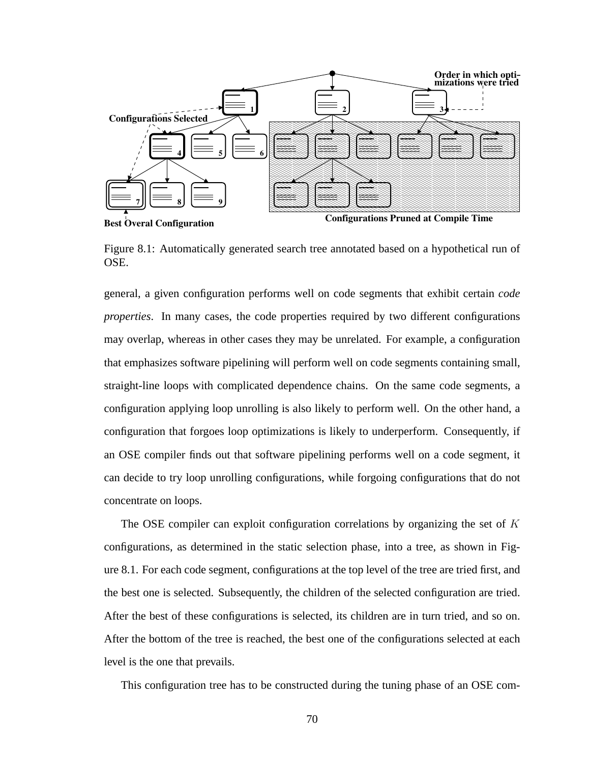

Figure 8.1: Automatically generated search tree annotated based on a hypothetical run of OSE.

general, a given configuration performs well on code segments that exhibit certain *code properties*. In many cases, the code properties required by two different configurations may overlap, whereas in other cases they may be unrelated. For example, a configuration that emphasizes software pipelining will perform well on code segments containing small, straight-line loops with complicated dependence chains. On the same code segments, a configuration applying loop unrolling is also likely to perform well. On the other hand, a configuration that forgoes loop optimizations is likely to underperform. Consequently, if an OSE compiler finds out that software pipelining performs well on a code segment, it can decide to try loop unrolling configurations, while forgoing configurations that do not concentrate on loops.

The OSE compiler can exploit configuration correlations by organizing the set of K configurations, as determined in the static selection phase, into a tree, as shown in Figure 8.1. For each code segment, configurations at the top level of the tree are tried first, and the best one is selected. Subsequently, the children of the selected configuration are tried. After the best of these configurations is selected, its children are in turn tried, and so on. After the bottom of the tree is reached, the best one of the configurations selected at each level is the one that prevails.

This configuration tree has to be constructed during the tuning phase of an OSE com-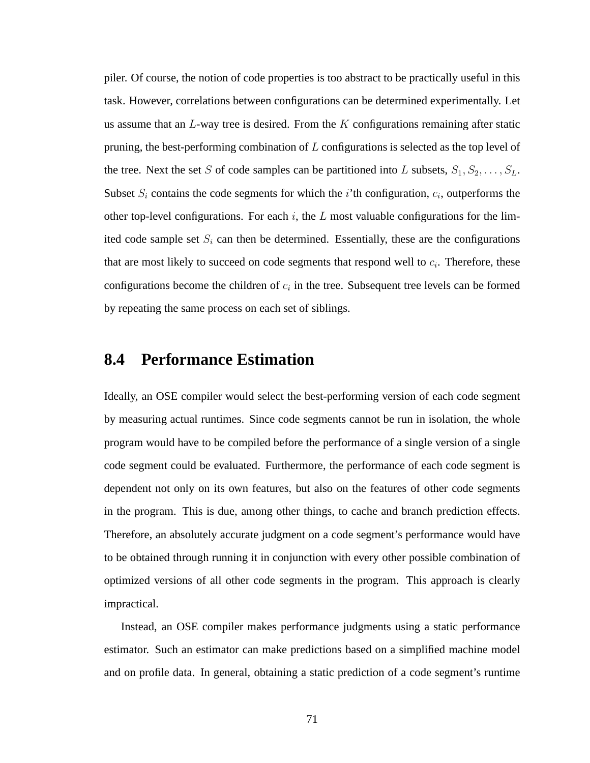piler. Of course, the notion of code properties is too abstract to be practically useful in this task. However, correlations between configurations can be determined experimentally. Let us assume that an  $L$ -way tree is desired. From the K configurations remaining after static pruning, the best-performing combination of L configurations is selected as the top level of the tree. Next the set S of code samples can be partitioned into L subsets,  $S_1, S_2, \ldots, S_L$ . Subset  $S_i$  contains the code segments for which the *i*'th configuration,  $c_i$ , outperforms the other top-level configurations. For each  $i$ , the  $L$  most valuable configurations for the limited code sample set  $S_i$  can then be determined. Essentially, these are the configurations that are most likely to succeed on code segments that respond well to  $c_i$ . Therefore, these configurations become the children of  $c_i$  in the tree. Subsequent tree levels can be formed by repeating the same process on each set of siblings.

#### **8.4 Performance Estimation**

Ideally, an OSE compiler would select the best-performing version of each code segment by measuring actual runtimes. Since code segments cannot be run in isolation, the whole program would have to be compiled before the performance of a single version of a single code segment could be evaluated. Furthermore, the performance of each code segment is dependent not only on its own features, but also on the features of other code segments in the program. This is due, among other things, to cache and branch prediction effects. Therefore, an absolutely accurate judgment on a code segment's performance would have to be obtained through running it in conjunction with every other possible combination of optimized versions of all other code segments in the program. This approach is clearly impractical.

Instead, an OSE compiler makes performance judgments using a static performance estimator. Such an estimator can make predictions based on a simplified machine model and on profile data. In general, obtaining a static prediction of a code segment's runtime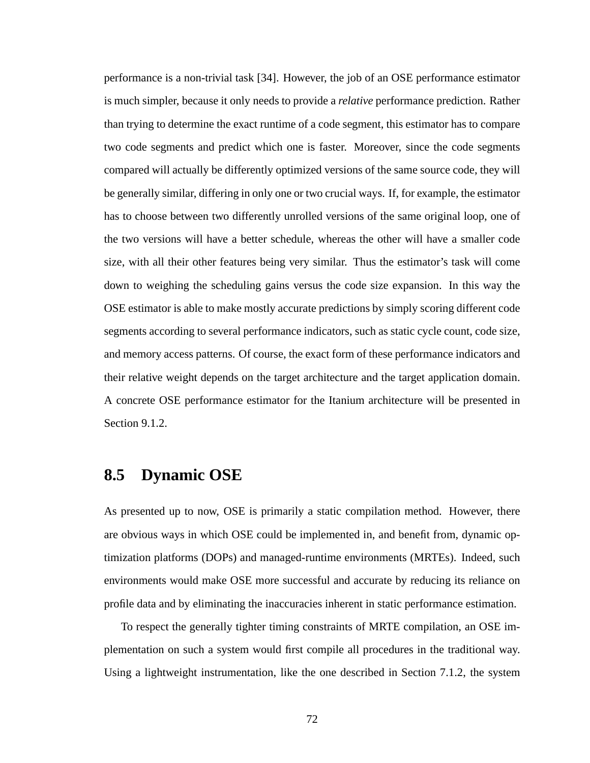performance is a non-trivial task [34]. However, the job of an OSE performance estimator is much simpler, because it only needs to provide a *relative* performance prediction. Rather than trying to determine the exact runtime of a code segment, this estimator has to compare two code segments and predict which one is faster. Moreover, since the code segments compared will actually be differently optimized versions of the same source code, they will be generally similar, differing in only one or two crucial ways. If, for example, the estimator has to choose between two differently unrolled versions of the same original loop, one of the two versions will have a better schedule, whereas the other will have a smaller code size, with all their other features being very similar. Thus the estimator's task will come down to weighing the scheduling gains versus the code size expansion. In this way the OSE estimator is able to make mostly accurate predictions by simply scoring different code segments according to several performance indicators, such as static cycle count, code size, and memory access patterns. Of course, the exact form of these performance indicators and their relative weight depends on the target architecture and the target application domain. A concrete OSE performance estimator for the Itanium architecture will be presented in Section 9.1.2.

### **8.5 Dynamic OSE**

As presented up to now, OSE is primarily a static compilation method. However, there are obvious ways in which OSE could be implemented in, and benefit from, dynamic optimization platforms (DOPs) and managed-runtime environments (MRTEs). Indeed, such environments would make OSE more successful and accurate by reducing its reliance on profile data and by eliminating the inaccuracies inherent in static performance estimation.

To respect the generally tighter timing constraints of MRTE compilation, an OSE implementation on such a system would first compile all procedures in the traditional way. Using a lightweight instrumentation, like the one described in Section 7.1.2, the system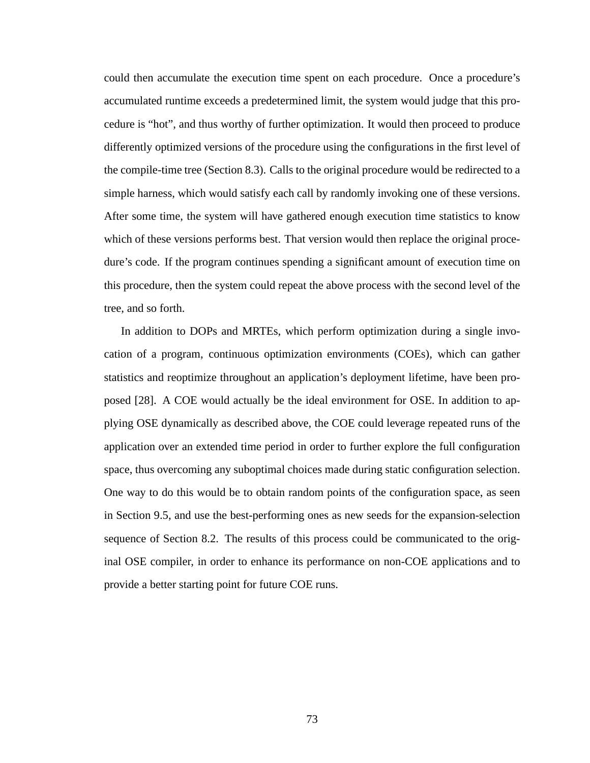could then accumulate the execution time spent on each procedure. Once a procedure's accumulated runtime exceeds a predetermined limit, the system would judge that this procedure is "hot", and thus worthy of further optimization. It would then proceed to produce differently optimized versions of the procedure using the configurations in the first level of the compile-time tree (Section 8.3). Calls to the original procedure would be redirected to a simple harness, which would satisfy each call by randomly invoking one of these versions. After some time, the system will have gathered enough execution time statistics to know which of these versions performs best. That version would then replace the original procedure's code. If the program continues spending a significant amount of execution time on this procedure, then the system could repeat the above process with the second level of the tree, and so forth.

In addition to DOPs and MRTEs, which perform optimization during a single invocation of a program, continuous optimization environments (COEs), which can gather statistics and reoptimize throughout an application's deployment lifetime, have been proposed [28]. A COE would actually be the ideal environment for OSE. In addition to applying OSE dynamically as described above, the COE could leverage repeated runs of the application over an extended time period in order to further explore the full configuration space, thus overcoming any suboptimal choices made during static configuration selection. One way to do this would be to obtain random points of the configuration space, as seen in Section 9.5, and use the best-performing ones as new seeds for the expansion-selection sequence of Section 8.2. The results of this process could be communicated to the original OSE compiler, in order to enhance its performance on non-COE applications and to provide a better starting point for future COE runs.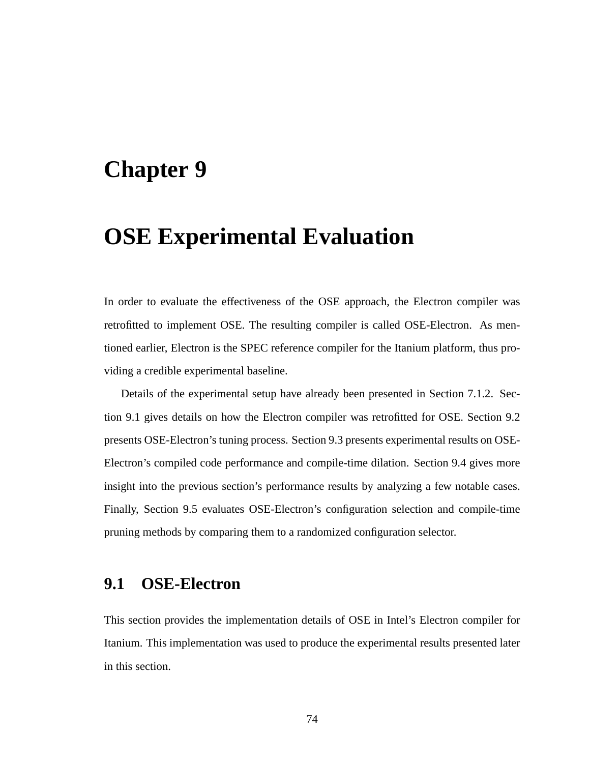## **Chapter 9**

# **OSE Experimental Evaluation**

In order to evaluate the effectiveness of the OSE approach, the Electron compiler was retrofitted to implement OSE. The resulting compiler is called OSE-Electron. As mentioned earlier, Electron is the SPEC reference compiler for the Itanium platform, thus providing a credible experimental baseline.

Details of the experimental setup have already been presented in Section 7.1.2. Section 9.1 gives details on how the Electron compiler was retrofitted for OSE. Section 9.2 presents OSE-Electron's tuning process. Section 9.3 presents experimental results on OSE-Electron's compiled code performance and compile-time dilation. Section 9.4 gives more insight into the previous section's performance results by analyzing a few notable cases. Finally, Section 9.5 evaluates OSE-Electron's configuration selection and compile-time pruning methods by comparing them to a randomized configuration selector.

### **9.1 OSE-Electron**

This section provides the implementation details of OSE in Intel's Electron compiler for Itanium. This implementation was used to produce the experimental results presented later in this section.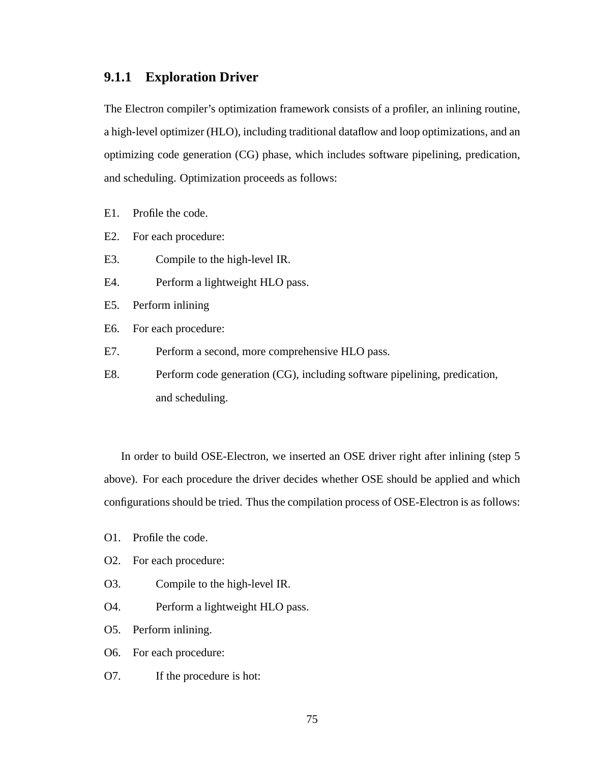#### **9.1.1 Exploration Driver**

The Electron compiler's optimization framework consists of a profiler, an inlining routine, a high-level optimizer (HLO), including traditional dataflow and loop optimizations, and an optimizing code generation (CG) phase, which includes software pipelining, predication, and scheduling. Optimization proceeds as follows:

- E1. Profile the code.
- E2. For each procedure:
- E3. Compile to the high-level IR.
- E4. Perform a lightweight HLO pass.
- E5. Perform inlining
- E6. For each procedure:
- E7. Perform a second, more comprehensive HLO pass.
- E8. Perform code generation (CG), including software pipelining, predication, and scheduling.

In order to build OSE-Electron, we inserted an OSE driver right after inlining (step 5 above). For each procedure the driver decides whether OSE should be applied and which configurations should be tried. Thus the compilation process of OSE-Electron is as follows:

- O1. Profile the code.
- O2. For each procedure:
- O3. Compile to the high-level IR.
- O4. Perform a lightweight HLO pass.

O5. Perform inlining.

- O6. For each procedure:
- O7. If the procedure is hot: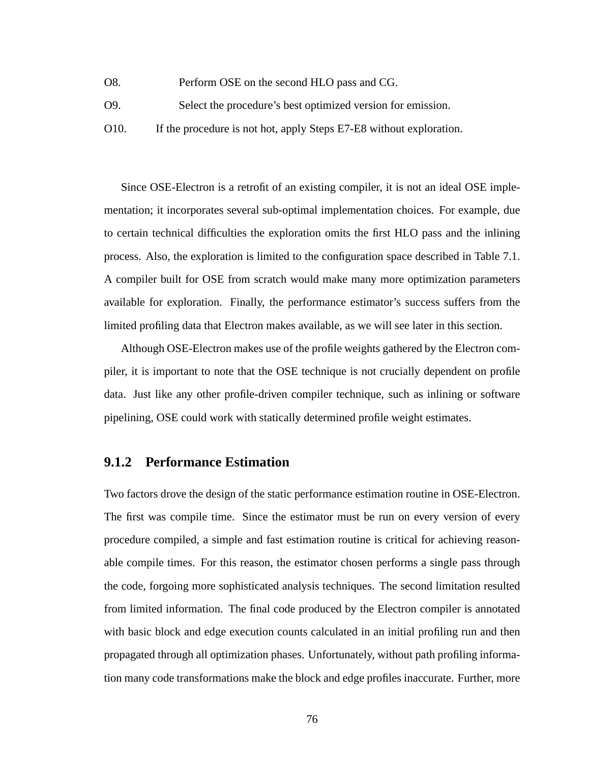- O8. Perform OSE on the second HLO pass and CG.
- O9. Select the procedure's best optimized version for emission.
- O10. If the procedure is not hot, apply Steps E7-E8 without exploration.

Since OSE-Electron is a retrofit of an existing compiler, it is not an ideal OSE implementation; it incorporates several sub-optimal implementation choices. For example, due to certain technical difficulties the exploration omits the first HLO pass and the inlining process. Also, the exploration is limited to the configuration space described in Table 7.1. A compiler built for OSE from scratch would make many more optimization parameters available for exploration. Finally, the performance estimator's success suffers from the limited profiling data that Electron makes available, as we will see later in this section.

Although OSE-Electron makes use of the profile weights gathered by the Electron compiler, it is important to note that the OSE technique is not crucially dependent on profile data. Just like any other profile-driven compiler technique, such as inlining or software pipelining, OSE could work with statically determined profile weight estimates.

#### **9.1.2 Performance Estimation**

Two factors drove the design of the static performance estimation routine in OSE-Electron. The first was compile time. Since the estimator must be run on every version of every procedure compiled, a simple and fast estimation routine is critical for achieving reasonable compile times. For this reason, the estimator chosen performs a single pass through the code, forgoing more sophisticated analysis techniques. The second limitation resulted from limited information. The final code produced by the Electron compiler is annotated with basic block and edge execution counts calculated in an initial profiling run and then propagated through all optimization phases. Unfortunately, without path profiling information many code transformations make the block and edge profiles inaccurate. Further, more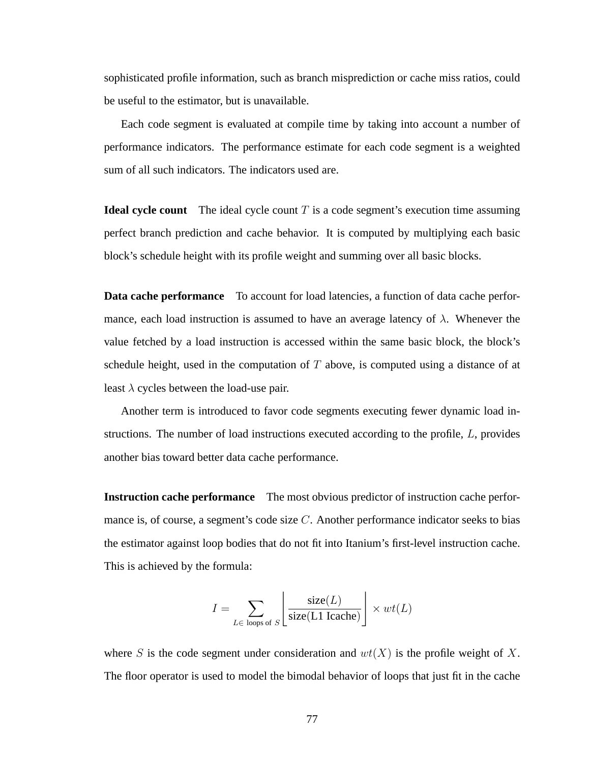sophisticated profile information, such as branch misprediction or cache miss ratios, could be useful to the estimator, but is unavailable.

Each code segment is evaluated at compile time by taking into account a number of performance indicators. The performance estimate for each code segment is a weighted sum of all such indicators. The indicators used are.

**Ideal cycle count** The ideal cycle count T is a code segment's execution time assuming perfect branch prediction and cache behavior. It is computed by multiplying each basic block's schedule height with its profile weight and summing over all basic blocks.

**Data cache performance** To account for load latencies, a function of data cache performance, each load instruction is assumed to have an average latency of  $\lambda$ . Whenever the value fetched by a load instruction is accessed within the same basic block, the block's schedule height, used in the computation of  $T$  above, is computed using a distance of at least  $\lambda$  cycles between the load-use pair.

Another term is introduced to favor code segments executing fewer dynamic load instructions. The number of load instructions executed according to the profile, L, provides another bias toward better data cache performance.

**Instruction cache performance** The most obvious predictor of instruction cache performance is, of course, a segment's code size  $C$ . Another performance indicator seeks to bias the estimator against loop bodies that do not fit into Itanium's first-level instruction cache. This is achieved by the formula:

$$
I = \sum_{L \in \text{ loops of } S} \left[ \frac{\text{size}(L)}{\text{size}(L1 \text{ Icache})} \right] \times wt(L)
$$

where S is the code segment under consideration and  $wt(X)$  is the profile weight of X. The floor operator is used to model the bimodal behavior of loops that just fit in the cache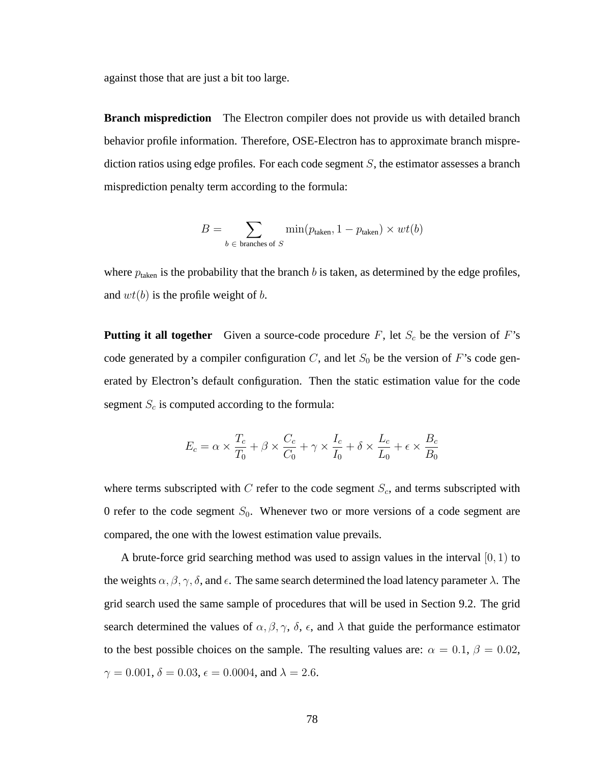against those that are just a bit too large.

**Branch misprediction** The Electron compiler does not provide us with detailed branch behavior profile information. Therefore, OSE-Electron has to approximate branch misprediction ratios using edge profiles. For each code segment  $S$ , the estimator assesses a branch misprediction penalty term according to the formula:

$$
B = \sum_{b \text{ } \in \text{ branches of } S} \min(p_{\text{taken}}, 1 - p_{\text{taken}}) \times wt(b)
$$

where  $p_{\text{taken}}$  is the probability that the branch b is taken, as determined by the edge profiles, and  $wt(b)$  is the profile weight of b.

**Putting it all together** Given a source-code procedure  $F$ , let  $S_c$  be the version of  $F$ 's code generated by a compiler configuration C, and let  $S_0$  be the version of F's code generated by Electron's default configuration. Then the static estimation value for the code segment  $S_c$  is computed according to the formula:

$$
E_c = \alpha \times \frac{T_c}{T_0} + \beta \times \frac{C_c}{C_0} + \gamma \times \frac{I_c}{I_0} + \delta \times \frac{L_c}{L_0} + \epsilon \times \frac{B_c}{B_0}
$$

where terms subscripted with  $C$  refer to the code segment  $S_c$ , and terms subscripted with 0 refer to the code segment  $S_0$ . Whenever two or more versions of a code segment are compared, the one with the lowest estimation value prevails.

A brute-force grid searching method was used to assign values in the interval  $[0, 1)$  to the weights  $\alpha, \beta, \gamma, \delta$ , and  $\epsilon$ . The same search determined the load latency parameter  $\lambda$ . The grid search used the same sample of procedures that will be used in Section 9.2. The grid search determined the values of  $\alpha$ ,  $\beta$ ,  $\gamma$ ,  $\delta$ ,  $\epsilon$ , and  $\lambda$  that guide the performance estimator to the best possible choices on the sample. The resulting values are:  $\alpha = 0.1$ ,  $\beta = 0.02$ ,  $\gamma = 0.001, \delta = 0.03, \epsilon = 0.0004, \text{ and } \lambda = 2.6.$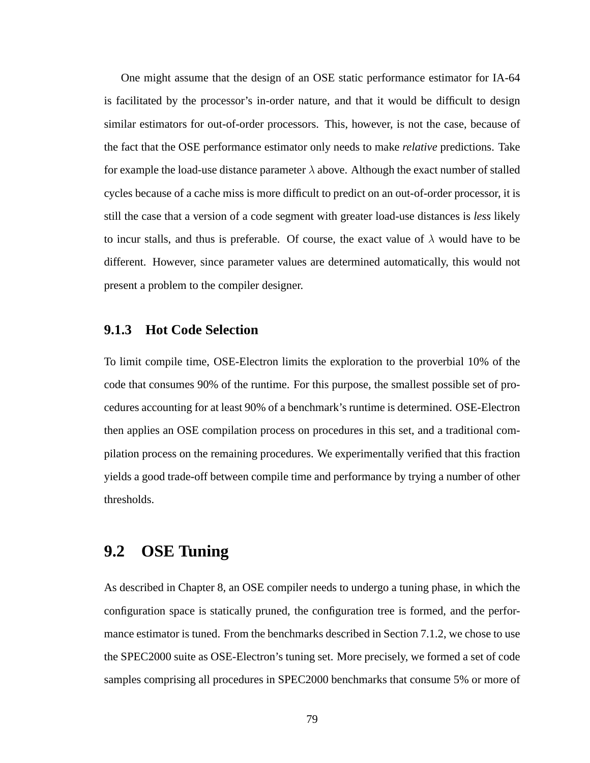One might assume that the design of an OSE static performance estimator for IA-64 is facilitated by the processor's in-order nature, and that it would be difficult to design similar estimators for out-of-order processors. This, however, is not the case, because of the fact that the OSE performance estimator only needs to make *relative* predictions. Take for example the load-use distance parameter  $\lambda$  above. Although the exact number of stalled cycles because of a cache miss is more difficult to predict on an out-of-order processor, it is still the case that a version of a code segment with greater load-use distances is *less* likely to incur stalls, and thus is preferable. Of course, the exact value of  $\lambda$  would have to be different. However, since parameter values are determined automatically, this would not present a problem to the compiler designer.

#### **9.1.3 Hot Code Selection**

To limit compile time, OSE-Electron limits the exploration to the proverbial 10% of the code that consumes 90% of the runtime. For this purpose, the smallest possible set of procedures accounting for at least 90% of a benchmark's runtime is determined. OSE-Electron then applies an OSE compilation process on procedures in this set, and a traditional compilation process on the remaining procedures. We experimentally verified that this fraction yields a good trade-off between compile time and performance by trying a number of other thresholds.

### **9.2 OSE Tuning**

As described in Chapter 8, an OSE compiler needs to undergo a tuning phase, in which the configuration space is statically pruned, the configuration tree is formed, and the performance estimator is tuned. From the benchmarks described in Section 7.1.2, we chose to use the SPEC2000 suite as OSE-Electron's tuning set. More precisely, we formed a set of code samples comprising all procedures in SPEC2000 benchmarks that consume 5% or more of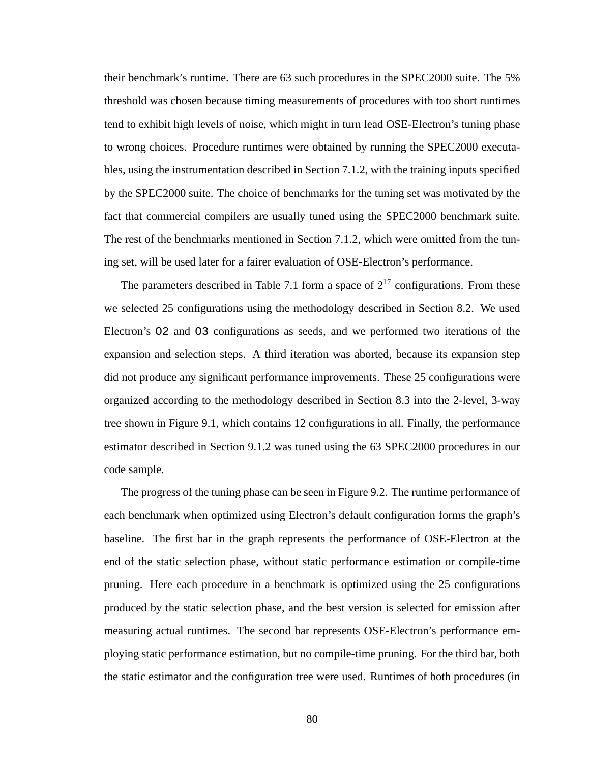their benchmark's runtime. There are 63 such procedures in the SPEC2000 suite. The 5% threshold was chosen because timing measurements of procedures with too short runtimes tend to exhibit high levels of noise, which might in turn lead OSE-Electron's tuning phase to wrong choices. Procedure runtimes were obtained by running the SPEC2000 executables, using the instrumentation described in Section 7.1.2, with the training inputs specified by the SPEC2000 suite. The choice of benchmarks for the tuning set was motivated by the fact that commercial compilers are usually tuned using the SPEC2000 benchmark suite. The rest of the benchmarks mentioned in Section 7.1.2, which were omitted from the tuning set, will be used later for a fairer evaluation of OSE-Electron's performance.

The parameters described in Table 7.1 form a space of  $2^{17}$  configurations. From these we selected 25 configurations using the methodology described in Section 8.2. We used Electron's O2 and O3 configurations as seeds, and we performed two iterations of the expansion and selection steps. A third iteration was aborted, because its expansion step did not produce any significant performance improvements. These 25 configurations were organized according to the methodology described in Section 8.3 into the 2-level, 3-way tree shown in Figure 9.1, which contains 12 configurations in all. Finally, the performance estimator described in Section 9.1.2 was tuned using the 63 SPEC2000 procedures in our code sample.

The progress of the tuning phase can be seen in Figure 9.2. The runtime performance of each benchmark when optimized using Electron's default configuration forms the graph's baseline. The first bar in the graph represents the performance of OSE-Electron at the end of the static selection phase, without static performance estimation or compile-time pruning. Here each procedure in a benchmark is optimized using the 25 configurations produced by the static selection phase, and the best version is selected for emission after measuring actual runtimes. The second bar represents OSE-Electron's performance employing static performance estimation, but no compile-time pruning. For the third bar, both the static estimator and the configuration tree were used. Runtimes of both procedures (in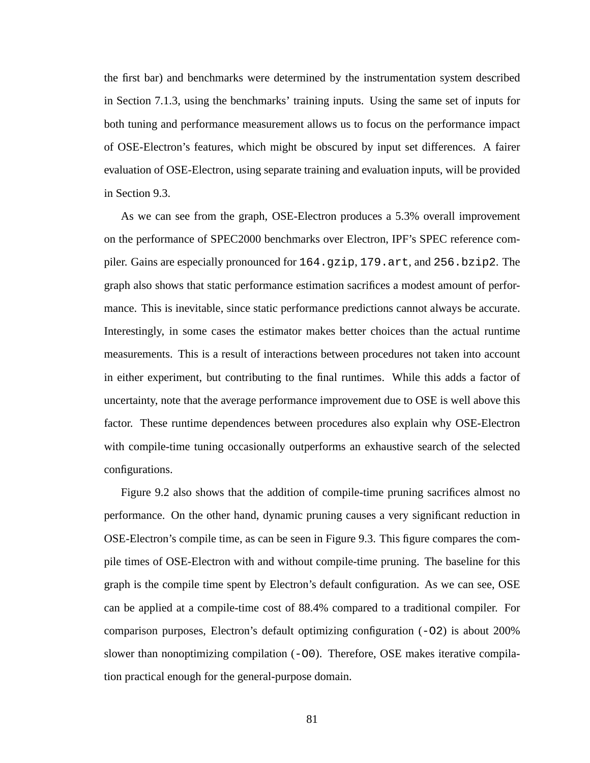the first bar) and benchmarks were determined by the instrumentation system described in Section 7.1.3, using the benchmarks' training inputs. Using the same set of inputs for both tuning and performance measurement allows us to focus on the performance impact of OSE-Electron's features, which might be obscured by input set differences. A fairer evaluation of OSE-Electron, using separate training and evaluation inputs, will be provided in Section 9.3.

As we can see from the graph, OSE-Electron produces a 5.3% overall improvement on the performance of SPEC2000 benchmarks over Electron, IPF's SPEC reference compiler. Gains are especially pronounced for 164.gzip, 179.art, and 256.bzip2. The graph also shows that static performance estimation sacrifices a modest amount of performance. This is inevitable, since static performance predictions cannot always be accurate. Interestingly, in some cases the estimator makes better choices than the actual runtime measurements. This is a result of interactions between procedures not taken into account in either experiment, but contributing to the final runtimes. While this adds a factor of uncertainty, note that the average performance improvement due to OSE is well above this factor. These runtime dependences between procedures also explain why OSE-Electron with compile-time tuning occasionally outperforms an exhaustive search of the selected configurations.

Figure 9.2 also shows that the addition of compile-time pruning sacrifices almost no performance. On the other hand, dynamic pruning causes a very significant reduction in OSE-Electron's compile time, as can be seen in Figure 9.3. This figure compares the compile times of OSE-Electron with and without compile-time pruning. The baseline for this graph is the compile time spent by Electron's default configuration. As we can see, OSE can be applied at a compile-time cost of 88.4% compared to a traditional compiler. For comparison purposes, Electron's default optimizing configuration (-O2) is about 200% slower than nonoptimizing compilation  $(-00)$ . Therefore, OSE makes iterative compilation practical enough for the general-purpose domain.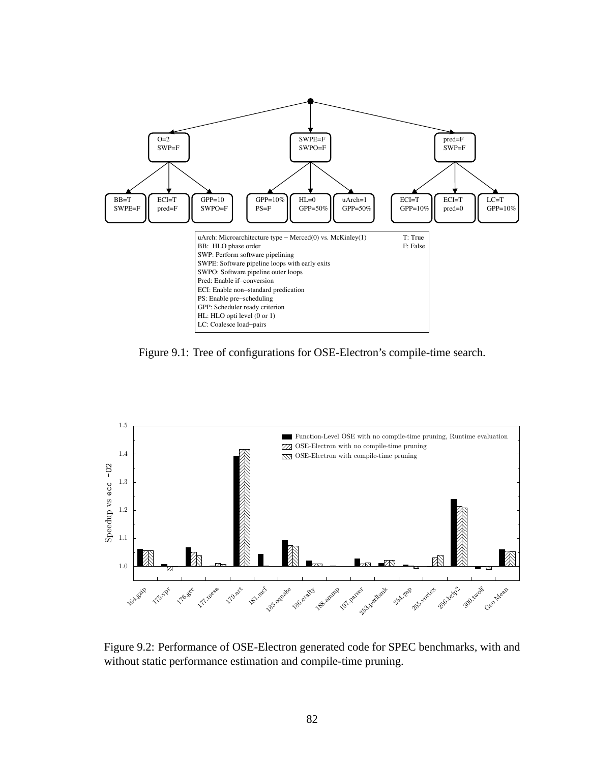

Figure 9.1: Tree of configurations for OSE-Electron's compile-time search.



Figure 9.2: Performance of OSE-Electron generated code for SPEC benchmarks, with and without static performance estimation and compile-time pruning.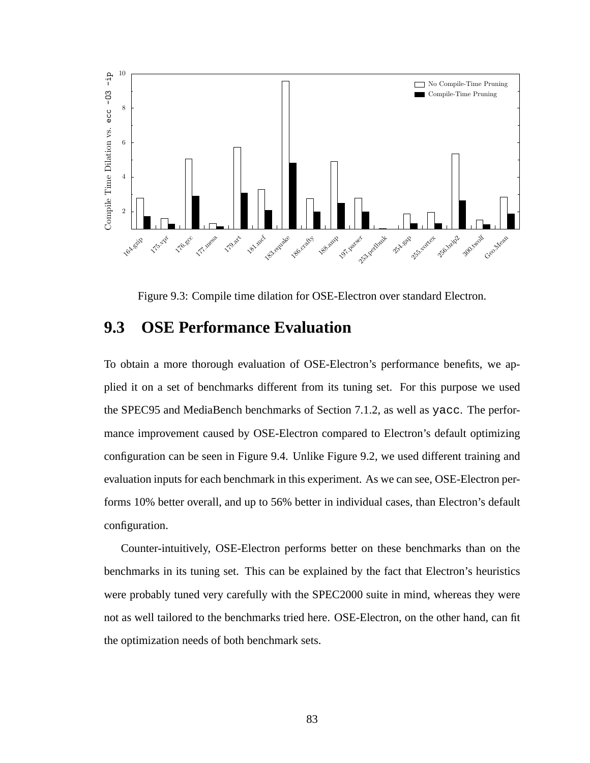

Figure 9.3: Compile time dilation for OSE-Electron over standard Electron.

### **9.3 OSE Performance Evaluation**

To obtain a more thorough evaluation of OSE-Electron's performance benefits, we applied it on a set of benchmarks different from its tuning set. For this purpose we used the SPEC95 and MediaBench benchmarks of Section 7.1.2, as well as yacc. The performance improvement caused by OSE-Electron compared to Electron's default optimizing configuration can be seen in Figure 9.4. Unlike Figure 9.2, we used different training and evaluation inputs for each benchmark in this experiment. As we can see, OSE-Electron performs 10% better overall, and up to 56% better in individual cases, than Electron's default configuration.

Counter-intuitively, OSE-Electron performs better on these benchmarks than on the benchmarks in its tuning set. This can be explained by the fact that Electron's heuristics were probably tuned very carefully with the SPEC2000 suite in mind, whereas they were not as well tailored to the benchmarks tried here. OSE-Electron, on the other hand, can fit the optimization needs of both benchmark sets.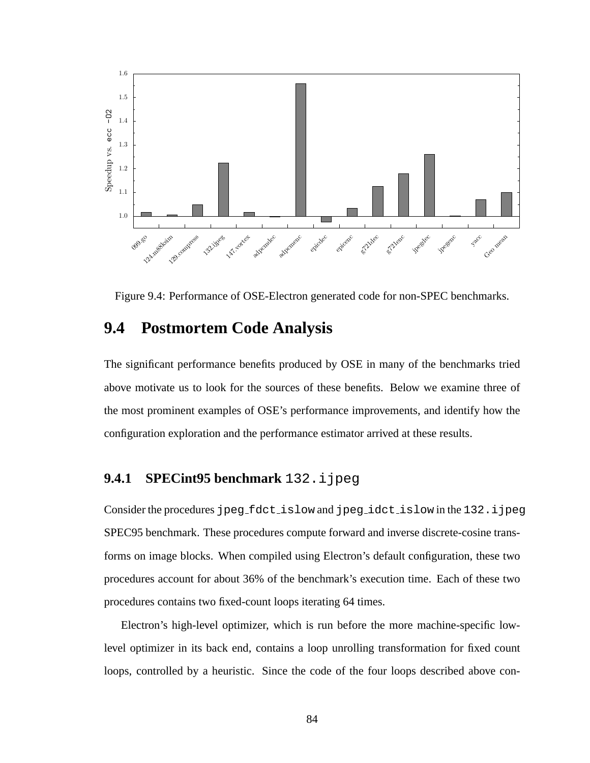

Figure 9.4: Performance of OSE-Electron generated code for non-SPEC benchmarks.

#### **9.4 Postmortem Code Analysis**

The significant performance benefits produced by OSE in many of the benchmarks tried above motivate us to look for the sources of these benefits. Below we examine three of the most prominent examples of OSE's performance improvements, and identify how the configuration exploration and the performance estimator arrived at these results.

#### **9.4.1 SPECint95 benchmark** 132.ijpeg

Consider the procedures jpeg\_fdct\_islow and jpeg\_idct\_islow in the 132.ijpeg SPEC95 benchmark. These procedures compute forward and inverse discrete-cosine transforms on image blocks. When compiled using Electron's default configuration, these two procedures account for about 36% of the benchmark's execution time. Each of these two procedures contains two fixed-count loops iterating 64 times.

Electron's high-level optimizer, which is run before the more machine-specific lowlevel optimizer in its back end, contains a loop unrolling transformation for fixed count loops, controlled by a heuristic. Since the code of the four loops described above con-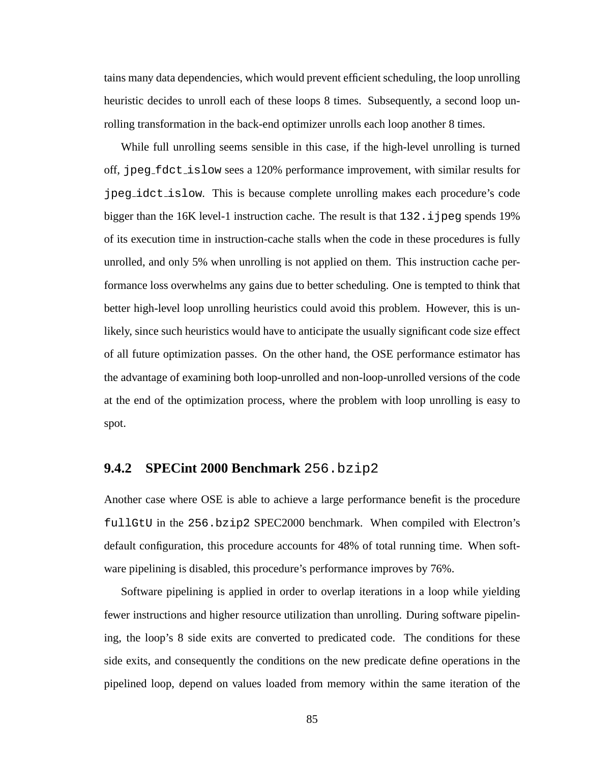tains many data dependencies, which would prevent efficient scheduling, the loop unrolling heuristic decides to unroll each of these loops 8 times. Subsequently, a second loop unrolling transformation in the back-end optimizer unrolls each loop another 8 times.

While full unrolling seems sensible in this case, if the high-level unrolling is turned off, jpeg fdct islow sees a 120% performance improvement, with similar results for jpeg idct islow. This is because complete unrolling makes each procedure's code bigger than the  $16K$  level-1 instruction cache. The result is that  $132$ . i jpeg spends 19% of its execution time in instruction-cache stalls when the code in these procedures is fully unrolled, and only 5% when unrolling is not applied on them. This instruction cache performance loss overwhelms any gains due to better scheduling. One is tempted to think that better high-level loop unrolling heuristics could avoid this problem. However, this is unlikely, since such heuristics would have to anticipate the usually significant code size effect of all future optimization passes. On the other hand, the OSE performance estimator has the advantage of examining both loop-unrolled and non-loop-unrolled versions of the code at the end of the optimization process, where the problem with loop unrolling is easy to spot.

#### **9.4.2 SPECint 2000 Benchmark** 256.bzip2

Another case where OSE is able to achieve a large performance benefit is the procedure fullGtU in the 256.bzip2 SPEC2000 benchmark. When compiled with Electron's default configuration, this procedure accounts for 48% of total running time. When software pipelining is disabled, this procedure's performance improves by 76%.

Software pipelining is applied in order to overlap iterations in a loop while yielding fewer instructions and higher resource utilization than unrolling. During software pipelining, the loop's 8 side exits are converted to predicated code. The conditions for these side exits, and consequently the conditions on the new predicate define operations in the pipelined loop, depend on values loaded from memory within the same iteration of the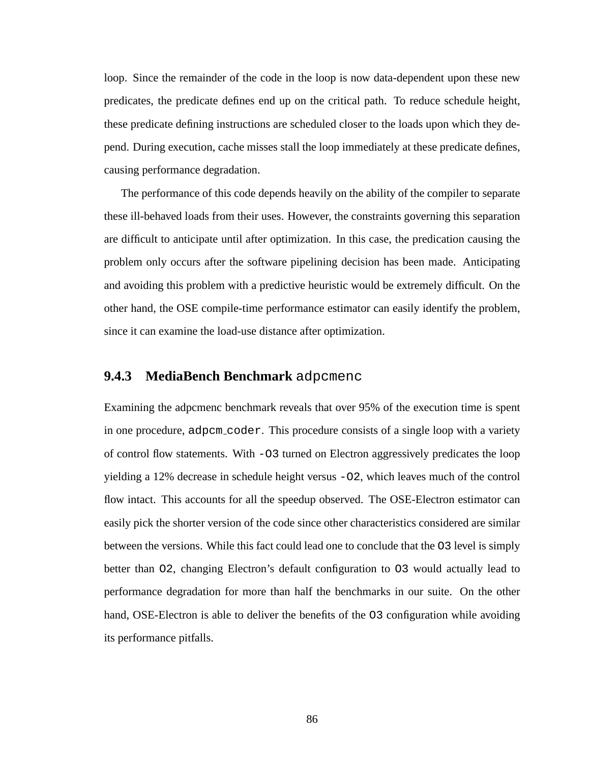loop. Since the remainder of the code in the loop is now data-dependent upon these new predicates, the predicate defines end up on the critical path. To reduce schedule height, these predicate defining instructions are scheduled closer to the loads upon which they depend. During execution, cache misses stall the loop immediately at these predicate defines, causing performance degradation.

The performance of this code depends heavily on the ability of the compiler to separate these ill-behaved loads from their uses. However, the constraints governing this separation are difficult to anticipate until after optimization. In this case, the predication causing the problem only occurs after the software pipelining decision has been made. Anticipating and avoiding this problem with a predictive heuristic would be extremely difficult. On the other hand, the OSE compile-time performance estimator can easily identify the problem, since it can examine the load-use distance after optimization.

#### **9.4.3 MediaBench Benchmark** adpcmenc

Examining the adpcmenc benchmark reveals that over 95% of the execution time is spent in one procedure, adpcm coder. This procedure consists of a single loop with a variety of control flow statements. With -O3 turned on Electron aggressively predicates the loop yielding a 12% decrease in schedule height versus -O2, which leaves much of the control flow intact. This accounts for all the speedup observed. The OSE-Electron estimator can easily pick the shorter version of the code since other characteristics considered are similar between the versions. While this fact could lead one to conclude that the O3 level is simply better than O2, changing Electron's default configuration to O3 would actually lead to performance degradation for more than half the benchmarks in our suite. On the other hand, OSE-Electron is able to deliver the benefits of the O3 configuration while avoiding its performance pitfalls.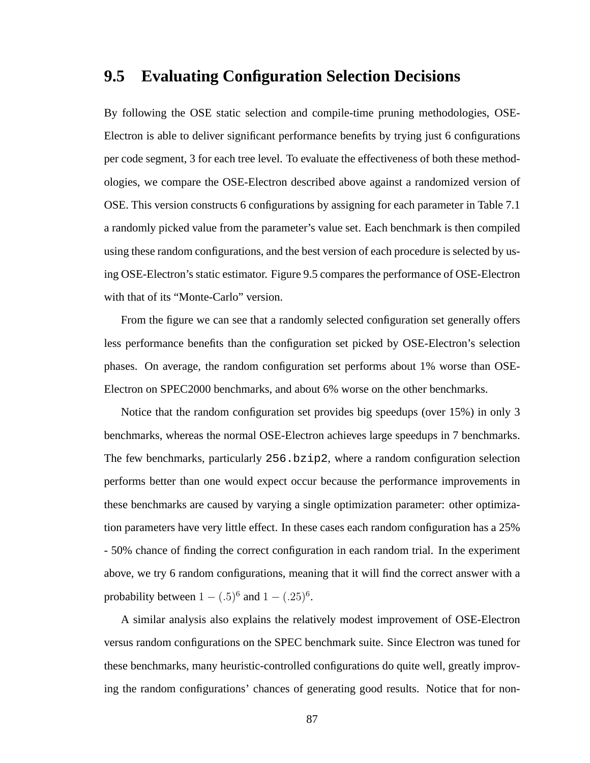### **9.5 Evaluating Configuration Selection Decisions**

By following the OSE static selection and compile-time pruning methodologies, OSE-Electron is able to deliver significant performance benefits by trying just 6 configurations per code segment, 3 for each tree level. To evaluate the effectiveness of both these methodologies, we compare the OSE-Electron described above against a randomized version of OSE. This version constructs 6 configurations by assigning for each parameter in Table 7.1 a randomly picked value from the parameter's value set. Each benchmark is then compiled using these random configurations, and the best version of each procedure is selected by using OSE-Electron's static estimator. Figure 9.5 compares the performance of OSE-Electron with that of its "Monte-Carlo" version.

From the figure we can see that a randomly selected configuration set generally offers less performance benefits than the configuration set picked by OSE-Electron's selection phases. On average, the random configuration set performs about 1% worse than OSE-Electron on SPEC2000 benchmarks, and about 6% worse on the other benchmarks.

Notice that the random configuration set provides big speedups (over 15%) in only 3 benchmarks, whereas the normal OSE-Electron achieves large speedups in 7 benchmarks. The few benchmarks, particularly 256.bzip2, where a random configuration selection performs better than one would expect occur because the performance improvements in these benchmarks are caused by varying a single optimization parameter: other optimization parameters have very little effect. In these cases each random configuration has a 25% - 50% chance of finding the correct configuration in each random trial. In the experiment above, we try 6 random configurations, meaning that it will find the correct answer with a probability between  $1 - (.5)^6$  and  $1 - (.25)^6$ .

A similar analysis also explains the relatively modest improvement of OSE-Electron versus random configurations on the SPEC benchmark suite. Since Electron was tuned for these benchmarks, many heuristic-controlled configurations do quite well, greatly improving the random configurations' chances of generating good results. Notice that for non-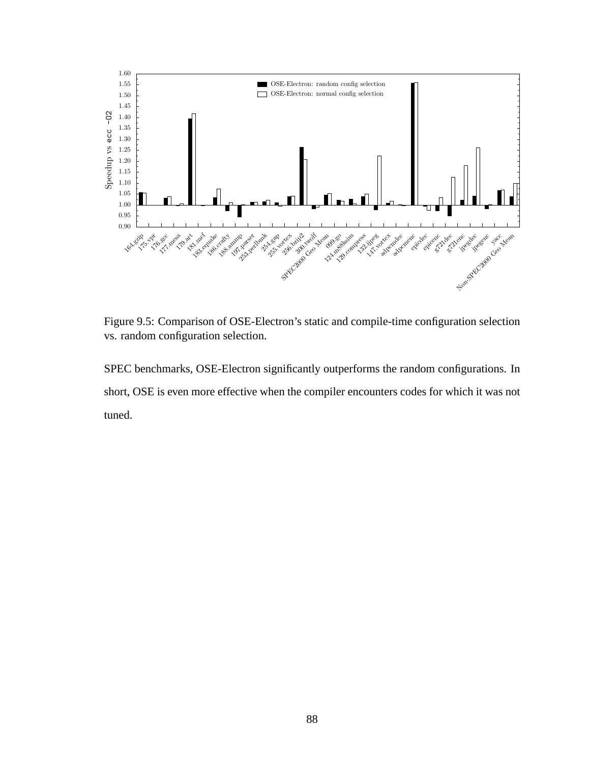

Figure 9.5: Comparison of OSE-Electron's static and compile-time configuration selection vs. random configuration selection.

SPEC benchmarks, OSE-Electron significantly outperforms the random configurations. In short, OSE is even more effective when the compiler encounters codes for which it was not tuned.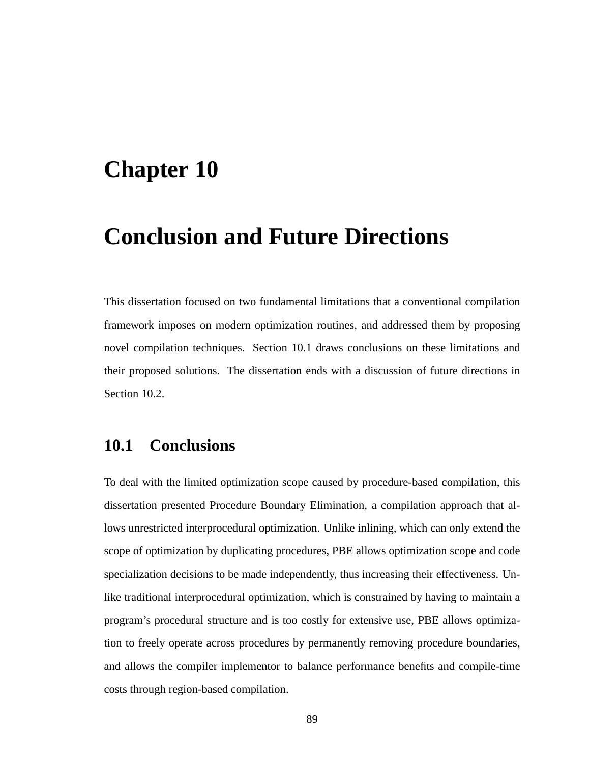## **Chapter 10**

# **Conclusion and Future Directions**

This dissertation focused on two fundamental limitations that a conventional compilation framework imposes on modern optimization routines, and addressed them by proposing novel compilation techniques. Section 10.1 draws conclusions on these limitations and their proposed solutions. The dissertation ends with a discussion of future directions in Section 10.2.

## **10.1 Conclusions**

To deal with the limited optimization scope caused by procedure-based compilation, this dissertation presented Procedure Boundary Elimination, a compilation approach that allows unrestricted interprocedural optimization. Unlike inlining, which can only extend the scope of optimization by duplicating procedures, PBE allows optimization scope and code specialization decisions to be made independently, thus increasing their effectiveness. Unlike traditional interprocedural optimization, which is constrained by having to maintain a program's procedural structure and is too costly for extensive use, PBE allows optimization to freely operate across procedures by permanently removing procedure boundaries, and allows the compiler implementor to balance performance benefits and compile-time costs through region-based compilation.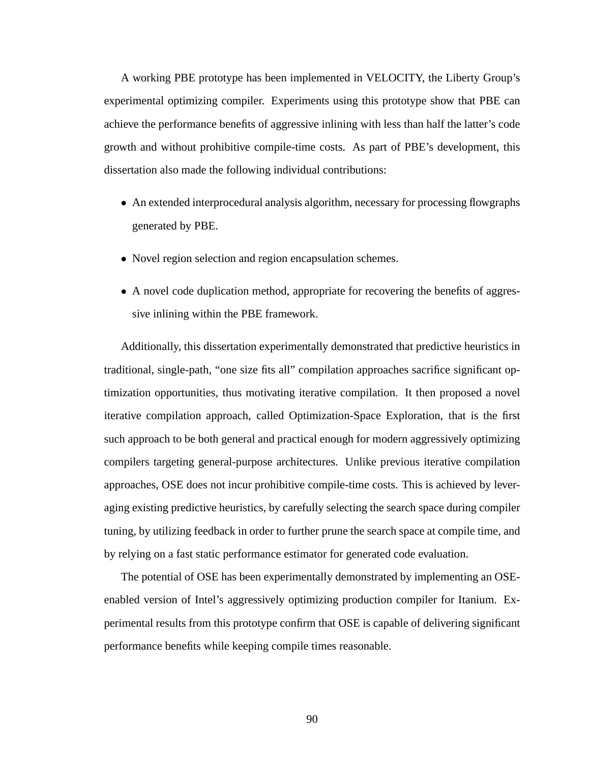A working PBE prototype has been implemented in VELOCITY, the Liberty Group's experimental optimizing compiler. Experiments using this prototype show that PBE can achieve the performance benefits of aggressive inlining with less than half the latter's code growth and without prohibitive compile-time costs. As part of PBE's development, this dissertation also made the following individual contributions:

- An extended interprocedural analysis algorithm, necessary for processing flowgraphs generated by PBE.
- Novel region selection and region encapsulation schemes.
- A novel code duplication method, appropriate for recovering the benefits of aggressive inlining within the PBE framework.

Additionally, this dissertation experimentally demonstrated that predictive heuristics in traditional, single-path, "one size fits all" compilation approaches sacrifice significant optimization opportunities, thus motivating iterative compilation. It then proposed a novel iterative compilation approach, called Optimization-Space Exploration, that is the first such approach to be both general and practical enough for modern aggressively optimizing compilers targeting general-purpose architectures. Unlike previous iterative compilation approaches, OSE does not incur prohibitive compile-time costs. This is achieved by leveraging existing predictive heuristics, by carefully selecting the search space during compiler tuning, by utilizing feedback in order to further prune the search space at compile time, and by relying on a fast static performance estimator for generated code evaluation.

The potential of OSE has been experimentally demonstrated by implementing an OSEenabled version of Intel's aggressively optimizing production compiler for Itanium. Experimental results from this prototype confirm that OSE is capable of delivering significant performance benefits while keeping compile times reasonable.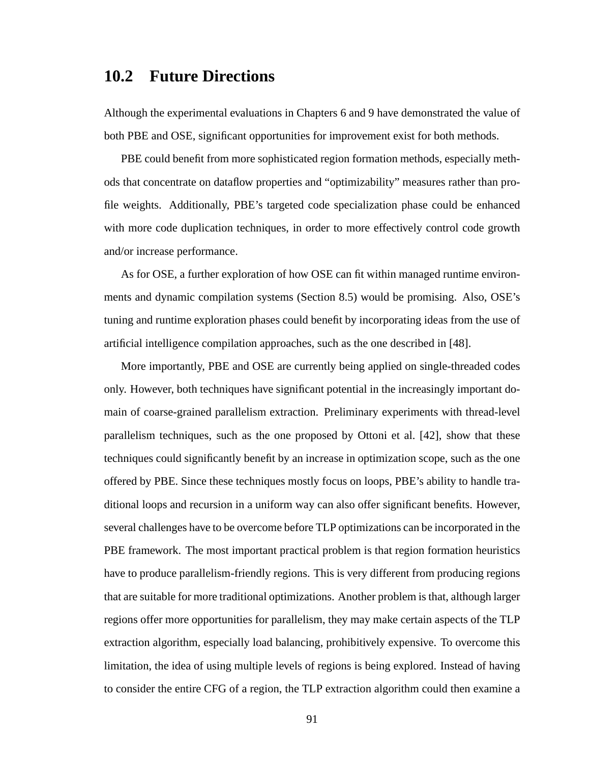### **10.2 Future Directions**

Although the experimental evaluations in Chapters 6 and 9 have demonstrated the value of both PBE and OSE, significant opportunities for improvement exist for both methods.

PBE could benefit from more sophisticated region formation methods, especially methods that concentrate on dataflow properties and "optimizability" measures rather than profile weights. Additionally, PBE's targeted code specialization phase could be enhanced with more code duplication techniques, in order to more effectively control code growth and/or increase performance.

As for OSE, a further exploration of how OSE can fit within managed runtime environments and dynamic compilation systems (Section 8.5) would be promising. Also, OSE's tuning and runtime exploration phases could benefit by incorporating ideas from the use of artificial intelligence compilation approaches, such as the one described in [48].

More importantly, PBE and OSE are currently being applied on single-threaded codes only. However, both techniques have significant potential in the increasingly important domain of coarse-grained parallelism extraction. Preliminary experiments with thread-level parallelism techniques, such as the one proposed by Ottoni et al. [42], show that these techniques could significantly benefit by an increase in optimization scope, such as the one offered by PBE. Since these techniques mostly focus on loops, PBE's ability to handle traditional loops and recursion in a uniform way can also offer significant benefits. However, several challenges have to be overcome before TLP optimizations can be incorporated in the PBE framework. The most important practical problem is that region formation heuristics have to produce parallelism-friendly regions. This is very different from producing regions that are suitable for more traditional optimizations. Another problem is that, although larger regions offer more opportunities for parallelism, they may make certain aspects of the TLP extraction algorithm, especially load balancing, prohibitively expensive. To overcome this limitation, the idea of using multiple levels of regions is being explored. Instead of having to consider the entire CFG of a region, the TLP extraction algorithm could then examine a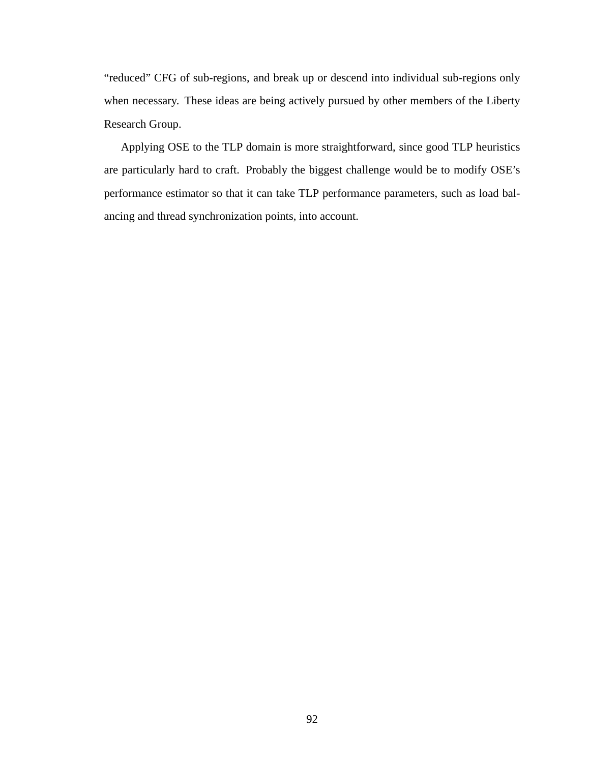"reduced" CFG of sub-regions, and break up or descend into individual sub-regions only when necessary. These ideas are being actively pursued by other members of the Liberty Research Group.

Applying OSE to the TLP domain is more straightforward, since good TLP heuristics are particularly hard to craft. Probably the biggest challenge would be to modify OSE's performance estimator so that it can take TLP performance parameters, such as load balancing and thread synchronization points, into account.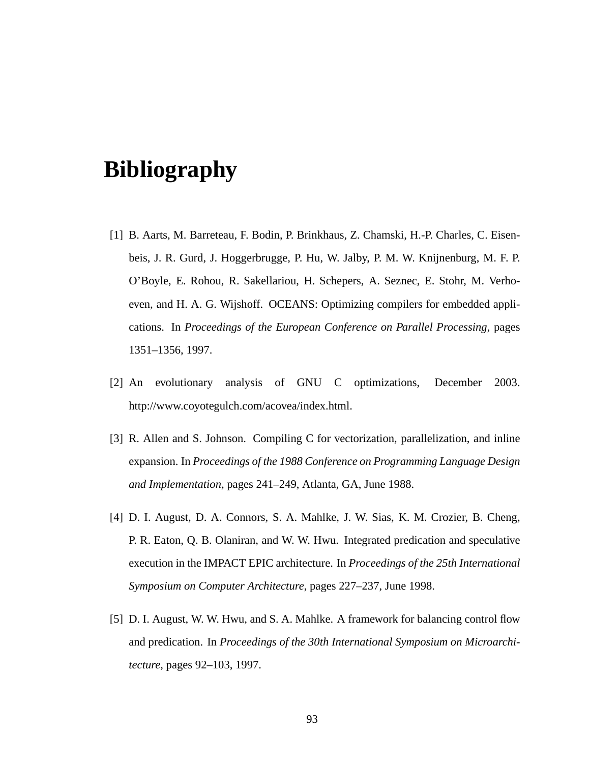# **Bibliography**

- [1] B. Aarts, M. Barreteau, F. Bodin, P. Brinkhaus, Z. Chamski, H.-P. Charles, C. Eisenbeis, J. R. Gurd, J. Hoggerbrugge, P. Hu, W. Jalby, P. M. W. Knijnenburg, M. F. P. O'Boyle, E. Rohou, R. Sakellariou, H. Schepers, A. Seznec, E. Stohr, M. Verhoeven, and H. A. G. Wijshoff. OCEANS: Optimizing compilers for embedded applications. In *Proceedings of the European Conference on Parallel Processing*, pages 1351–1356, 1997.
- [2] An evolutionary analysis of GNU C optimizations, December 2003. http://www.coyotegulch.com/acovea/index.html.
- [3] R. Allen and S. Johnson. Compiling C for vectorization, parallelization, and inline expansion. In *Proceedings of the 1988 Conference on Programming Language Design and Implementation*, pages 241–249, Atlanta, GA, June 1988.
- [4] D. I. August, D. A. Connors, S. A. Mahlke, J. W. Sias, K. M. Crozier, B. Cheng, P. R. Eaton, Q. B. Olaniran, and W. W. Hwu. Integrated predication and speculative execution in the IMPACT EPIC architecture. In *Proceedings of the 25th International Symposium on Computer Architecture*, pages 227–237, June 1998.
- [5] D. I. August, W. W. Hwu, and S. A. Mahlke. A framework for balancing control flow and predication. In *Proceedings of the 30th International Symposium on Microarchitecture*, pages 92–103, 1997.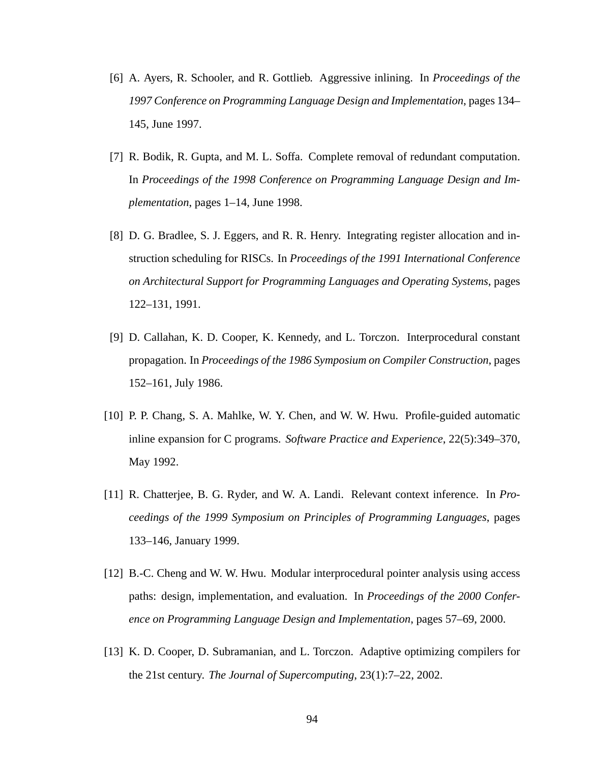- [6] A. Ayers, R. Schooler, and R. Gottlieb. Aggressive inlining. In *Proceedings of the 1997 Conference on Programming Language Design and Implementation*, pages 134– 145, June 1997.
- [7] R. Bodik, R. Gupta, and M. L. Soffa. Complete removal of redundant computation. In *Proceedings of the 1998 Conference on Programming Language Design and Implementation*, pages 1–14, June 1998.
- [8] D. G. Bradlee, S. J. Eggers, and R. R. Henry. Integrating register allocation and instruction scheduling for RISCs. In *Proceedings of the 1991 International Conference on Architectural Support for Programming Languages and Operating Systems*, pages 122–131, 1991.
- [9] D. Callahan, K. D. Cooper, K. Kennedy, and L. Torczon. Interprocedural constant propagation. In *Proceedings of the 1986 Symposium on Compiler Construction*, pages 152–161, July 1986.
- [10] P. P. Chang, S. A. Mahlke, W. Y. Chen, and W. W. Hwu. Profile-guided automatic inline expansion for C programs. *Software Practice and Experience*, 22(5):349–370, May 1992.
- [11] R. Chatterjee, B. G. Ryder, and W. A. Landi. Relevant context inference. In *Proceedings of the 1999 Symposium on Principles of Programming Languages*, pages 133–146, January 1999.
- [12] B.-C. Cheng and W. W. Hwu. Modular interprocedural pointer analysis using access paths: design, implementation, and evaluation. In *Proceedings of the 2000 Conference on Programming Language Design and Implementation*, pages 57–69, 2000.
- [13] K. D. Cooper, D. Subramanian, and L. Torczon. Adaptive optimizing compilers for the 21st century. *The Journal of Supercomputing*, 23(1):7–22, 2002.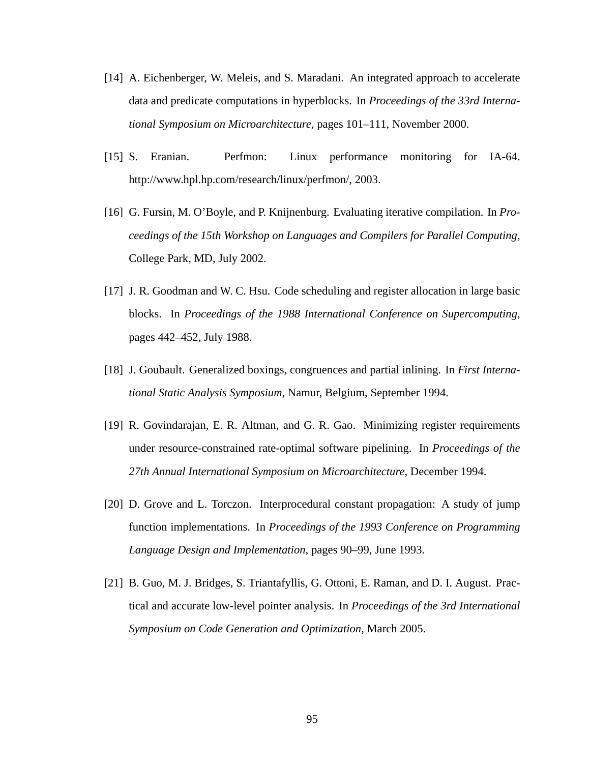- [14] A. Eichenberger, W. Meleis, and S. Maradani. An integrated approach to accelerate data and predicate computations in hyperblocks. In *Proceedings of the 33rd International Symposium on Microarchitecture*, pages 101–111, November 2000.
- [15] S. Eranian. Perfmon: Linux performance monitoring for IA-64. http://www.hpl.hp.com/research/linux/perfmon/, 2003.
- [16] G. Fursin, M. O'Boyle, and P. Knijnenburg. Evaluating iterative compilation. In *Proceedings of the 15th Workshop on Languages and Compilers for Parallel Computing*, College Park, MD, July 2002.
- [17] J. R. Goodman and W. C. Hsu. Code scheduling and register allocation in large basic blocks. In *Proceedings of the 1988 International Conference on Supercomputing*, pages 442–452, July 1988.
- [18] J. Goubault. Generalized boxings, congruences and partial inlining. In *First International Static Analysis Symposium*, Namur, Belgium, September 1994.
- [19] R. Govindarajan, E. R. Altman, and G. R. Gao. Minimizing register requirements under resource-constrained rate-optimal software pipelining. In *Proceedings of the 27th Annual International Symposium on Microarchitecture*, December 1994.
- [20] D. Grove and L. Torczon. Interprocedural constant propagation: A study of jump function implementations. In *Proceedings of the 1993 Conference on Programming Language Design and Implementation*, pages 90–99, June 1993.
- [21] B. Guo, M. J. Bridges, S. Triantafyllis, G. Ottoni, E. Raman, and D. I. August. Practical and accurate low-level pointer analysis. In *Proceedings of the 3rd International Symposium on Code Generation and Optimization*, March 2005.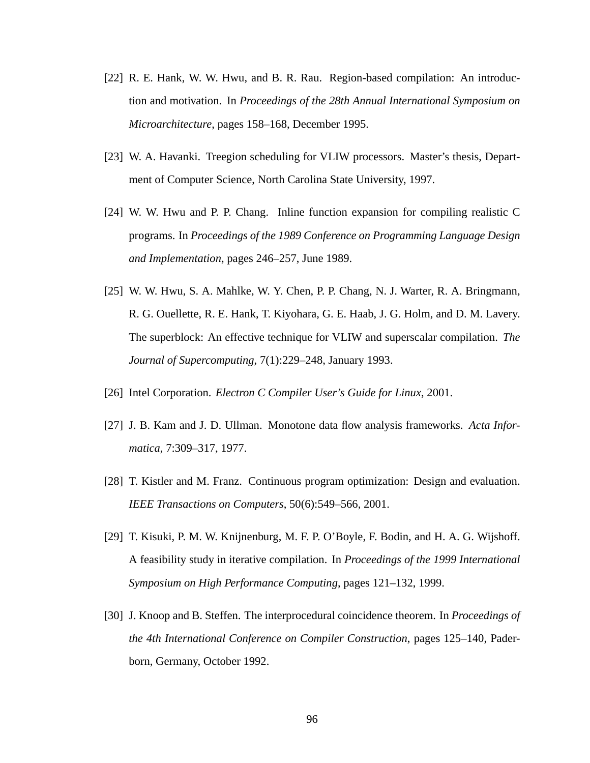- [22] R. E. Hank, W. W. Hwu, and B. R. Rau. Region-based compilation: An introduction and motivation. In *Proceedings of the 28th Annual International Symposium on Microarchitecture*, pages 158–168, December 1995.
- [23] W. A. Havanki. Treegion scheduling for VLIW processors. Master's thesis, Department of Computer Science, North Carolina State University, 1997.
- [24] W. W. Hwu and P. P. Chang. Inline function expansion for compiling realistic C programs. In *Proceedings of the 1989 Conference on Programming Language Design and Implementation*, pages 246–257, June 1989.
- [25] W. W. Hwu, S. A. Mahlke, W. Y. Chen, P. P. Chang, N. J. Warter, R. A. Bringmann, R. G. Ouellette, R. E. Hank, T. Kiyohara, G. E. Haab, J. G. Holm, and D. M. Lavery. The superblock: An effective technique for VLIW and superscalar compilation. *The Journal of Supercomputing*, 7(1):229–248, January 1993.
- [26] Intel Corporation. *Electron C Compiler User's Guide for Linux*, 2001.
- [27] J. B. Kam and J. D. Ullman. Monotone data flow analysis frameworks. *Acta Informatica*, 7:309–317, 1977.
- [28] T. Kistler and M. Franz. Continuous program optimization: Design and evaluation. *IEEE Transactions on Computers*, 50(6):549–566, 2001.
- [29] T. Kisuki, P. M. W. Knijnenburg, M. F. P. O'Boyle, F. Bodin, and H. A. G. Wijshoff. A feasibility study in iterative compilation. In *Proceedings of the 1999 International Symposium on High Performance Computing*, pages 121–132, 1999.
- [30] J. Knoop and B. Steffen. The interprocedural coincidence theorem. In *Proceedings of the 4th International Conference on Compiler Construction*, pages 125–140, Paderborn, Germany, October 1992.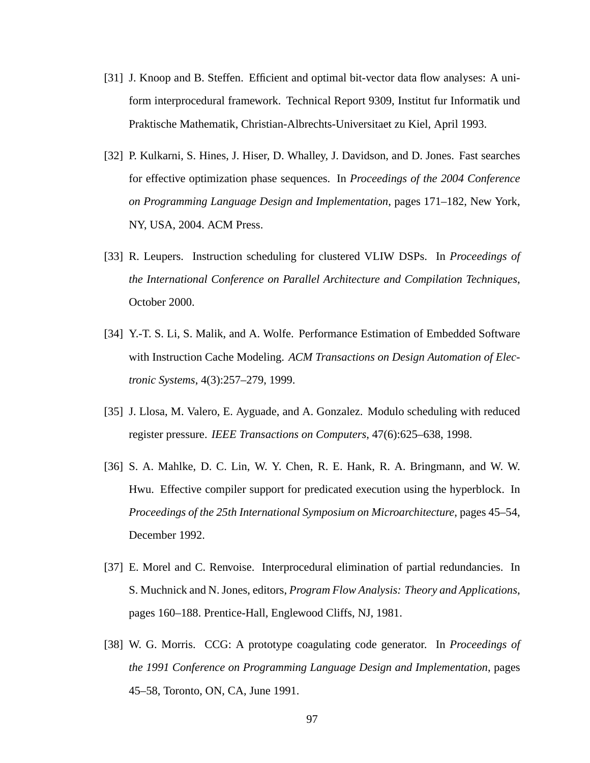- [31] J. Knoop and B. Steffen. Efficient and optimal bit-vector data flow analyses: A uniform interprocedural framework. Technical Report 9309, Institut fur Informatik und Praktische Mathematik, Christian-Albrechts-Universitaet zu Kiel, April 1993.
- [32] P. Kulkarni, S. Hines, J. Hiser, D. Whalley, J. Davidson, and D. Jones. Fast searches for effective optimization phase sequences. In *Proceedings of the 2004 Conference on Programming Language Design and Implementation*, pages 171–182, New York, NY, USA, 2004. ACM Press.
- [33] R. Leupers. Instruction scheduling for clustered VLIW DSPs. In *Proceedings of the International Conference on Parallel Architecture and Compilation Techniques*, October 2000.
- [34] Y.-T. S. Li, S. Malik, and A. Wolfe. Performance Estimation of Embedded Software with Instruction Cache Modeling. *ACM Transactions on Design Automation of Electronic Systems*, 4(3):257–279, 1999.
- [35] J. Llosa, M. Valero, E. Ayguade, and A. Gonzalez. Modulo scheduling with reduced register pressure. *IEEE Transactions on Computers*, 47(6):625–638, 1998.
- [36] S. A. Mahlke, D. C. Lin, W. Y. Chen, R. E. Hank, R. A. Bringmann, and W. W. Hwu. Effective compiler support for predicated execution using the hyperblock. In *Proceedings of the 25th International Symposium on Microarchitecture*, pages 45–54, December 1992.
- [37] E. Morel and C. Renvoise. Interprocedural elimination of partial redundancies. In S. Muchnick and N. Jones, editors, *Program Flow Analysis: Theory and Applications*, pages 160–188. Prentice-Hall, Englewood Cliffs, NJ, 1981.
- [38] W. G. Morris. CCG: A prototype coagulating code generator. In *Proceedings of the 1991 Conference on Programming Language Design and Implementation*, pages 45–58, Toronto, ON, CA, June 1991.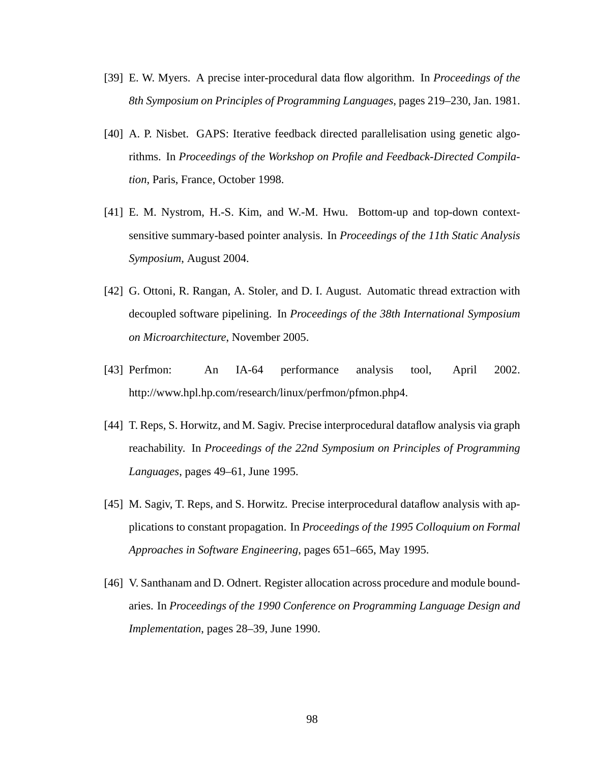- [39] E. W. Myers. A precise inter-procedural data flow algorithm. In *Proceedings of the 8th Symposium on Principles of Programming Languages*, pages 219–230, Jan. 1981.
- [40] A. P. Nisbet. GAPS: Iterative feedback directed parallelisation using genetic algorithms. In *Proceedings of the Workshop on Profile and Feedback-Directed Compilation*, Paris, France, October 1998.
- [41] E. M. Nystrom, H.-S. Kim, and W.-M. Hwu. Bottom-up and top-down contextsensitive summary-based pointer analysis. In *Proceedings of the 11th Static Analysis Symposium*, August 2004.
- [42] G. Ottoni, R. Rangan, A. Stoler, and D. I. August. Automatic thread extraction with decoupled software pipelining. In *Proceedings of the 38th International Symposium on Microarchitecture*, November 2005.
- [43] Perfmon: An IA-64 performance analysis tool, April 2002. http://www.hpl.hp.com/research/linux/perfmon/pfmon.php4.
- [44] T. Reps, S. Horwitz, and M. Sagiv. Precise interprocedural dataflow analysis via graph reachability. In *Proceedings of the 22nd Symposium on Principles of Programming Languages*, pages 49–61, June 1995.
- [45] M. Sagiv, T. Reps, and S. Horwitz. Precise interprocedural dataflow analysis with applications to constant propagation. In *Proceedings of the 1995 Colloquium on Formal Approaches in Software Engineering*, pages 651–665, May 1995.
- [46] V. Santhanam and D. Odnert. Register allocation across procedure and module boundaries. In *Proceedings of the 1990 Conference on Programming Language Design and Implementation*, pages 28–39, June 1990.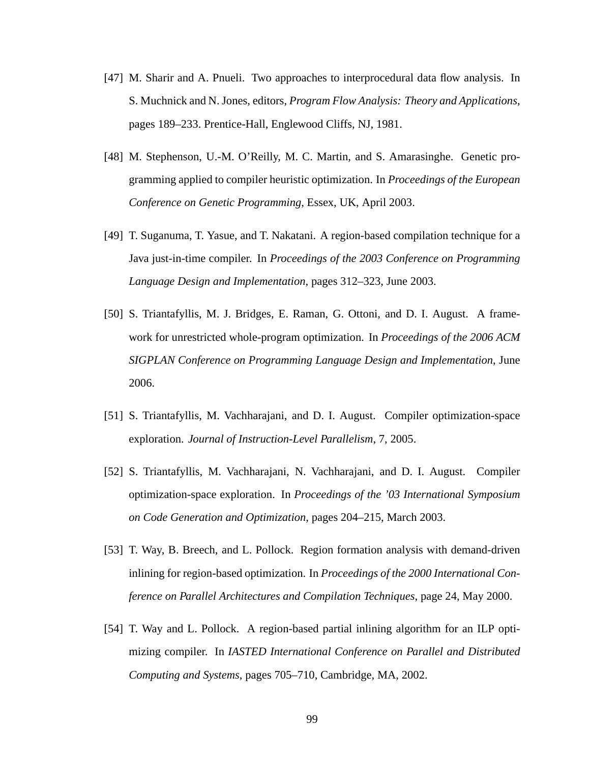- [47] M. Sharir and A. Pnueli. Two approaches to interprocedural data flow analysis. In S. Muchnick and N. Jones, editors, *Program Flow Analysis: Theory and Applications*, pages 189–233. Prentice-Hall, Englewood Cliffs, NJ, 1981.
- [48] M. Stephenson, U.-M. O'Reilly, M. C. Martin, and S. Amarasinghe. Genetic programming applied to compiler heuristic optimization. In *Proceedings of the European Conference on Genetic Programming*, Essex, UK, April 2003.
- [49] T. Suganuma, T. Yasue, and T. Nakatani. A region-based compilation technique for a Java just-in-time compiler. In *Proceedings of the 2003 Conference on Programming Language Design and Implementation*, pages 312–323, June 2003.
- [50] S. Triantafyllis, M. J. Bridges, E. Raman, G. Ottoni, and D. I. August. A framework for unrestricted whole-program optimization. In *Proceedings of the 2006 ACM SIGPLAN Conference on Programming Language Design and Implementation*, June 2006.
- [51] S. Triantafyllis, M. Vachharajani, and D. I. August. Compiler optimization-space exploration. *Journal of Instruction-Level Parallelism*, 7, 2005.
- [52] S. Triantafyllis, M. Vachharajani, N. Vachharajani, and D. I. August. Compiler optimization-space exploration. In *Proceedings of the '03 International Symposium on Code Generation and Optimization*, pages 204–215, March 2003.
- [53] T. Way, B. Breech, and L. Pollock. Region formation analysis with demand-driven inlining for region-based optimization. In *Proceedings of the 2000 International Conference on Parallel Architectures and Compilation Techniques*, page 24, May 2000.
- [54] T. Way and L. Pollock. A region-based partial inlining algorithm for an ILP optimizing compiler. In *IASTED International Conference on Parallel and Distributed Computing and Systems*, pages 705–710, Cambridge, MA, 2002.